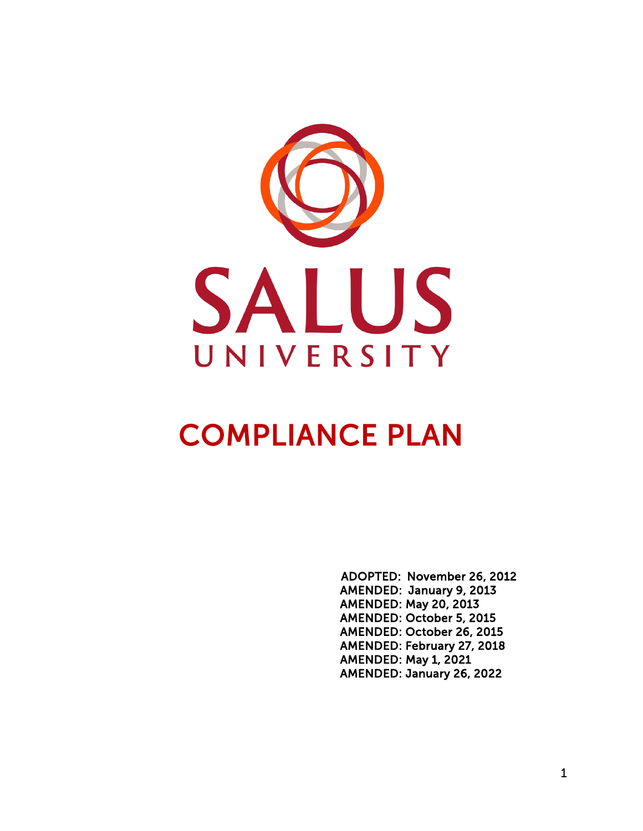

# COMPLIANCE PLAN

 ADOPTED: November 26, 2012 AMENDED: January 9, 2013 AMENDED: May 20, 2013 AMENDED: October 5, 2015 AMENDED: October 26, 2015 AMENDED: February 27, 2018 AMENDED: May 1, 2021 AMENDED: January 26, 2022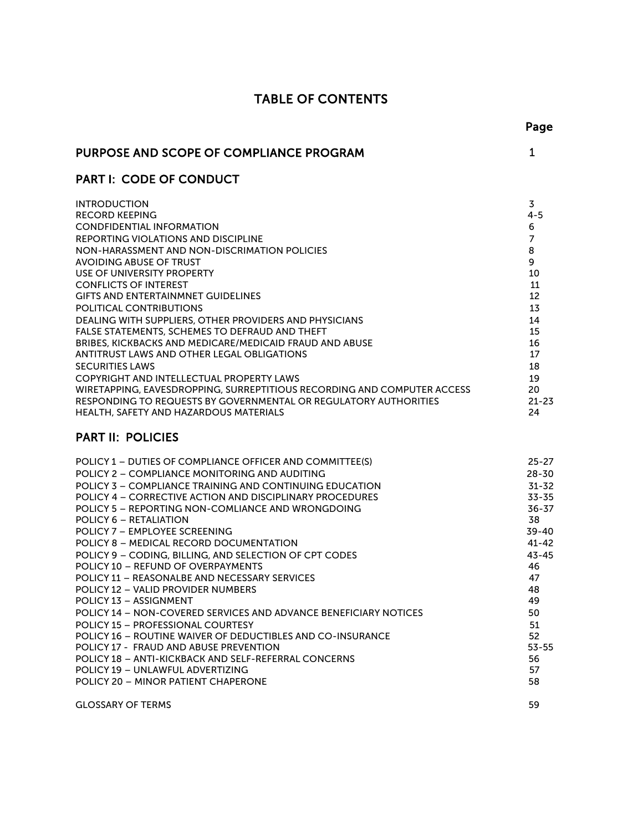# TABLE OF CONTENTS

| <b>PURPOSE AND SCOPE OF COMPLIANCE PROGRAM</b>                                                                                                                                                                                                                                                                                                                                                                                                                                                                                                                                                                                                                                                                                                                                                                                                                                                                                                                                                             | $\mathbf 1$                                                                                                                                                                 |
|------------------------------------------------------------------------------------------------------------------------------------------------------------------------------------------------------------------------------------------------------------------------------------------------------------------------------------------------------------------------------------------------------------------------------------------------------------------------------------------------------------------------------------------------------------------------------------------------------------------------------------------------------------------------------------------------------------------------------------------------------------------------------------------------------------------------------------------------------------------------------------------------------------------------------------------------------------------------------------------------------------|-----------------------------------------------------------------------------------------------------------------------------------------------------------------------------|
| <b>PART I: CODE OF CONDUCT</b>                                                                                                                                                                                                                                                                                                                                                                                                                                                                                                                                                                                                                                                                                                                                                                                                                                                                                                                                                                             |                                                                                                                                                                             |
| <b>INTRODUCTION</b><br><b>RECORD KEEPING</b><br><b>CONDFIDENTIAL INFORMATION</b><br>REPORTING VIOLATIONS AND DISCIPLINE<br>NON-HARASSMENT AND NON-DISCRIMATION POLICIES<br><b>AVOIDING ABUSE OF TRUST</b><br>USE OF UNIVERSITY PROPERTY<br><b>CONFLICTS OF INTEREST</b><br><b>GIFTS AND ENTERTAINMNET GUIDELINES</b><br>POLITICAL CONTRIBUTIONS<br>DEALING WITH SUPPLIERS, OTHER PROVIDERS AND PHYSICIANS<br>FALSE STATEMENTS, SCHEMES TO DEFRAUD AND THEFT<br><b>BRIBES, KICKBACKS AND MEDICARE/MEDICAID FRAUD AND ABUSE</b><br>ANTITRUST LAWS AND OTHER LEGAL OBLIGATIONS<br><b>SECURITIES LAWS</b><br>COPYRIGHT AND INTELLECTUAL PROPERTY LAWS<br>WIRETAPPING, EAVESDROPPING, SURREPTITIOUS RECORDING AND COMPUTER ACCESS<br>RESPONDING TO REQUESTS BY GOVERNMENTAL OR REGULATORY AUTHORITIES<br>HEALTH, SAFETY AND HAZARDOUS MATERIALS                                                                                                                                                                 | 3<br>$4 - 5$<br>6<br>7<br>8<br>9<br>10<br>11<br>12<br>13<br>14<br>15<br>16<br>17<br>18<br>19<br>20<br>$21 - 23$<br>24                                                       |
| <b>PART II: POLICIES</b>                                                                                                                                                                                                                                                                                                                                                                                                                                                                                                                                                                                                                                                                                                                                                                                                                                                                                                                                                                                   |                                                                                                                                                                             |
| POLICY 1 - DUTIES OF COMPLIANCE OFFICER AND COMMITTEE(S)<br>POLICY 2 - COMPLIANCE MONITORING AND AUDITING<br><b>POLICY 3 - COMPLIANCE TRAINING AND CONTINUING EDUCATION</b><br><b>POLICY 4 - CORRECTIVE ACTION AND DISCIPLINARY PROCEDURES</b><br><b>POLICY 5 - REPORTING NON-COMLIANCE AND WRONGDOING</b><br>POLICY 6 – RETALIATION<br>POLICY 7 - EMPLOYEE SCREENING<br>POLICY 8 - MEDICAL RECORD DOCUMENTATION<br>POLICY 9 - CODING, BILLING, AND SELECTION OF CPT CODES<br>POLICY 10 - REFUND OF OVERPAYMENTS<br>POLICY 11 - REASONALBE AND NECESSARY SERVICES<br><b>POLICY 12 - VALID PROVIDER NUMBERS</b><br>POLICY 13 - ASSIGNMENT<br><b>POLICY 14 - NON-COVERED SERVICES AND ADVANCE BENEFICIARY NOTICES</b><br><b>POLICY 15 - PROFESSIONAL COURTESY</b><br>POLICY 16 - ROUTINE WAIVER OF DEDUCTIBLES AND CO-INSURANCE<br>POLICY 17 - FRAUD AND ABUSE PREVENTION<br>POLICY 18 - ANTI-KICKBACK AND SELF-REFERRAL CONCERNS<br>POLICY 19 - UNLAWFUL ADVERTIZING<br>POLICY 20 - MINOR PATIENT CHAPERONE | $25 - 27$<br>$28 - 30$<br>$31 - 32$<br>$33 - 35$<br>36-37<br>38<br>39-40<br>$41 - 42$<br>$43 - 45$<br>46<br>47<br>48<br>49<br>50<br>51<br>52<br>$53 - 55$<br>56<br>57<br>58 |

[GLOSSARY](#page-62-0) OF TERMS 59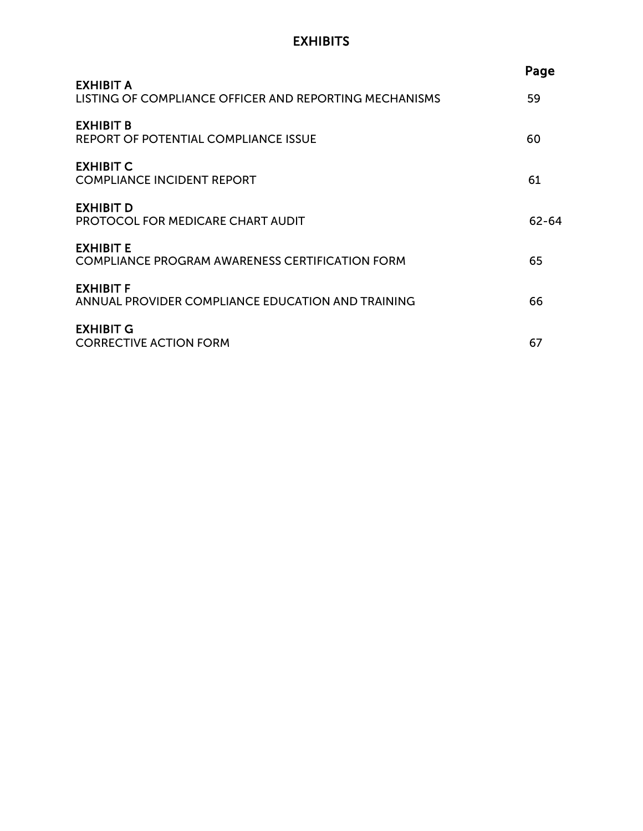# **EXHIBITS**

|                                                                            | Page  |
|----------------------------------------------------------------------------|-------|
| <b>EXHIBIT A</b><br>LISTING OF COMPLIANCE OFFICER AND REPORTING MECHANISMS | 59    |
| EXHIBIT B<br>REPORT OF POTENTIAL COMPLIANCE ISSUE                          | 60    |
| <b>EXHIBIT C</b><br><b>COMPLIANCE INCIDENT REPORT</b>                      | 61    |
| <b>EXHIBIT D</b><br><b>PROTOCOL FOR MEDICARE CHART AUDIT</b>               | 62-64 |
| <b>EXHIBIT E</b><br><b>COMPLIANCE PROGRAM AWARENESS CERTIFICATION FORM</b> | 65    |
| <b>EXHIBIT F</b><br>ANNUAL PROVIDER COMPLIANCE EDUCATION AND TRAINING      | 66    |
| <b>EXHIBIT G</b><br><b>CORRECTIVE ACTION FORM</b>                          | 67    |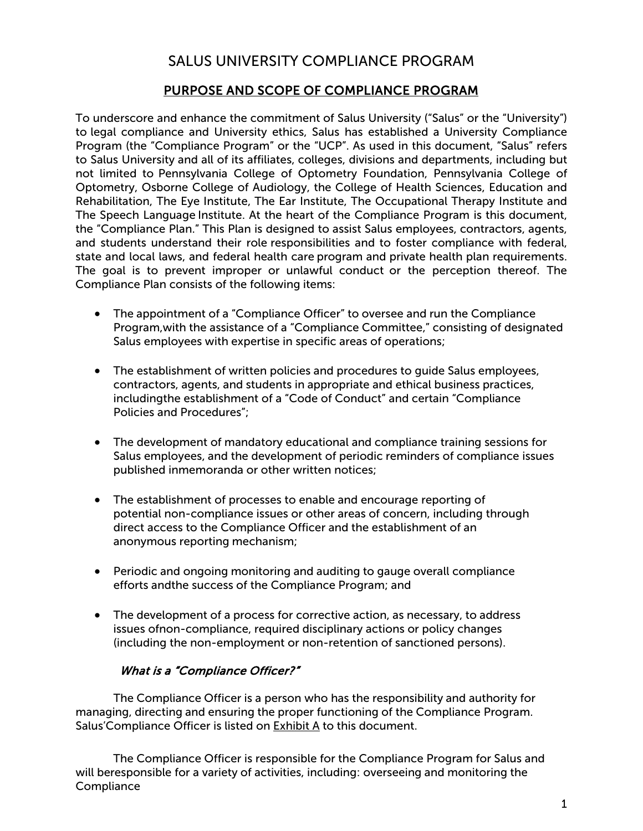# SALUS UNIVERSITY COMPLIANCE PROGRAM

## PURPOSE AND SCOPE OF COMPLIANCE PROGRAM

<span id="page-4-0"></span>To underscore and enhance the commitment of Salus University ("Salus" or the "University") to legal compliance and University ethics, Salus has established a University Compliance Program (the "Compliance Program" or the "UCP". As used in this document, "Salus" refers to Salus University and all of its affiliates, colleges, divisions and departments, including but not limited to Pennsylvania College of Optometry Foundation, Pennsylvania College of Optometry, Osborne College of Audiology, the College of Health Sciences, Education and Rehabilitation, The Eye Institute, The Ear Institute, The Occupational Therapy Institute and The Speech Language Institute. At the heart of the Compliance Program is this document, the "Compliance Plan." This Plan is designed to assist Salus employees, contractors, agents, and students understand their role responsibilities and to foster compliance with federal, state and local laws, and federal health care program and private health plan requirements. The goal is to prevent improper or unlawful conduct or the perception thereof. The Compliance Plan consists of the following items:

- The appointment of a "Compliance Officer" to oversee and run the Compliance Program,with the assistance of a "Compliance Committee," consisting of designated Salus employees with expertise in specific areas of operations;
- The establishment of written policies and procedures to guide Salus employees, contractors, agents, and students in appropriate and ethical business practices, includingthe establishment of a "Code of Conduct" and certain "Compliance Policies and Procedures";
- The development of mandatory educational and compliance training sessions for Salus employees, and the development of periodic reminders of compliance issues published inmemoranda or other written notices;
- The establishment of processes to enable and encourage reporting of potential non-compliance issues or other areas of concern, including through direct access to the Compliance Officer and the establishment of an anonymous reporting mechanism;
- Periodic and ongoing monitoring and auditing to gauge overall compliance efforts andthe success of the Compliance Program; and
- The development of a process for corrective action, as necessary, to address issues ofnon-compliance, required disciplinary actions or policy changes (including the non-employment or non-retention of sanctioned persons).

#### What is a "Compliance Officer?"

The Compliance Officer is a person who has the responsibility and authority for managing, directing and ensuring the proper functioning of the Compliance Program. Salus'Compliance Officer is listed on **Exhibit A** to this document.

The Compliance Officer is responsible for the Compliance Program for Salus and will beresponsible for a variety of activities, including: overseeing and monitoring the **Compliance**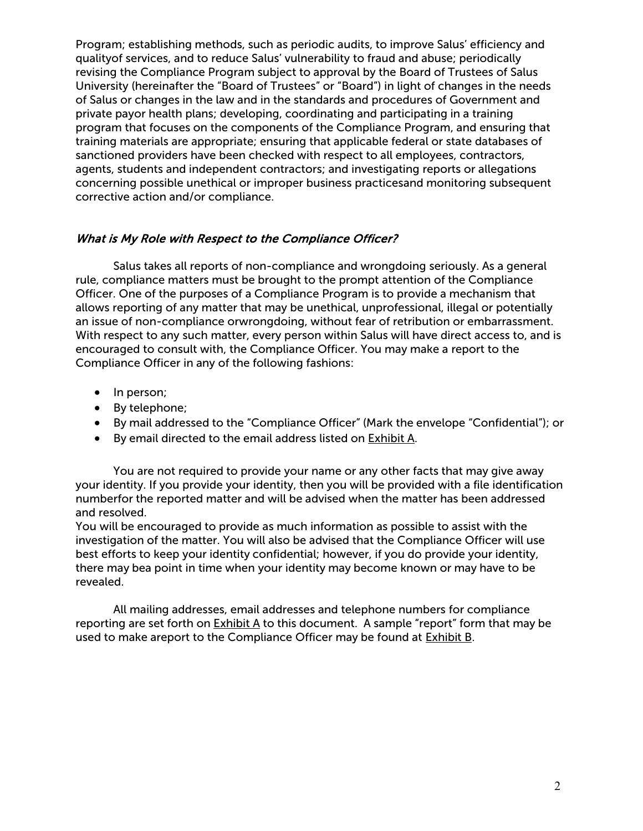Program; establishing methods, such as periodic audits, to improve Salus' efficiency and qualityof services, and to reduce Salus' vulnerability to fraud and abuse; periodically revising the Compliance Program subject to approval by the Board of Trustees of Salus University (hereinafter the "Board of Trustees" or "Board") in light of changes in the needs of Salus or changes in the law and in the standards and procedures of Government and private payor health plans; developing, coordinating and participating in a training program that focuses on the components of the Compliance Program, and ensuring that training materials are appropriate; ensuring that applicable federal or state databases of sanctioned providers have been checked with respect to all employees, contractors, agents, students and independent contractors; and investigating reports or allegations concerning possible unethical or improper business practicesand monitoring subsequent corrective action and/or compliance.

#### What is My Role with Respect to the Compliance Officer?

Salus takes all reports of non-compliance and wrongdoing seriously. As a general rule, compliance matters must be brought to the prompt attention of the Compliance Officer. One of the purposes of a Compliance Program is to provide a mechanism that allows reporting of any matter that may be unethical, unprofessional, illegal or potentially an issue of non-compliance orwrongdoing, without fear of retribution or embarrassment. With respect to any such matter, every person within Salus will have direct access to, and is encouraged to consult with, the Compliance Officer. You may make a report to the Compliance Officer in any of the following fashions:

- In person;
- By telephone;
- By mail addressed to the "Compliance Officer" (Mark the envelope "Confidential"); or
- By email directed to the email address listed on Exhibit A.

You are not required to provide your name or any other facts that may give away your identity. If you provide your identity, then you will be provided with a file identification numberfor the reported matter and will be advised when the matter has been addressed and resolved.

You will be encouraged to provide as much information as possible to assist with the investigation of the matter. You will also be advised that the Compliance Officer will use best efforts to keep your identity confidential; however, if you do provide your identity, there may bea point in time when your identity may become known or may have to be revealed.

All mailing addresses, email addresses and telephone numbers for compliance reporting are set forth on  $Exhibit A$  to this document. A sample "report" form that may be used to make areport to the Compliance Officer may be found at Exhibit B.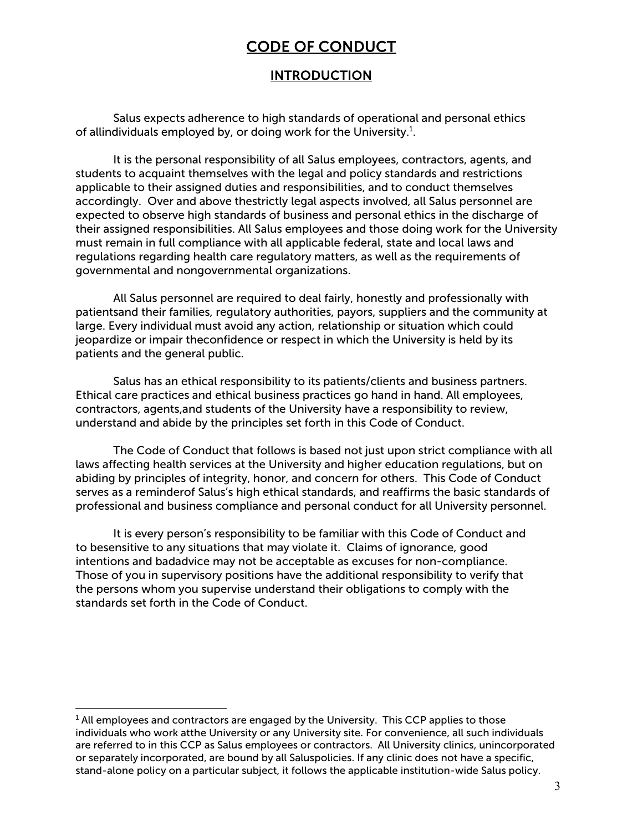# CODE OF CONDUCT

#### INTRODUCTION

<span id="page-6-0"></span>Salus expects adherence to high standards of operational and personal ethics of allindividuals employed by, or doing work for the University.<sup>1</sup>.

It is the personal responsibility of all Salus employees, contractors, agents, and students to acquaint themselves with the legal and policy standards and restrictions applicable to their assigned duties and responsibilities, and to conduct themselves accordingly. Over and above thestrictly legal aspects involved, all Salus personnel are expected to observe high standards of business and personal ethics in the discharge of their assigned responsibilities. All Salus employees and those doing work for the University must remain in full compliance with all applicable federal, state and local laws and regulations regarding health care regulatory matters, as well as the requirements of governmental and nongovernmental organizations.

All Salus personnel are required to deal fairly, honestly and professionally with patientsand their families, regulatory authorities, payors, suppliers and the community at large. Every individual must avoid any action, relationship or situation which could jeopardize or impair theconfidence or respect in which the University is held by its patients and the general public.

Salus has an ethical responsibility to its patients/clients and business partners. Ethical care practices and ethical business practices go hand in hand. All employees, contractors, agents,and students of the University have a responsibility to review, understand and abide by the principles set forth in this Code of Conduct.

The Code of Conduct that follows is based not just upon strict compliance with all laws affecting health services at the University and higher education regulations, but on abiding by principles of integrity, honor, and concern for others. This Code of Conduct serves as a reminderof Salus's high ethical standards, and reaffirms the basic standards of professional and business compliance and personal conduct for all University personnel.

It is every person's responsibility to be familiar with this Code of Conduct and to besensitive to any situations that may violate it. Claims of ignorance, good intentions and badadvice may not be acceptable as excuses for non-compliance. Those of you in supervisory positions have the additional responsibility to verify that the persons whom you supervise understand their obligations to comply with the standards set forth in the Code of Conduct.

 $<sup>1</sup>$  All employees and contractors are engaged by the University. This CCP applies to those</sup> individuals who work atthe University or any University site. For convenience, all such individuals are referred to in this CCP as Salus employees or contractors. All University clinics, unincorporated or separately incorporated, are bound by all Saluspolicies. If any clinic does not have a specific, stand-alone policy on a particular subject, it follows the applicable institution-wide Salus policy.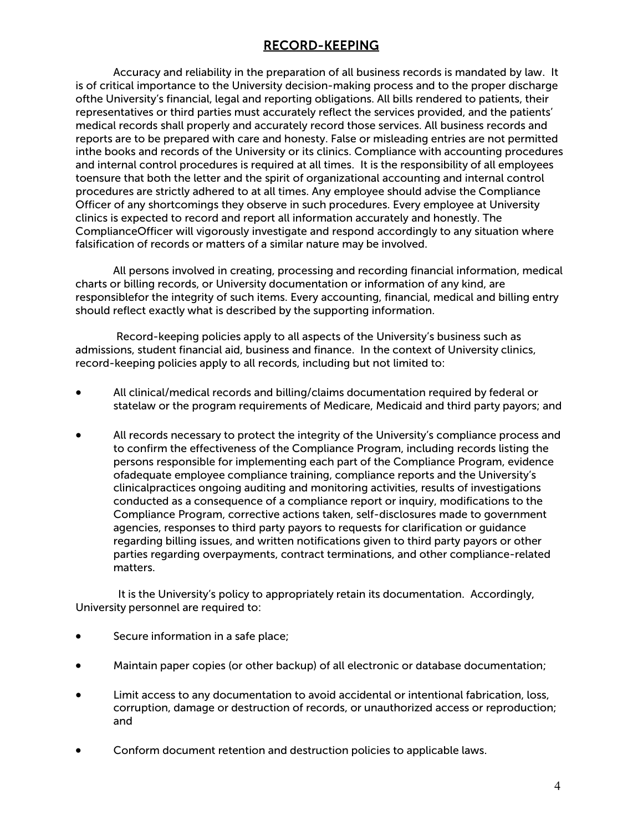# RECORD-KEEPING

<span id="page-7-0"></span>Accuracy and reliability in the preparation of all business records is mandated by law. It is of critical importance to the University decision-making process and to the proper discharge ofthe University's financial, legal and reporting obligations. All bills rendered to patients, their representatives or third parties must accurately reflect the services provided, and the patients' medical records shall properly and accurately record those services. All business records and reports are to be prepared with care and honesty. False or misleading entries are not permitted inthe books and records of the University or its clinics. Compliance with accounting procedures and internal control procedures is required at all times. It is the responsibility of all employees toensure that both the letter and the spirit of organizational accounting and internal control procedures are strictly adhered to at all times. Any employee should advise the Compliance Officer of any shortcomings they observe in such procedures. Every employee at University clinics is expected to record and report all information accurately and honestly. The ComplianceOfficer will vigorously investigate and respond accordingly to any situation where falsification of records or matters of a similar nature may be involved.

All persons involved in creating, processing and recording financial information, medical charts or billing records, or University documentation or information of any kind, are responsiblefor the integrity of such items. Every accounting, financial, medical and billing entry should reflect exactly what is described by the supporting information.

Record-keeping policies apply to all aspects of the University's business such as admissions, student financial aid, business and finance. In the context of University clinics, record-keeping policies apply to all records, including but not limited to:

- All clinical/medical records and billing/claims documentation required by federal or statelaw or the program requirements of Medicare, Medicaid and third party payors; and
- All records necessary to protect the integrity of the University's compliance process and to confirm the effectiveness of the Compliance Program, including records listing the persons responsible for implementing each part of the Compliance Program, evidence ofadequate employee compliance training, compliance reports and the University's clinicalpractices ongoing auditing and monitoring activities, results of investigations conducted as a consequence of a compliance report or inquiry, modifications to the Compliance Program, corrective actions taken, self-disclosures made to government agencies, responses to third party payors to requests for clarification or guidance regarding billing issues, and written notifications given to third party payors or other parties regarding overpayments, contract terminations, and other compliance-related matters.

It is the University's policy to appropriately retain its documentation. Accordingly, University personnel are required to:

- Secure information in a safe place;
- Maintain paper copies (or other backup) of all electronic or database documentation;
- Limit access to any documentation to avoid accidental or intentional fabrication, loss, corruption, damage or destruction of records, or unauthorized access or reproduction; and
- Conform document retention and destruction policies to applicable laws.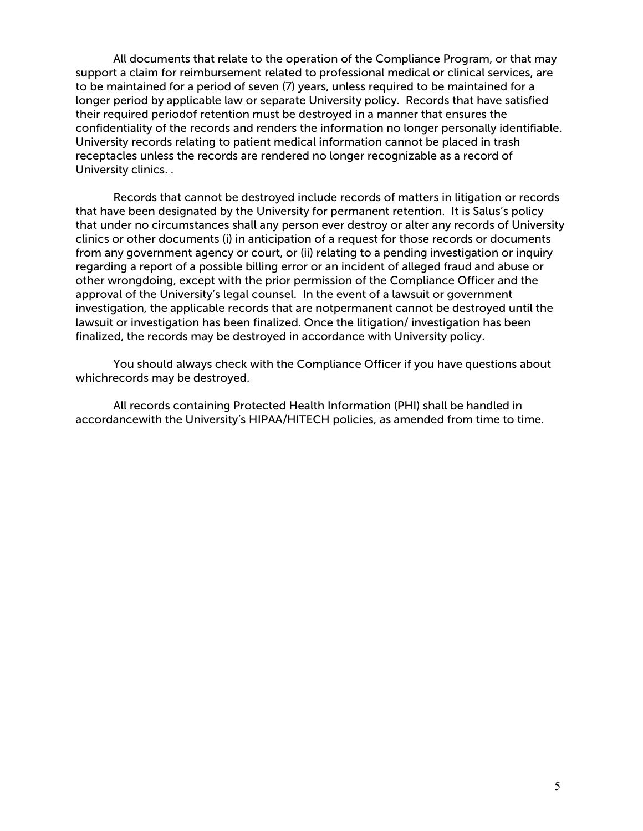All documents that relate to the operation of the Compliance Program, or that may support a claim for reimbursement related to professional medical or clinical services, are to be maintained for a period of seven (7) years, unless required to be maintained for a longer period by applicable law or separate University policy. Records that have satisfied their required periodof retention must be destroyed in a manner that ensures the confidentiality of the records and renders the information no longer personally identifiable. University records relating to patient medical information cannot be placed in trash receptacles unless the records are rendered no longer recognizable as a record of University clinics. .

Records that cannot be destroyed include records of matters in litigation or records that have been designated by the University for permanent retention. It is Salus's policy that under no circumstances shall any person ever destroy or alter any records of University clinics or other documents (i) in anticipation of a request for those records or documents from any government agency or court, or (ii) relating to a pending investigation or inquiry regarding a report of a possible billing error or an incident of alleged fraud and abuse or other wrongdoing, except with the prior permission of the Compliance Officer and the approval of the University's legal counsel. In the event of a lawsuit or government investigation, the applicable records that are notpermanent cannot be destroyed until the lawsuit or investigation has been finalized. Once the litigation/ investigation has been finalized, the records may be destroyed in accordance with University policy.

You should always check with the Compliance Officer if you have questions about whichrecords may be destroyed.

All records containing Protected Health Information (PHI) shall be handled in accordancewith the University's HIPAA/HITECH policies, as amended from time to time.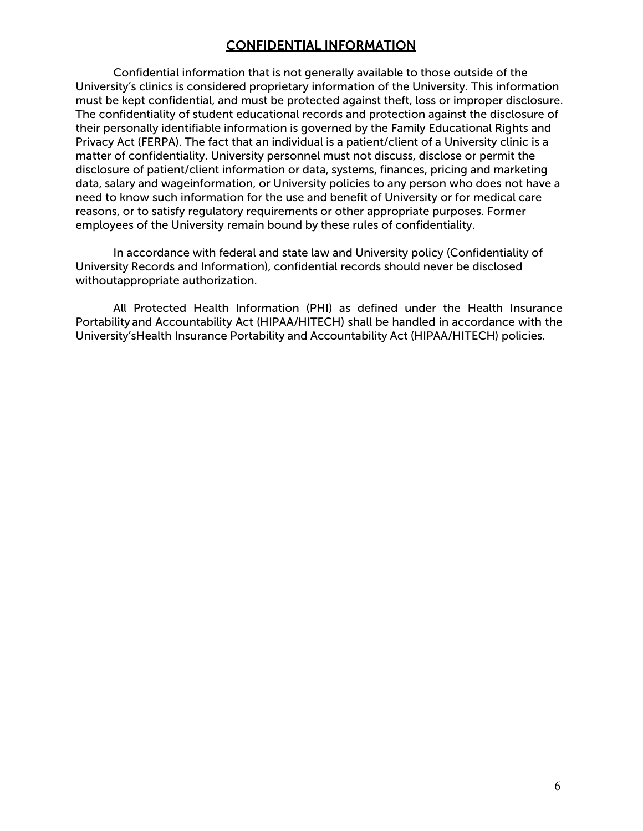## CONFIDENTIAL INFORMATION

Confidential information that is not generally available to those outside of the University's clinics is considered proprietary information of the University. This information must be kept confidential, and must be protected against theft, loss or improper disclosure. The confidentiality of student educational records and protection against the disclosure of their personally identifiable information is governed by the Family Educational Rights and Privacy Act (FERPA). The fact that an individual is a patient/client of a University clinic is a matter of confidentiality. University personnel must not discuss, disclose or permit the disclosure of patient/client information or data, systems, finances, pricing and marketing data, salary and wageinformation, or University policies to any person who does not have a need to know such information for the use and benefit of University or for medical care reasons, or to satisfy regulatory requirements or other appropriate purposes. Former employees of the University remain bound by these rules of confidentiality.

In accordance with federal and state law and University policy (Confidentiality of University Records and Information), confidential records should never be disclosed withoutappropriate authorization.

All Protected Health Information (PHI) as defined under the Health Insurance Portability and Accountability Act (HIPAA/HITECH) shall be handled in accordance with the University'sHealth Insurance Portability and Accountability Act (HIPAA/HITECH) policies.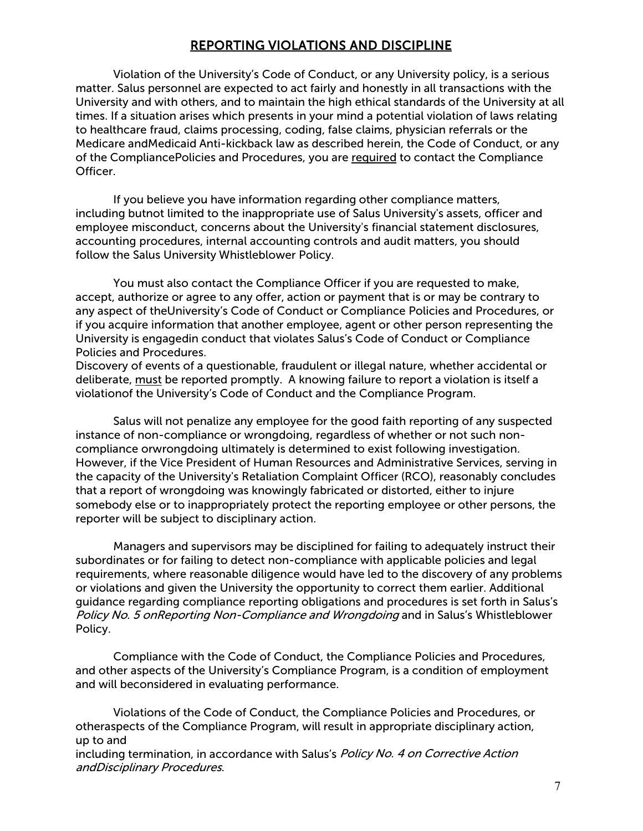# REPORTING VIOLATIONS AND DISCIPLINE

<span id="page-10-0"></span>Violation of the University's Code of Conduct, or any University policy, is a serious matter. Salus personnel are expected to act fairly and honestly in all transactions with the University and with others, and to maintain the high ethical standards of the University at all times. If a situation arises which presents in your mind a potential violation of laws relating to healthcare fraud, claims processing, coding, false claims, physician referrals or the Medicare andMedicaid Anti-kickback law as described herein, the Code of Conduct, or any of the CompliancePolicies and Procedures, you are required to contact the Compliance Officer.

If you believe you have information regarding other compliance matters, including butnot limited to the inappropriate use of Salus University's assets, officer and employee misconduct, concerns about the University's financial statement disclosures, accounting procedures, internal accounting controls and audit matters, you should follow the Salus University Whistleblower Policy.

You must also contact the Compliance Officer if you are requested to make, accept, authorize or agree to any offer, action or payment that is or may be contrary to any aspect of theUniversity's Code of Conduct or Compliance Policies and Procedures, or if you acquire information that another employee, agent or other person representing the University is engagedin conduct that violates Salus's Code of Conduct or Compliance Policies and Procedures.

Discovery of events of a questionable, fraudulent or illegal nature, whether accidental or deliberate, must be reported promptly. A knowing failure to report a violation is itself a violationof the University's Code of Conduct and the Compliance Program.

Salus will not penalize any employee for the good faith reporting of any suspected instance of non-compliance or wrongdoing, regardless of whether or not such noncompliance orwrongdoing ultimately is determined to exist following investigation. However, if the Vice President of Human Resources and Administrative Services, serving in the capacity of the University's Retaliation Complaint Officer (RCO), reasonably concludes that a report of wrongdoing was knowingly fabricated or distorted, either to injure somebody else or to inappropriately protect the reporting employee or other persons, the reporter will be subject to disciplinary action.

Managers and supervisors may be disciplined for failing to adequately instruct their subordinates or for failing to detect non-compliance with applicable policies and legal requirements, where reasonable diligence would have led to the discovery of any problems or violations and given the University the opportunity to correct them earlier. Additional guidance regarding compliance reporting obligations and procedures is set forth in Salus's Policy No. 5 onReporting Non-Compliance and Wrongdoing and in Salus's Whistleblower Policy.

Compliance with the Code of Conduct, the Compliance Policies and Procedures, and other aspects of the University's Compliance Program, is a condition of employment and will beconsidered in evaluating performance.

Violations of the Code of Conduct, the Compliance Policies and Procedures, or otheraspects of the Compliance Program, will result in appropriate disciplinary action, up to and including termination, in accordance with Salus's Policy No. 4 on Corrective Action andDisciplinary Procedures.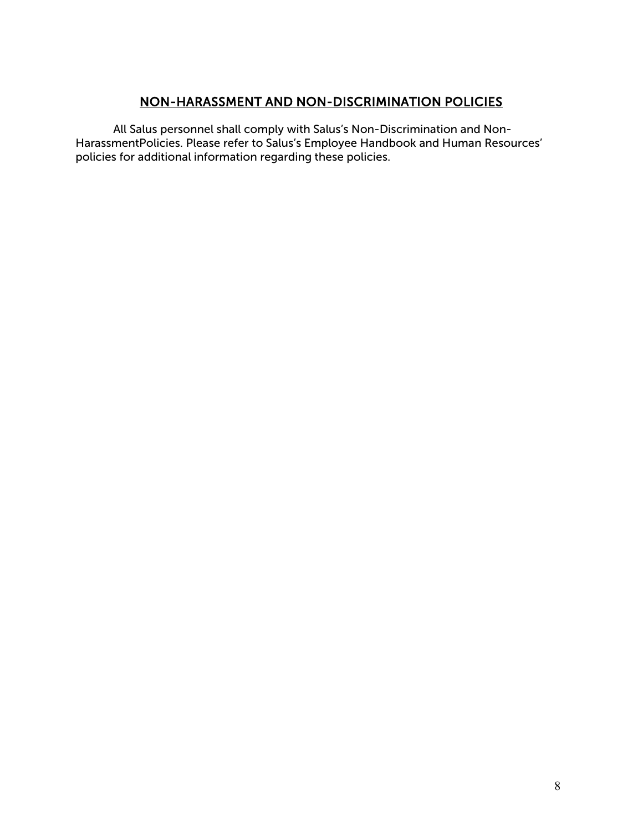# NON-HARASSMENT AND NON-DISCRIMINATION POLICIES

All Salus personnel shall comply with Salus's Non-Discrimination and Non-HarassmentPolicies. Please refer to Salus's Employee Handbook and Human Resources' policies for additional information regarding these policies.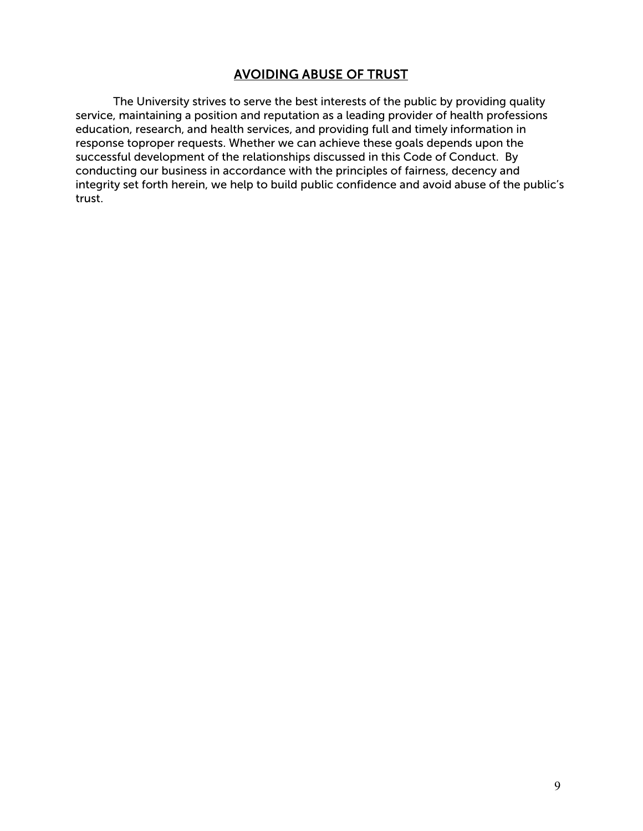## AVOIDING ABUSE OF TRUST

<span id="page-12-0"></span>The University strives to serve the best interests of the public by providing quality service, maintaining a position and reputation as a leading provider of health professions education, research, and health services, and providing full and timely information in response toproper requests. Whether we can achieve these goals depends upon the successful development of the relationships discussed in this Code of Conduct. By conducting our business in accordance with the principles of fairness, decency and integrity set forth herein, we help to build public confidence and avoid abuse of the public's trust.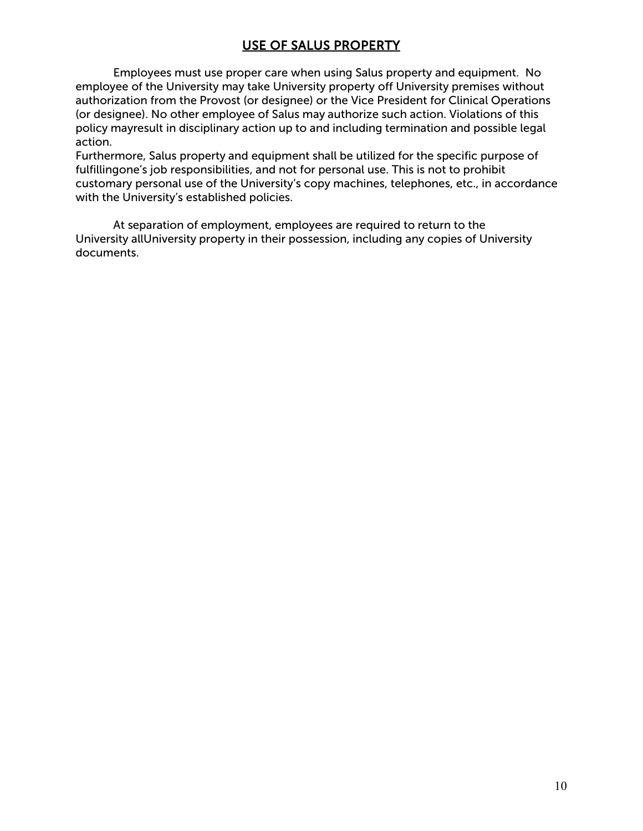# USE OF SALUS PROPERTY

Employees must use proper care when using Salus property and equipment. No employee of the University may take University property off University premises without authorization from the Provost (or designee) or the Vice President for Clinical Operations (or designee). No other employee of Salus may authorize such action. Violations of this policy mayresult in disciplinary action up to and including termination and possible legal action.

Furthermore, Salus property and equipment shall be utilized for the specific purpose of fulfillingone's job responsibilities, and not for personal use. This is not to prohibit customary personal use of the University's copy machines, telephones, etc., in accordance with the University's established policies.

At separation of employment, employees are required to return to the University allUniversity property in their possession, including any copies of University documents.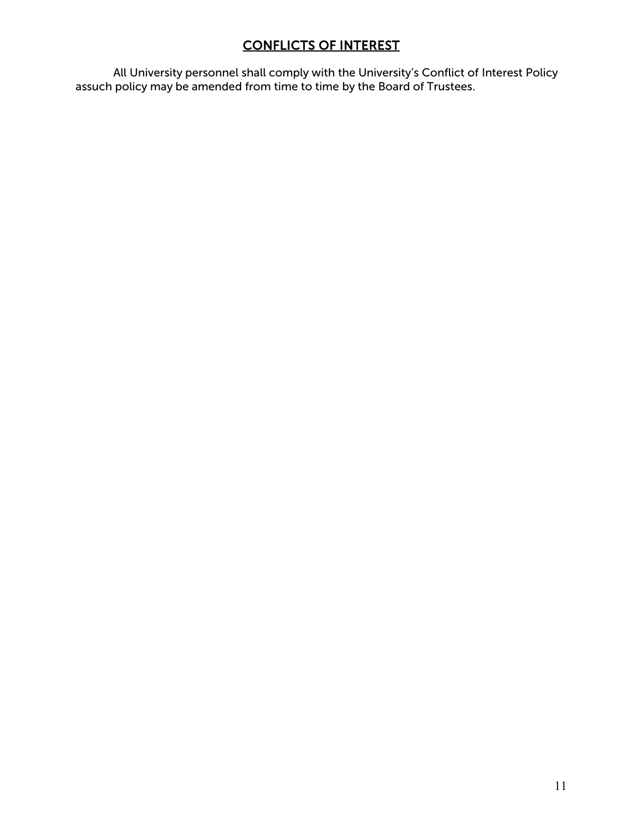# CONFLICTS OF INTEREST

<span id="page-14-0"></span>All University personnel shall comply with the University's Conflict of Interest Policy assuch policy may be amended from time to time by the Board of Trustees.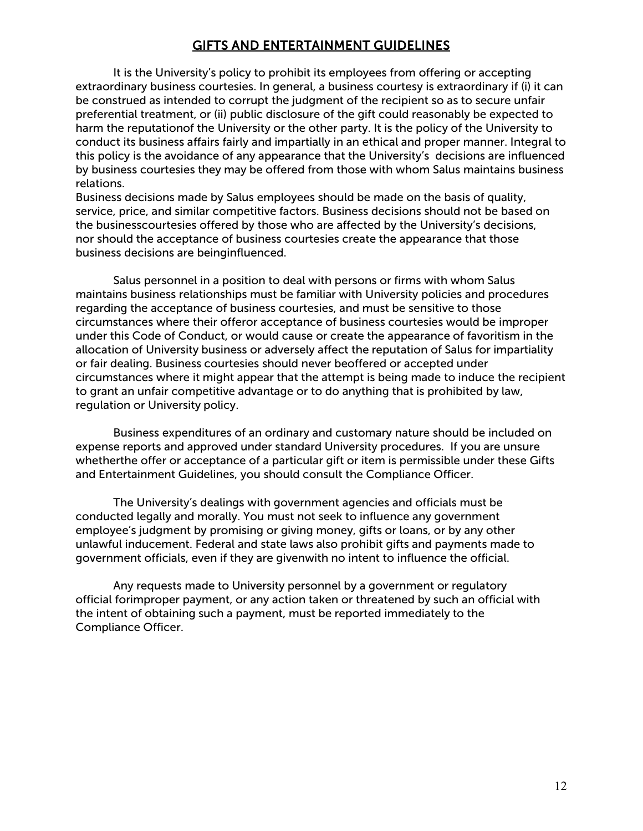## GIFTS AND ENTERTAINMENT GUIDELINES

It is the University's policy to prohibit its employees from offering or accepting extraordinary business courtesies. In general, a business courtesy is extraordinary if (i) it can be construed as intended to corrupt the judgment of the recipient so as to secure unfair preferential treatment, or (ii) public disclosure of the gift could reasonably be expected to harm the reputationof the University or the other party. It is the policy of the University to conduct its business affairs fairly and impartially in an ethical and proper manner. Integral to this policy is the avoidance of any appearance that the University's decisions are influenced by business courtesies they may be offered from those with whom Salus maintains business relations.

Business decisions made by Salus employees should be made on the basis of quality, service, price, and similar competitive factors. Business decisions should not be based on the businesscourtesies offered by those who are affected by the University's decisions, nor should the acceptance of business courtesies create the appearance that those business decisions are beinginfluenced.

Salus personnel in a position to deal with persons or firms with whom Salus maintains business relationships must be familiar with University policies and procedures regarding the acceptance of business courtesies, and must be sensitive to those circumstances where their offeror acceptance of business courtesies would be improper under this Code of Conduct, or would cause or create the appearance of favoritism in the allocation of University business or adversely affect the reputation of Salus for impartiality or fair dealing. Business courtesies should never beoffered or accepted under circumstances where it might appear that the attempt is being made to induce the recipient to grant an unfair competitive advantage or to do anything that is prohibited by law, regulation or University policy.

Business expenditures of an ordinary and customary nature should be included on expense reports and approved under standard University procedures. If you are unsure whetherthe offer or acceptance of a particular gift or item is permissible under these Gifts and Entertainment Guidelines, you should consult the Compliance Officer.

The University's dealings with government agencies and officials must be conducted legally and morally. You must not seek to influence any government employee's judgment by promising or giving money, gifts or loans, or by any other unlawful inducement. Federal and state laws also prohibit gifts and payments made to government officials, even if they are givenwith no intent to influence the official.

Any requests made to University personnel by a government or regulatory official forimproper payment, or any action taken or threatened by such an official with the intent of obtaining such a payment, must be reported immediately to the Compliance Officer.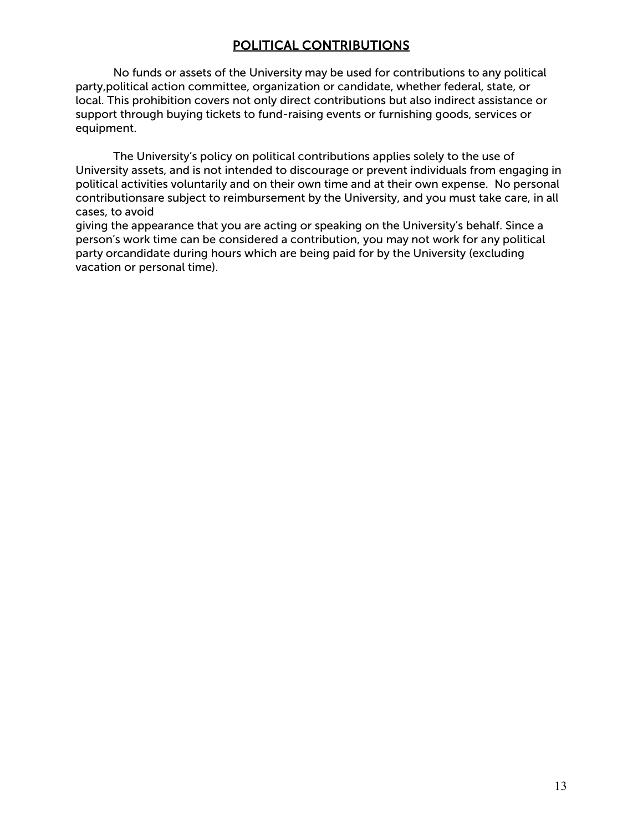# POLITICAL CONTRIBUTIONS

<span id="page-16-0"></span>No funds or assets of the University may be used for contributions to any political party,political action committee, organization or candidate, whether federal, state, or local. This prohibition covers not only direct contributions but also indirect assistance or support through buying tickets to fund-raising events or furnishing goods, services or equipment.

The University's policy on political contributions applies solely to the use of University assets, and is not intended to discourage or prevent individuals from engaging in political activities voluntarily and on their own time and at their own expense. No personal contributionsare subject to reimbursement by the University, and you must take care, in all cases, to avoid

giving the appearance that you are acting or speaking on the University's behalf. Since a person's work time can be considered a contribution, you may not work for any political party orcandidate during hours which are being paid for by the University (excluding vacation or personal time).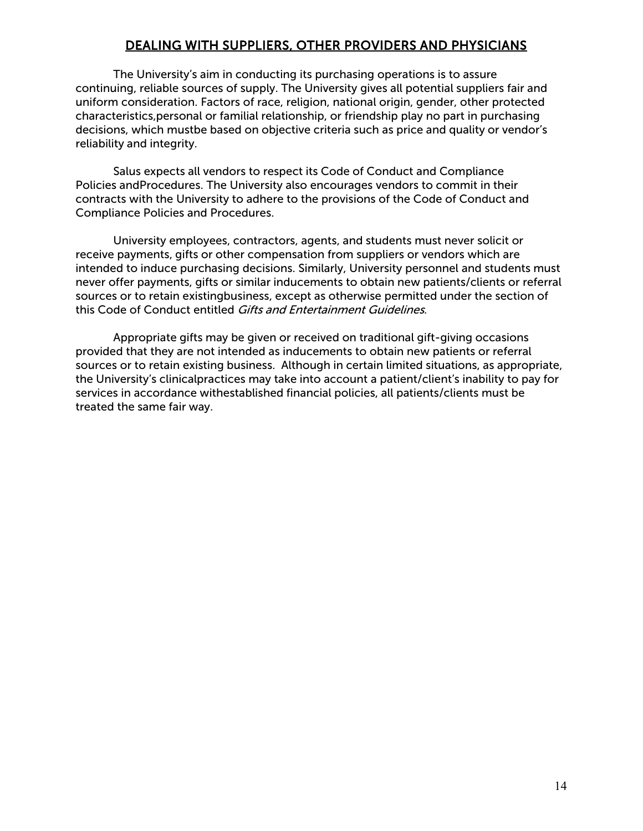# DEALING WITH SUPPLIERS, OTHER PROVIDERS AND PHYSICIANS

<span id="page-17-0"></span>The University's aim in conducting its purchasing operations is to assure continuing, reliable sources of supply. The University gives all potential suppliers fair and uniform consideration. Factors of race, religion, national origin, gender, other protected characteristics,personal or familial relationship, or friendship play no part in purchasing decisions, which mustbe based on objective criteria such as price and quality or vendor's reliability and integrity.

Salus expects all vendors to respect its Code of Conduct and Compliance Policies andProcedures. The University also encourages vendors to commit in their contracts with the University to adhere to the provisions of the Code of Conduct and Compliance Policies and Procedures.

University employees, contractors, agents, and students must never solicit or receive payments, gifts or other compensation from suppliers or vendors which are intended to induce purchasing decisions. Similarly, University personnel and students must never offer payments, gifts or similar inducements to obtain new patients/clients or referral sources or to retain existingbusiness, except as otherwise permitted under the section of this Code of Conduct entitled Gifts and Entertainment Guidelines.

Appropriate gifts may be given or received on traditional gift-giving occasions provided that they are not intended as inducements to obtain new patients or referral sources or to retain existing business. Although in certain limited situations, as appropriate, the University's clinicalpractices may take into account a patient/client's inability to pay for services in accordance withestablished financial policies, all patients/clients must be treated the same fair way.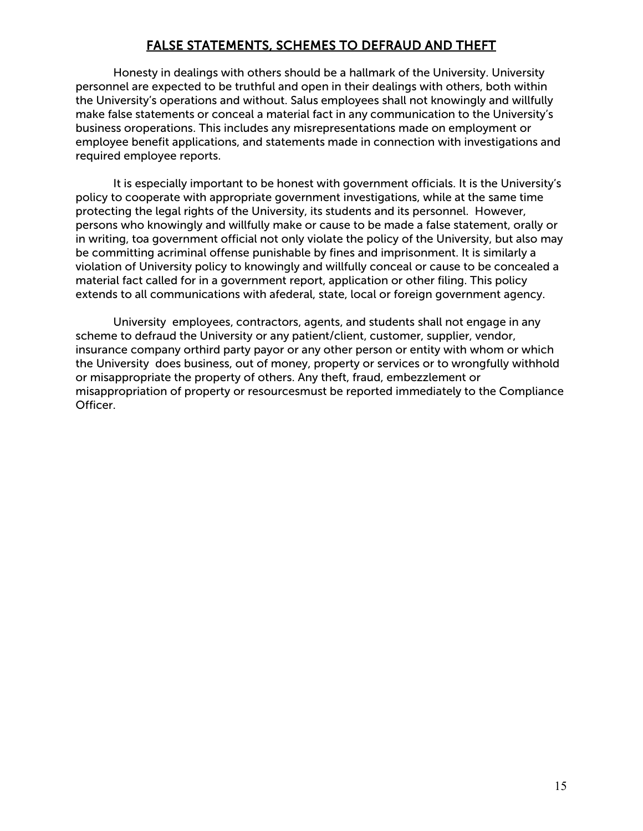# FALSE STATEMENTS, SCHEMES TO DEFRAUD AND THEFT

<span id="page-18-0"></span>Honesty in dealings with others should be a hallmark of the University. University personnel are expected to be truthful and open in their dealings with others, both within the University's operations and without. Salus employees shall not knowingly and willfully make false statements or conceal a material fact in any communication to the University's business oroperations. This includes any misrepresentations made on employment or employee benefit applications, and statements made in connection with investigations and required employee reports.

It is especially important to be honest with government officials. It is the University's policy to cooperate with appropriate government investigations, while at the same time protecting the legal rights of the University, its students and its personnel. However, persons who knowingly and willfully make or cause to be made a false statement, orally or in writing, toa government official not only violate the policy of the University, but also may be committing acriminal offense punishable by fines and imprisonment. It is similarly a violation of University policy to knowingly and willfully conceal or cause to be concealed a material fact called for in a government report, application or other filing. This policy extends to all communications with afederal, state, local or foreign government agency.

University employees, contractors, agents, and students shall not engage in any scheme to defraud the University or any patient/client, customer, supplier, vendor, insurance company orthird party payor or any other person or entity with whom or which the University does business, out of money, property or services or to wrongfully withhold or misappropriate the property of others. Any theft, fraud, embezzlement or misappropriation of property or resourcesmust be reported immediately to the Compliance Officer.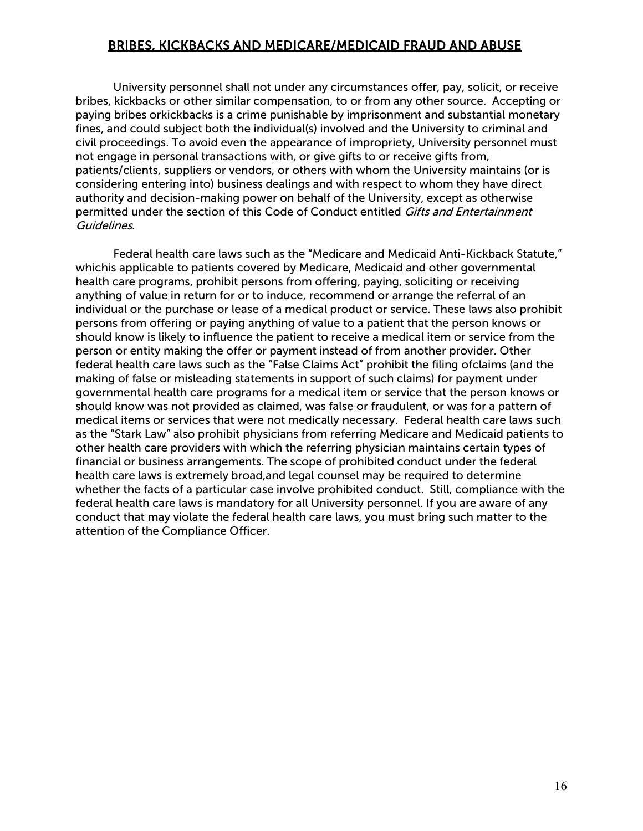## <span id="page-19-0"></span>BRIBES, KICKBACKS AND MEDICARE/MEDICAID FRAUD AND ABUSE

University personnel shall not under any circumstances offer, pay, solicit, or receive bribes, kickbacks or other similar compensation, to or from any other source. Accepting or paying bribes orkickbacks is a crime punishable by imprisonment and substantial monetary fines, and could subject both the individual(s) involved and the University to criminal and civil proceedings. To avoid even the appearance of impropriety, University personnel must not engage in personal transactions with, or give gifts to or receive gifts from, patients/clients, suppliers or vendors, or others with whom the University maintains (or is considering entering into) business dealings and with respect to whom they have direct authority and decision-making power on behalf of the University, except as otherwise permitted under the section of this Code of Conduct entitled Gifts and Entertainment Guidelines.

Federal health care laws such as the "Medicare and Medicaid Anti-Kickback Statute," whichis applicable to patients covered by Medicare, Medicaid and other governmental health care programs, prohibit persons from offering, paying, soliciting or receiving anything of value in return for or to induce, recommend or arrange the referral of an individual or the purchase or lease of a medical product or service. These laws also prohibit persons from offering or paying anything of value to a patient that the person knows or should know is likely to influence the patient to receive a medical item or service from the person or entity making the offer or payment instead of from another provider. Other federal health care laws such as the "False Claims Act" prohibit the filing ofclaims (and the making of false or misleading statements in support of such claims) for payment under governmental health care programs for a medical item or service that the person knows or should know was not provided as claimed, was false or fraudulent, or was for a pattern of medical items or services that were not medically necessary. Federal health care laws such as the "Stark Law" also prohibit physicians from referring Medicare and Medicaid patients to other health care providers with which the referring physician maintains certain types of financial or business arrangements. The scope of prohibited conduct under the federal health care laws is extremely broad,and legal counsel may be required to determine whether the facts of a particular case involve prohibited conduct. Still, compliance with the federal health care laws is mandatory for all University personnel. If you are aware of any conduct that may violate the federal health care laws, you must bring such matter to the attention of the Compliance Officer.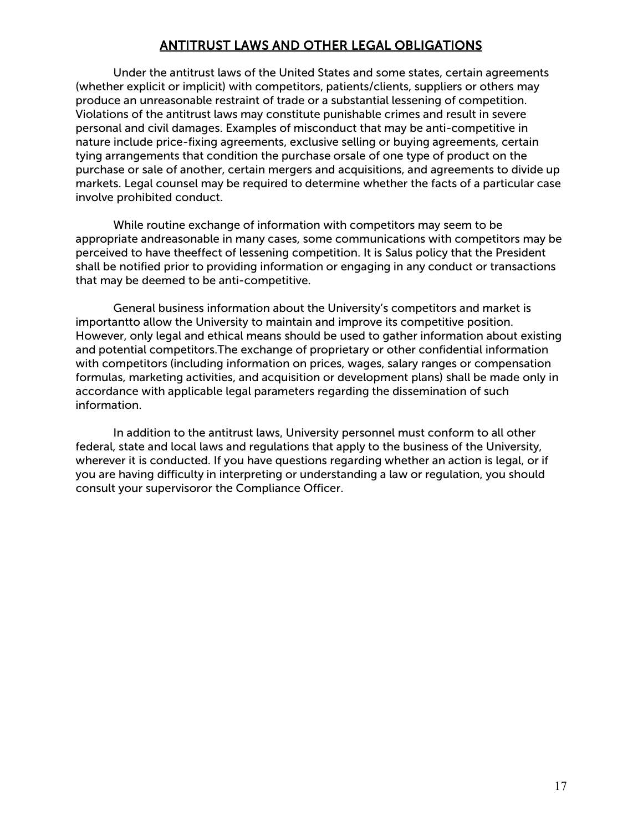# ANTITRUST LAWS AND OTHER LEGAL OBLIGATIONS

<span id="page-20-0"></span>Under the antitrust laws of the United States and some states, certain agreements (whether explicit or implicit) with competitors, patients/clients, suppliers or others may produce an unreasonable restraint of trade or a substantial lessening of competition. Violations of the antitrust laws may constitute punishable crimes and result in severe personal and civil damages. Examples of misconduct that may be anti-competitive in nature include price-fixing agreements, exclusive selling or buying agreements, certain tying arrangements that condition the purchase orsale of one type of product on the purchase or sale of another, certain mergers and acquisitions, and agreements to divide up markets. Legal counsel may be required to determine whether the facts of a particular case involve prohibited conduct.

While routine exchange of information with competitors may seem to be appropriate andreasonable in many cases, some communications with competitors may be perceived to have theeffect of lessening competition. It is Salus policy that the President shall be notified prior to providing information or engaging in any conduct or transactions that may be deemed to be anti-competitive.

General business information about the University's competitors and market is importantto allow the University to maintain and improve its competitive position. However, only legal and ethical means should be used to gather information about existing and potential competitors.The exchange of proprietary or other confidential information with competitors (including information on prices, wages, salary ranges or compensation formulas, marketing activities, and acquisition or development plans) shall be made only in accordance with applicable legal parameters regarding the dissemination of such information.

In addition to the antitrust laws, University personnel must conform to all other federal, state and local laws and regulations that apply to the business of the University, wherever it is conducted. If you have questions regarding whether an action is legal, or if you are having difficulty in interpreting or understanding a law or regulation, you should consult your supervisoror the Compliance Officer.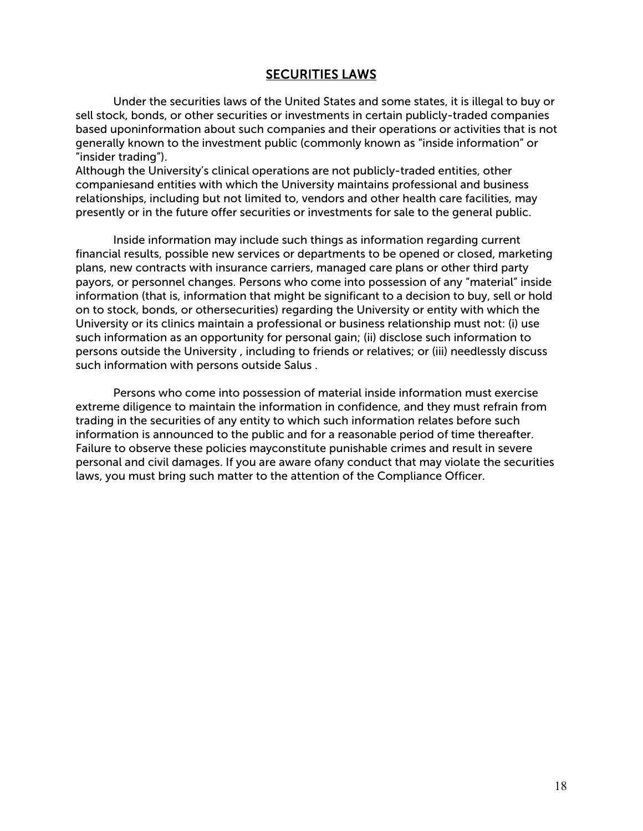## SECURITIES LAWS

<span id="page-21-0"></span>Under the securities laws of the United States and some states, it is illegal to buy or sell stock, bonds, or other securities or investments in certain publicly-traded companies based uponinformation about such companies and their operations or activities that is not generally known to the investment public (commonly known as "inside information" or "insider trading").

Although the University's clinical operations are not publicly-traded entities, other companiesand entities with which the University maintains professional and business relationships, including but not limited to, vendors and other health care facilities, may presently or in the future offer securities or investments for sale to the general public.

Inside information may include such things as information regarding current financial results, possible new services or departments to be opened or closed, marketing plans, new contracts with insurance carriers, managed care plans or other third party payors, or personnel changes. Persons who come into possession of any "material" inside information (that is, information that might be significant to a decision to buy, sell or hold on to stock, bonds, or othersecurities) regarding the University or entity with which the University or its clinics maintain a professional or business relationship must not: (i) use such information as an opportunity for personal gain; (ii) disclose such information to persons outside the University , including to friends or relatives; or (iii) needlessly discuss such information with persons outside Salus .

Persons who come into possession of material inside information must exercise extreme diligence to maintain the information in confidence, and they must refrain from trading in the securities of any entity to which such information relates before such information is announced to the public and for a reasonable period of time thereafter. Failure to observe these policies mayconstitute punishable crimes and result in severe personal and civil damages. If you are aware ofany conduct that may violate the securities laws, you must bring such matter to the attention of the Compliance Officer.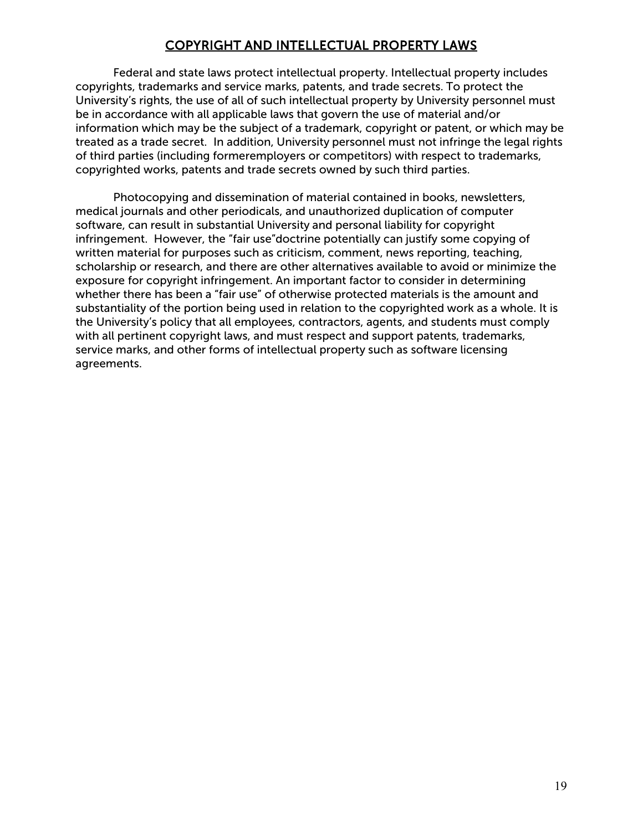# COPYRIGHT AND INTELLECTUAL PROPERTY LAWS

<span id="page-22-0"></span>Federal and state laws protect intellectual property. Intellectual property includes copyrights, trademarks and service marks, patents, and trade secrets. To protect the University's rights, the use of all of such intellectual property by University personnel must be in accordance with all applicable laws that govern the use of material and/or information which may be the subject of a trademark, copyright or patent, or which may be treated as a trade secret. In addition, University personnel must not infringe the legal rights of third parties (including formeremployers or competitors) with respect to trademarks, copyrighted works, patents and trade secrets owned by such third parties.

Photocopying and dissemination of material contained in books, newsletters, medical journals and other periodicals, and unauthorized duplication of computer software, can result in substantial University and personal liability for copyright infringement. However, the "fair use"doctrine potentially can justify some copying of written material for purposes such as criticism, comment, news reporting, teaching, scholarship or research, and there are other alternatives available to avoid or minimize the exposure for copyright infringement. An important factor to consider in determining whether there has been a "fair use" of otherwise protected materials is the amount and substantiality of the portion being used in relation to the copyrighted work as a whole. It is the University's policy that all employees, contractors, agents, and students must comply with all pertinent copyright laws, and must respect and support patents, trademarks, service marks, and other forms of intellectual property such as software licensing agreements.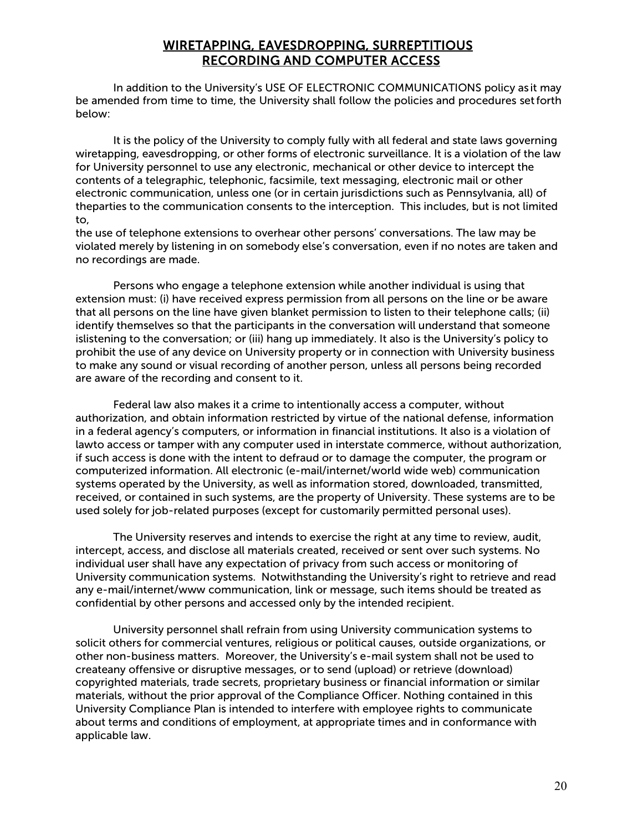#### WIRETAPPING, EAVESDROPPING, SURREPTITIOUS RECORDING AND COMPUTER ACCESS

<span id="page-23-0"></span>In addition to the University's USE OF ELECTRONIC COMMUNICATIONS policy as it may be amended from time to time, the University shall follow the policies and procedures setforth below:

It is the policy of the University to comply fully with all federal and state laws governing wiretapping, eavesdropping, or other forms of electronic surveillance. It is a violation of the law for University personnel to use any electronic, mechanical or other device to intercept the contents of a telegraphic, telephonic, facsimile, text messaging, electronic mail or other electronic communication, unless one (or in certain jurisdictions such as Pennsylvania, all) of theparties to the communication consents to the interception. This includes, but is not limited to,

the use of telephone extensions to overhear other persons' conversations. The law may be violated merely by listening in on somebody else's conversation, even if no notes are taken and no recordings are made.

Persons who engage a telephone extension while another individual is using that extension must: (i) have received express permission from all persons on the line or be aware that all persons on the line have given blanket permission to listen to their telephone calls; (ii) identify themselves so that the participants in the conversation will understand that someone islistening to the conversation; or (iii) hang up immediately. It also is the University's policy to prohibit the use of any device on University property or in connection with University business to make any sound or visual recording of another person, unless all persons being recorded are aware of the recording and consent to it.

Federal law also makes it a crime to intentionally access a computer, without authorization, and obtain information restricted by virtue of the national defense, information in a federal agency's computers, or information in financial institutions. It also is a violation of lawto access or tamper with any computer used in interstate commerce, without authorization, if such access is done with the intent to defraud or to damage the computer, the program or computerized information. All electronic (e-mail/internet/world wide web) communication systems operated by the University, as well as information stored, downloaded, transmitted, received, or contained in such systems, are the property of University. These systems are to be used solely for job-related purposes (except for customarily permitted personal uses).

The University reserves and intends to exercise the right at any time to review, audit, intercept, access, and disclose all materials created, received or sent over such systems. No individual user shall have any expectation of privacy from such access or monitoring of University communication systems. Notwithstanding the University's right to retrieve and read any e-mail/internet/www communication, link or message, such items should be treated as confidential by other persons and accessed only by the intended recipient.

University personnel shall refrain from using University communication systems to solicit others for commercial ventures, religious or political causes, outside organizations, or other non-business matters. Moreover, the University's e-mail system shall not be used to createany offensive or disruptive messages, or to send (upload) or retrieve (download) copyrighted materials, trade secrets, proprietary business or financial information or similar materials, without the prior approval of the Compliance Officer. Nothing contained in this University Compliance Plan is intended to interfere with employee rights to communicate about terms and conditions of employment, at appropriate times and in conformance with applicable law.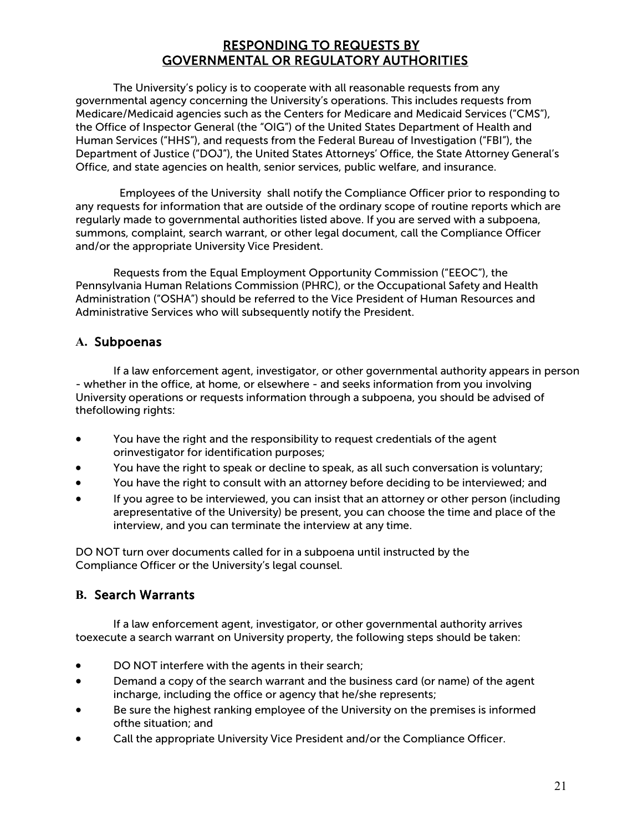# RESPONDING TO REQUESTS BY GOVERNMENTAL OR REGULATORY AUTHORITIES

<span id="page-24-0"></span>The University's policy is to cooperate with all reasonable requests from any governmental agency concerning the University's operations. This includes requests from Medicare/Medicaid agencies such as the Centers for Medicare and Medicaid Services ("CMS"), the Office of Inspector General (the "OIG") of the United States Department of Health and Human Services ("HHS"), and requests from the Federal Bureau of Investigation ("FBI"), the Department of Justice ("DOJ"), the United States Attorneys' Office, the State Attorney General's Office, and state agencies on health, senior services, public welfare, and insurance.

Employees of the University shall notify the Compliance Officer prior to responding to any requests for information that are outside of the ordinary scope of routine reports which are regularly made to governmental authorities listed above. If you are served with a subpoena, summons, complaint, search warrant, or other legal document, call the Compliance Officer and/or the appropriate University Vice President.

Requests from the Equal Employment Opportunity Commission ("EEOC"), the Pennsylvania Human Relations Commission (PHRC), or the Occupational Safety and Health Administration ("OSHA") should be referred to the Vice President of Human Resources and Administrative Services who will subsequently notify the President.

#### **A.** Subpoenas

If a law enforcement agent, investigator, or other governmental authority appears in person - whether in the office, at home, or elsewhere - and seeks information from you involving University operations or requests information through a subpoena, you should be advised of thefollowing rights:

- You have the right and the responsibility to request credentials of the agent orinvestigator for identification purposes;
- You have the right to speak or decline to speak, as all such conversation is voluntary;
- You have the right to consult with an attorney before deciding to be interviewed; and
- If you agree to be interviewed, you can insist that an attorney or other person (including arepresentative of the University) be present, you can choose the time and place of the interview, and you can terminate the interview at any time.

DO NOT turn over documents called for in a subpoena until instructed by the Compliance Officer or the University's legal counsel.

#### **B.** Search Warrants

If a law enforcement agent, investigator, or other governmental authority arrives toexecute a search warrant on University property, the following steps should be taken:

- DO NOT interfere with the agents in their search;
- Demand a copy of the search warrant and the business card (or name) of the agent incharge, including the office or agency that he/she represents;
- Be sure the highest ranking employee of the University on the premises is informed ofthe situation; and
- Call the appropriate University Vice President and/or the Compliance Officer.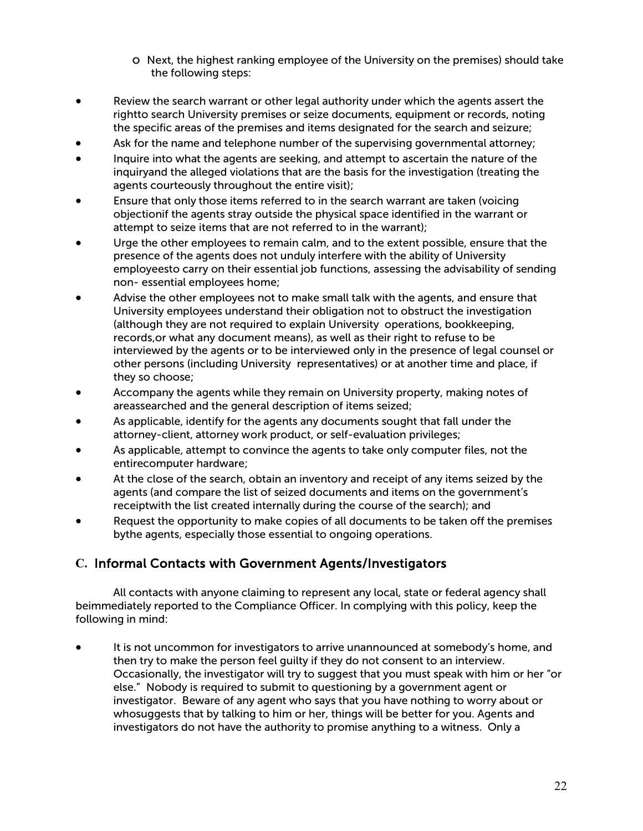- o Next, the highest ranking employee of the University on the premises) should take the following steps:
- Review the search warrant or other legal authority under which the agents assert the rightto search University premises or seize documents, equipment or records, noting the specific areas of the premises and items designated for the search and seizure;
- Ask for the name and telephone number of the supervising governmental attorney;
- Inquire into what the agents are seeking, and attempt to ascertain the nature of the inquiryand the alleged violations that are the basis for the investigation (treating the agents courteously throughout the entire visit);
- Ensure that only those items referred to in the search warrant are taken (voicing objectionif the agents stray outside the physical space identified in the warrant or attempt to seize items that are not referred to in the warrant);
- Urge the other employees to remain calm, and to the extent possible, ensure that the presence of the agents does not unduly interfere with the ability of University employeesto carry on their essential job functions, assessing the advisability of sending non- essential employees home;
- Advise the other employees not to make small talk with the agents, and ensure that University employees understand their obligation not to obstruct the investigation (although they are not required to explain University operations, bookkeeping, records,or what any document means), as well as their right to refuse to be interviewed by the agents or to be interviewed only in the presence of legal counsel or other persons (including University representatives) or at another time and place, if they so choose;
- Accompany the agents while they remain on University property, making notes of areassearched and the general description of items seized;
- As applicable, identify for the agents any documents sought that fall under the attorney-client, attorney work product, or self-evaluation privileges;
- As applicable, attempt to convince the agents to take only computer files, not the entirecomputer hardware;
- At the close of the search, obtain an inventory and receipt of any items seized by the agents (and compare the list of seized documents and items on the government's receiptwith the list created internally during the course of the search); and
- Request the opportunity to make copies of all documents to be taken off the premises bythe agents, especially those essential to ongoing operations.

#### **C.** Informal Contacts with Government Agents/Investigators

All contacts with anyone claiming to represent any local, state or federal agency shall beimmediately reported to the Compliance Officer. In complying with this policy, keep the following in mind:

It is not uncommon for investigators to arrive unannounced at somebody's home, and then try to make the person feel guilty if they do not consent to an interview. Occasionally, the investigator will try to suggest that you must speak with him or her "or else." Nobody is required to submit to questioning by a government agent or investigator. Beware of any agent who says that you have nothing to worry about or whosuggests that by talking to him or her, things will be better for you. Agents and investigators do not have the authority to promise anything to a witness. Only a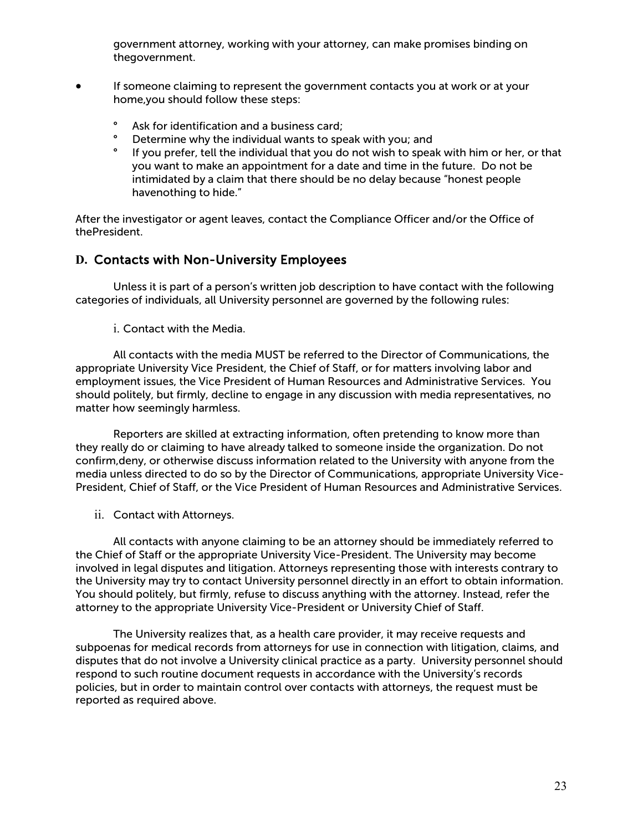government attorney, working with your attorney, can make promises binding on thegovernment.

- If someone claiming to represent the government contacts you at work or at your home,you should follow these steps:
	- Ask for identification and a business card;<br>• Determine why the individual wants to spe
	- ° Determine why the individual wants to speak with you; and<br>• If you prefer tell the individual that you do not wish to spea
	- ° If you prefer, tell the individual that you do not wish to speak with him or her, or that you want to make an appointment for a date and time in the future. Do not be intimidated by a claim that there should be no delay because "honest people havenothing to hide."

After the investigator or agent leaves, contact the Compliance Officer and/or the Office of thePresident.

#### **D.** Contacts with Non-University Employees

Unless it is part of a person's written job description to have contact with the following categories of individuals, all University personnel are governed by the following rules:

i. Contact with the Media.

All contacts with the media MUST be referred to the Director of Communications, the appropriate University Vice President, the Chief of Staff, or for matters involving labor and employment issues, the Vice President of Human Resources and Administrative Services. You should politely, but firmly, decline to engage in any discussion with media representatives, no matter how seemingly harmless.

Reporters are skilled at extracting information, often pretending to know more than they really do or claiming to have already talked to someone inside the organization. Do not confirm,deny, or otherwise discuss information related to the University with anyone from the media unless directed to do so by the Director of Communications, appropriate University Vice-President, Chief of Staff, or the Vice President of Human Resources and Administrative Services.

ii. Contact with Attorneys.

All contacts with anyone claiming to be an attorney should be immediately referred to the Chief of Staff or the appropriate University Vice-President. The University may become involved in legal disputes and litigation. Attorneys representing those with interests contrary to the University may try to contact University personnel directly in an effort to obtain information. You should politely, but firmly, refuse to discuss anything with the attorney. Instead, refer the attorney to the appropriate University Vice-President or University Chief of Staff.

The University realizes that, as a health care provider, it may receive requests and subpoenas for medical records from attorneys for use in connection with litigation, claims, and disputes that do not involve a University clinical practice as a party. University personnel should respond to such routine document requests in accordance with the University's records policies, but in order to maintain control over contacts with attorneys, the request must be reported as required above.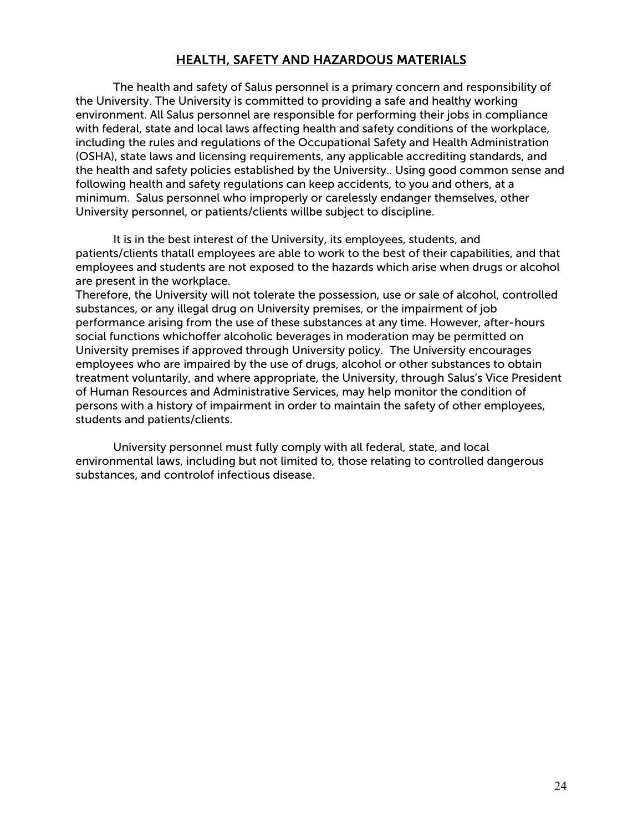## HEALTH, SAFETY AND HAZARDOUS MATERIALS

<span id="page-27-0"></span>The health and safety of Salus personnel is a primary concern and responsibility of the University. The University is committed to providing a safe and healthy working environment. All Salus personnel are responsible for performing their jobs in compliance with federal, state and local laws affecting health and safety conditions of the workplace, including the rules and regulations of the Occupational Safety and Health Administration (OSHA), state laws and licensing requirements, any applicable accrediting standards, and the health and safety policies established by the University.. Using good common sense and following health and safety regulations can keep accidents, to you and others, at a minimum. Salus personnel who improperly or carelessly endanger themselves, other University personnel, or patients/clients willbe subject to discipline.

It is in the best interest of the University, its employees, students, and patients/clients thatall employees are able to work to the best of their capabilities, and that employees and students are not exposed to the hazards which arise when drugs or alcohol are present in the workplace.

Therefore, the University will not tolerate the possession, use or sale of alcohol, controlled substances, or any illegal drug on University premises, or the impairment of job performance arising from the use of these substances at any time. However, after-hours social functions whichoffer alcoholic beverages in moderation may be permitted on University premises if approved through University policy. The University encourages employees who are impaired by the use of drugs, alcohol or other substances to obtain treatment voluntarily, and where appropriate, the University, through Salus's Vice President of Human Resources and Administrative Services, may help monitor the condition of persons with a history of impairment in order to maintain the safety of other employees, students and patients/clients.

University personnel must fully comply with all federal, state, and local environmental laws, including but not limited to, those relating to controlled dangerous substances, and controlof infectious disease.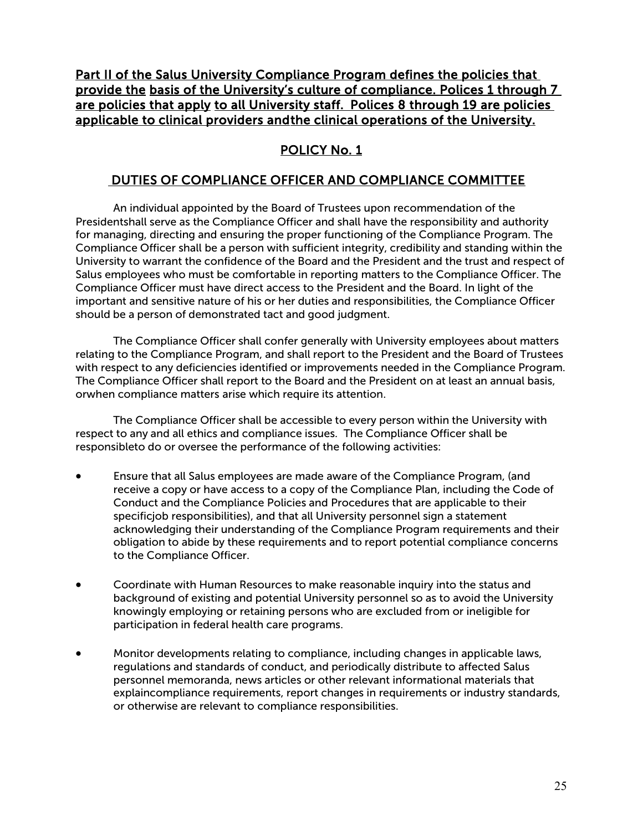Part II of the Salus University Compliance Program defines the policies that provide the basis of the University's culture of compliance. Polices 1 through 7 are policies that apply to all University staff. Polices 8 through 19 are policies applicable to clinical providers and the clinical operations of the University.

# POLICY No. 1

# DUTIES OF COMPLIANCE OFFICER AND COMPLIANCE COMMITTEE

An individual appointed by the Board of Trustees upon recommendation of the Presidentshall serve as the Compliance Officer and shall have the responsibility and authority for managing, directing and ensuring the proper functioning of the Compliance Program. The Compliance Officer shall be a person with sufficient integrity, credibility and standing within the University to warrant the confidence of the Board and the President and the trust and respect of Salus employees who must be comfortable in reporting matters to the Compliance Officer. The Compliance Officer must have direct access to the President and the Board. In light of the important and sensitive nature of his or her duties and responsibilities, the Compliance Officer should be a person of demonstrated tact and good judgment.

The Compliance Officer shall confer generally with University employees about matters relating to the Compliance Program, and shall report to the President and the Board of Trustees with respect to any deficiencies identified or improvements needed in the Compliance Program. The Compliance Officer shall report to the Board and the President on at least an annual basis, orwhen compliance matters arise which require its attention.

The Compliance Officer shall be accessible to every person within the University with respect to any and all ethics and compliance issues. The Compliance Officer shall be responsibleto do or oversee the performance of the following activities:

- Ensure that all Salus employees are made aware of the Compliance Program, (and receive a copy or have access to a copy of the Compliance Plan, including the Code of Conduct and the Compliance Policies and Procedures that are applicable to their specificjob responsibilities), and that all University personnel sign a statement acknowledging their understanding of the Compliance Program requirements and their obligation to abide by these requirements and to report potential compliance concerns to the Compliance Officer.
- Coordinate with Human Resources to make reasonable inquiry into the status and background of existing and potential University personnel so as to avoid the University knowingly employing or retaining persons who are excluded from or ineligible for participation in federal health care programs.
- Monitor developments relating to compliance, including changes in applicable laws, regulations and standards of conduct, and periodically distribute to affected Salus personnel memoranda, news articles or other relevant informational materials that explaincompliance requirements, report changes in requirements or industry standards, or otherwise are relevant to compliance responsibilities.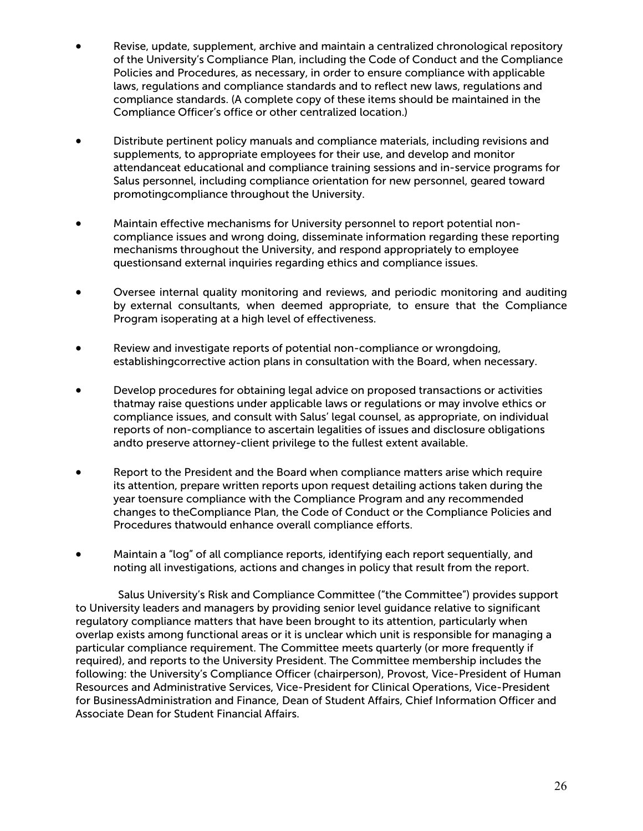- Revise, update, supplement, archive and maintain a centralized chronological repository of the University's Compliance Plan, including the Code of Conduct and the Compliance Policies and Procedures, as necessary, in order to ensure compliance with applicable laws, regulations and compliance standards and to reflect new laws, regulations and compliance standards. (A complete copy of these items should be maintained in the Compliance Officer's office or other centralized location.)
- Distribute pertinent policy manuals and compliance materials, including revisions and supplements, to appropriate employees for their use, and develop and monitor attendanceat educational and compliance training sessions and in-service programs for Salus personnel, including compliance orientation for new personnel, geared toward promotingcompliance throughout the University.
- Maintain effective mechanisms for University personnel to report potential noncompliance issues and wrong doing, disseminate information regarding these reporting mechanisms throughout the University, and respond appropriately to employee questionsand external inquiries regarding ethics and compliance issues.
- Oversee internal quality monitoring and reviews, and periodic monitoring and auditing by external consultants, when deemed appropriate, to ensure that the Compliance Program isoperating at a high level of effectiveness.
- Review and investigate reports of potential non-compliance or wrongdoing, establishingcorrective action plans in consultation with the Board, when necessary.
- Develop procedures for obtaining legal advice on proposed transactions or activities thatmay raise questions under applicable laws or regulations or may involve ethics or compliance issues, and consult with Salus' legal counsel, as appropriate, on individual reports of non-compliance to ascertain legalities of issues and disclosure obligations andto preserve attorney-client privilege to the fullest extent available.
- Report to the President and the Board when compliance matters arise which require its attention, prepare written reports upon request detailing actions taken during the year toensure compliance with the Compliance Program and any recommended changes to theCompliance Plan, the Code of Conduct or the Compliance Policies and Procedures thatwould enhance overall compliance efforts.
- Maintain a "log" of all compliance reports, identifying each report sequentially, and noting all investigations, actions and changes in policy that result from the report.

Salus University's Risk and Compliance Committee ("the Committee") provides support to University leaders and managers by providing senior level guidance relative to significant regulatory compliance matters that have been brought to its attention, particularly when overlap exists among functional areas or it is unclear which unit is responsible for managing a particular compliance requirement. The Committee meets quarterly (or more frequently if required), and reports to the University President. The Committee membership includes the following: the University's Compliance Officer (chairperson), Provost, Vice-President of Human Resources and Administrative Services, Vice-President for Clinical Operations, Vice-President for BusinessAdministration and Finance, Dean of Student Affairs, Chief Information Officer and Associate Dean for Student Financial Affairs.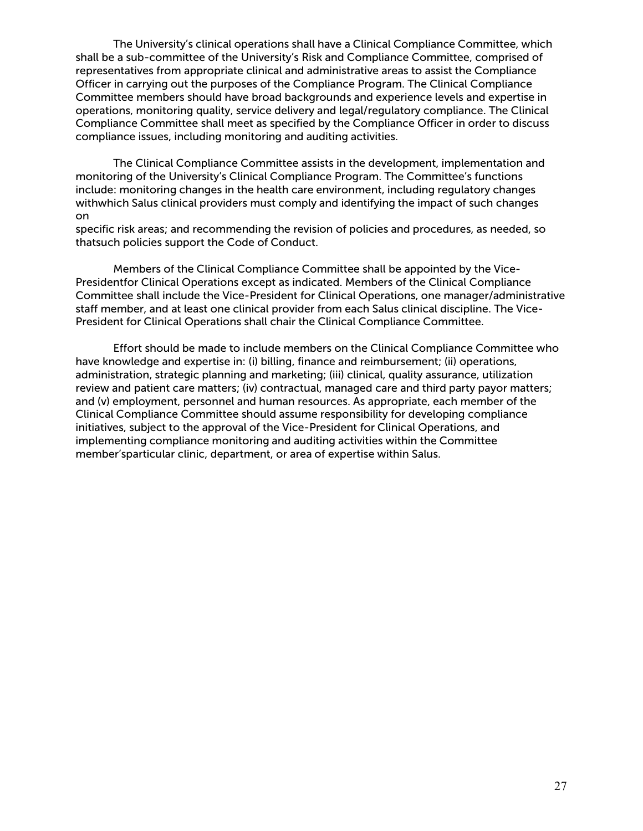The University's clinical operations shall have a Clinical Compliance Committee, which shall be a sub-committee of the University's Risk and Compliance Committee, comprised of representatives from appropriate clinical and administrative areas to assist the Compliance Officer in carrying out the purposes of the Compliance Program. The Clinical Compliance Committee members should have broad backgrounds and experience levels and expertise in operations, monitoring quality, service delivery and legal/regulatory compliance. The Clinical Compliance Committee shall meet as specified by the Compliance Officer in order to discuss compliance issues, including monitoring and auditing activities.

The Clinical Compliance Committee assists in the development, implementation and monitoring of the University's Clinical Compliance Program. The Committee's functions include: monitoring changes in the health care environment, including regulatory changes withwhich Salus clinical providers must comply and identifying the impact of such changes on

specific risk areas; and recommending the revision of policies and procedures, as needed, so thatsuch policies support the Code of Conduct.

Members of the Clinical Compliance Committee shall be appointed by the Vice-Presidentfor Clinical Operations except as indicated. Members of the Clinical Compliance Committee shall include the Vice-President for Clinical Operations, one manager/administrative staff member, and at least one clinical provider from each Salus clinical discipline. The Vice-President for Clinical Operations shall chair the Clinical Compliance Committee.

Effort should be made to include members on the Clinical Compliance Committee who have knowledge and expertise in: (i) billing, finance and reimbursement; (ii) operations, administration, strategic planning and marketing; (iii) clinical, quality assurance, utilization review and patient care matters; (iv) contractual, managed care and third party payor matters; and (v) employment, personnel and human resources. As appropriate, each member of the Clinical Compliance Committee should assume responsibility for developing compliance initiatives, subject to the approval of the Vice-President for Clinical Operations, and implementing compliance monitoring and auditing activities within the Committee member'sparticular clinic, department, or area of expertise within Salus.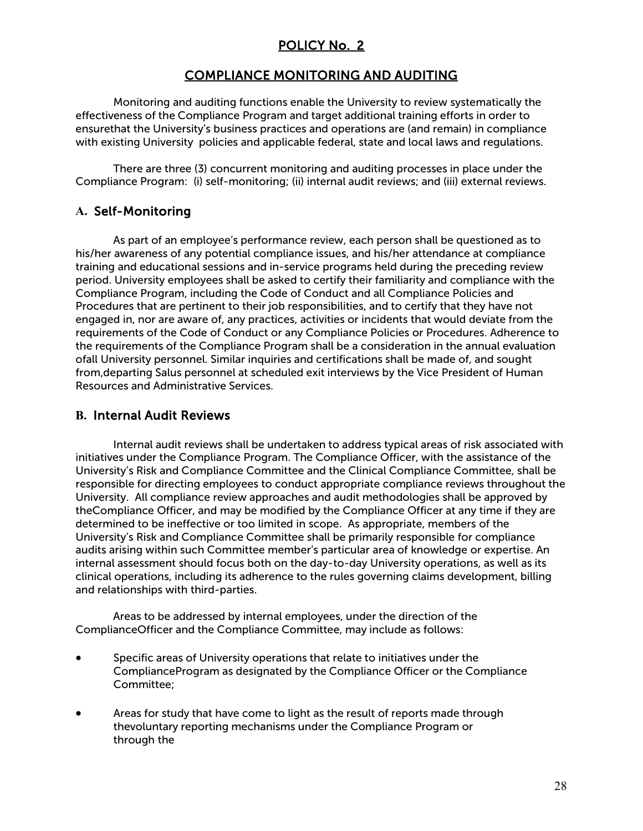# POLICY No. 2

## COMPLIANCE MONITORING AND AUDITING

Monitoring and auditing functions enable the University to review systematically the effectiveness of the Compliance Program and target additional training efforts in order to ensurethat the University's business practices and operations are (and remain) in compliance with existing University policies and applicable federal, state and local laws and regulations.

There are three (3) concurrent monitoring and auditing processes in place under the Compliance Program: (i) self-monitoring; (ii) internal audit reviews; and (iii) external reviews.

#### **A.** Self-Monitoring

As part of an employee's performance review, each person shall be questioned as to his/her awareness of any potential compliance issues, and his/her attendance at compliance training and educational sessions and in-service programs held during the preceding review period. University employees shall be asked to certify their familiarity and compliance with the Compliance Program, including the Code of Conduct and all Compliance Policies and Procedures that are pertinent to their job responsibilities, and to certify that they have not engaged in, nor are aware of, any practices, activities or incidents that would deviate from the requirements of the Code of Conduct or any Compliance Policies or Procedures. Adherence to the requirements of the Compliance Program shall be a consideration in the annual evaluation ofall University personnel. Similar inquiries and certifications shall be made of, and sought from,departing Salus personnel at scheduled exit interviews by the Vice President of Human Resources and Administrative Services.

## **B.** Internal Audit Reviews

Internal audit reviews shall be undertaken to address typical areas of risk associated with initiatives under the Compliance Program. The Compliance Officer, with the assistance of the University's Risk and Compliance Committee and the Clinical Compliance Committee, shall be responsible for directing employees to conduct appropriate compliance reviews throughout the University. All compliance review approaches and audit methodologies shall be approved by theCompliance Officer, and may be modified by the Compliance Officer at any time if they are determined to be ineffective or too limited in scope. As appropriate, members of the University's Risk and Compliance Committee shall be primarily responsible for compliance audits arising within such Committee member's particular area of knowledge or expertise. An internal assessment should focus both on the day-to-day University operations, as well as its clinical operations, including its adherence to the rules governing claims development, billing and relationships with third-parties.

Areas to be addressed by internal employees, under the direction of the ComplianceOfficer and the Compliance Committee, may include as follows:

- Specific areas of University operations that relate to initiatives under the ComplianceProgram as designated by the Compliance Officer or the Compliance Committee;
- Areas for study that have come to light as the result of reports made through thevoluntary reporting mechanisms under the Compliance Program or through the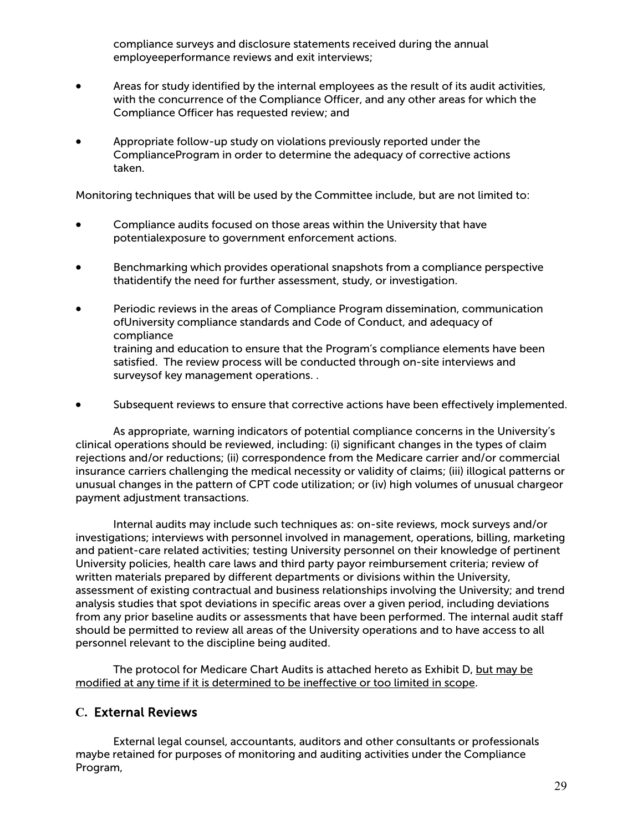compliance surveys and disclosure statements received during the annual employeeperformance reviews and exit interviews;

- Areas for study identified by the internal employees as the result of its audit activities, with the concurrence of the Compliance Officer, and any other areas for which the Compliance Officer has requested review; and
- Appropriate follow-up study on violations previously reported under the ComplianceProgram in order to determine the adequacy of corrective actions taken.

Monitoring techniques that will be used by the Committee include, but are not limited to:

- Compliance audits focused on those areas within the University that have potentialexposure to government enforcement actions.
- Benchmarking which provides operational snapshots from a compliance perspective thatidentify the need for further assessment, study, or investigation.
- Periodic reviews in the areas of Compliance Program dissemination, communication ofUniversity compliance standards and Code of Conduct, and adequacy of compliance training and education to ensure that the Program's compliance elements have been satisfied. The review process will be conducted through on-site interviews and surveysof key management operations. .
- Subsequent reviews to ensure that corrective actions have been effectively implemented.

As appropriate, warning indicators of potential compliance concerns in the University's clinical operations should be reviewed, including: (i) significant changes in the types of claim rejections and/or reductions; (ii) correspondence from the Medicare carrier and/or commercial insurance carriers challenging the medical necessity or validity of claims; (iii) illogical patterns or unusual changes in the pattern of CPT code utilization; or (iv) high volumes of unusual chargeor payment adjustment transactions.

Internal audits may include such techniques as: on-site reviews, mock surveys and/or investigations; interviews with personnel involved in management, operations, billing, marketing and patient-care related activities; testing University personnel on their knowledge of pertinent University policies, health care laws and third party payor reimbursement criteria; review of written materials prepared by different departments or divisions within the University, assessment of existing contractual and business relationships involving the University; and trend analysis studies that spot deviations in specific areas over a given period, including deviations from any prior baseline audits or assessments that have been performed. The internal audit staff should be permitted to review all areas of the University operations and to have access to all personnel relevant to the discipline being audited.

The protocol for Medicare Chart Audits is attached hereto as Exhibit D, but may be modified at any time if it is determined to be ineffective or too limited in scope.

#### **C.** External Reviews

External legal counsel, accountants, auditors and other consultants or professionals maybe retained for purposes of monitoring and auditing activities under the Compliance Program,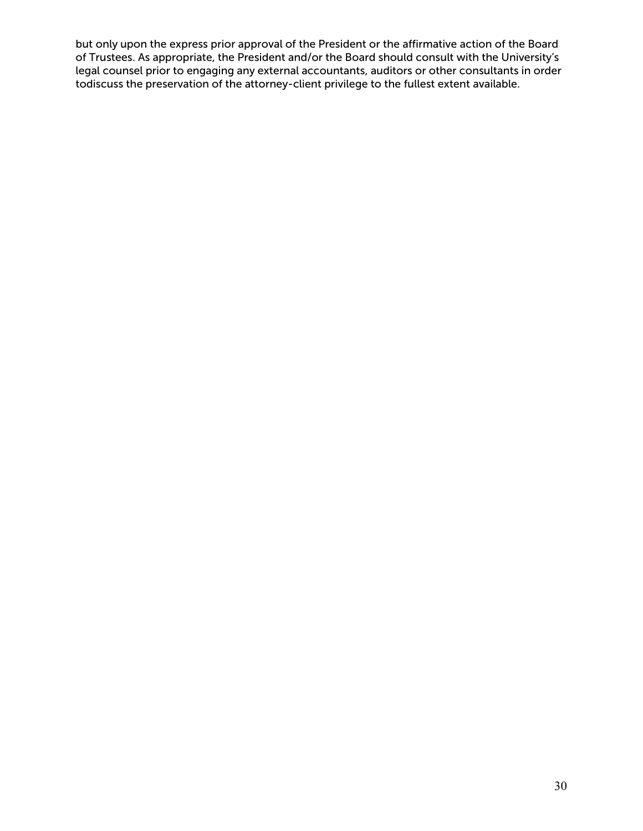but only upon the express prior approval of the President or the affirmative action of the Board of Trustees. As appropriate, the President and/or the Board should consult with the University's legal counsel prior to engaging any external accountants, auditors or other consultants in order todiscuss the preservation of the attorney-client privilege to the fullest extent available.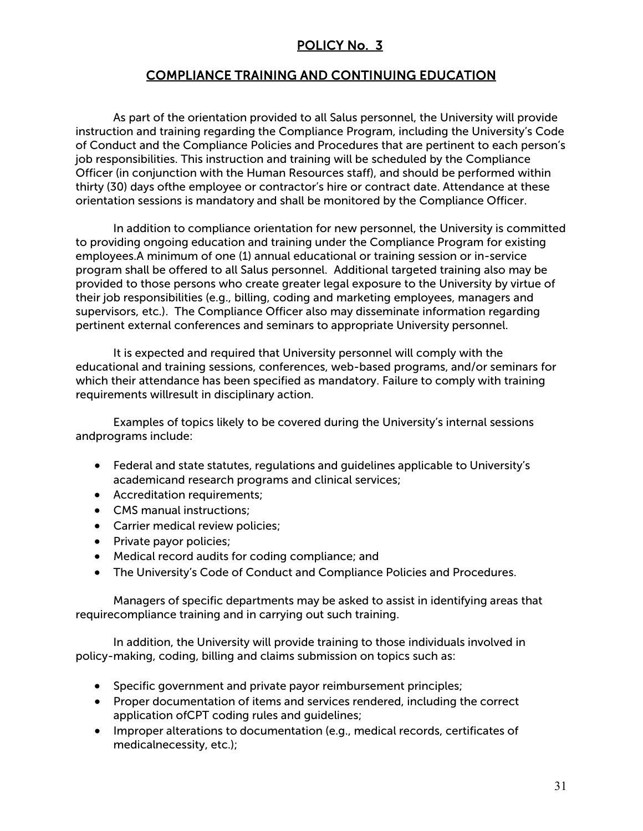# POLICY No. 3

#### COMPLIANCE TRAINING AND CONTINUING EDUCATION

As part of the orientation provided to all Salus personnel, the University will provide instruction and training regarding the Compliance Program, including the University's Code of Conduct and the Compliance Policies and Procedures that are pertinent to each person's job responsibilities. This instruction and training will be scheduled by the Compliance Officer (in conjunction with the Human Resources staff), and should be performed within thirty (30) days ofthe employee or contractor's hire or contract date. Attendance at these orientation sessions is mandatory and shall be monitored by the Compliance Officer.

In addition to compliance orientation for new personnel, the University is committed to providing ongoing education and training under the Compliance Program for existing employees.A minimum of one (1) annual educational or training session or in-service program shall be offered to all Salus personnel. Additional targeted training also may be provided to those persons who create greater legal exposure to the University by virtue of their job responsibilities (e.g., billing, coding and marketing employees, managers and supervisors, etc.). The Compliance Officer also may disseminate information regarding pertinent external conferences and seminars to appropriate University personnel.

It is expected and required that University personnel will comply with the educational and training sessions, conferences, web-based programs, and/or seminars for which their attendance has been specified as mandatory. Failure to comply with training requirements willresult in disciplinary action.

Examples of topics likely to be covered during the University's internal sessions andprograms include:

- Federal and state statutes, regulations and guidelines applicable to University's academicand research programs and clinical services;
- Accreditation requirements;
- CMS manual instructions;
- Carrier medical review policies;
- Private payor policies;
- Medical record audits for coding compliance; and
- The University's Code of Conduct and Compliance Policies and Procedures.

Managers of specific departments may be asked to assist in identifying areas that requirecompliance training and in carrying out such training.

In addition, the University will provide training to those individuals involved in policy-making, coding, billing and claims submission on topics such as:

- Specific government and private payor reimbursement principles;
- Proper documentation of items and services rendered, including the correct application ofCPT coding rules and guidelines;
- Improper alterations to documentation (e.g., medical records, certificates of medicalnecessity, etc.);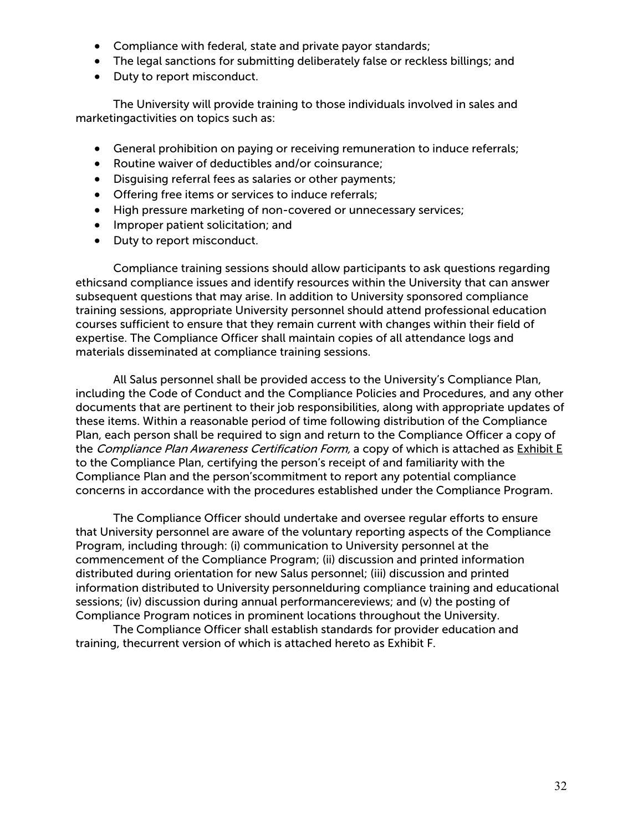- Compliance with federal, state and private payor standards;
- The legal sanctions for submitting deliberately false or reckless billings; and
- Duty to report misconduct.

The University will provide training to those individuals involved in sales and marketingactivities on topics such as:

- General prohibition on paying or receiving remuneration to induce referrals;
- Routine waiver of deductibles and/or coinsurance;
- Disguising referral fees as salaries or other payments;
- Offering free items or services to induce referrals;
- High pressure marketing of non-covered or unnecessary services;
- Improper patient solicitation; and
- Duty to report misconduct.

Compliance training sessions should allow participants to ask questions regarding ethicsand compliance issues and identify resources within the University that can answer subsequent questions that may arise. In addition to University sponsored compliance training sessions, appropriate University personnel should attend professional education courses sufficient to ensure that they remain current with changes within their field of expertise. The Compliance Officer shall maintain copies of all attendance logs and materials disseminated at compliance training sessions.

All Salus personnel shall be provided access to the University's Compliance Plan, including the Code of Conduct and the Compliance Policies and Procedures, and any other documents that are pertinent to their job responsibilities, along with appropriate updates of these items. Within a reasonable period of time following distribution of the Compliance Plan, each person shall be required to sign and return to the Compliance Officer a copy of the Compliance Plan Awareness Certification Form, a copy of which is attached as Exhibit E to the Compliance Plan, certifying the person's receipt of and familiarity with the Compliance Plan and the person'scommitment to report any potential compliance concerns in accordance with the procedures established under the Compliance Program.

The Compliance Officer should undertake and oversee regular efforts to ensure that University personnel are aware of the voluntary reporting aspects of the Compliance Program, including through: (i) communication to University personnel at the commencement of the Compliance Program; (ii) discussion and printed information distributed during orientation for new Salus personnel; (iii) discussion and printed information distributed to University personnelduring compliance training and educational sessions; (iv) discussion during annual performancereviews; and (v) the posting of Compliance Program notices in prominent locations throughout the University.

The Compliance Officer shall establish standards for provider education and training, thecurrent version of which is attached hereto as Exhibit F.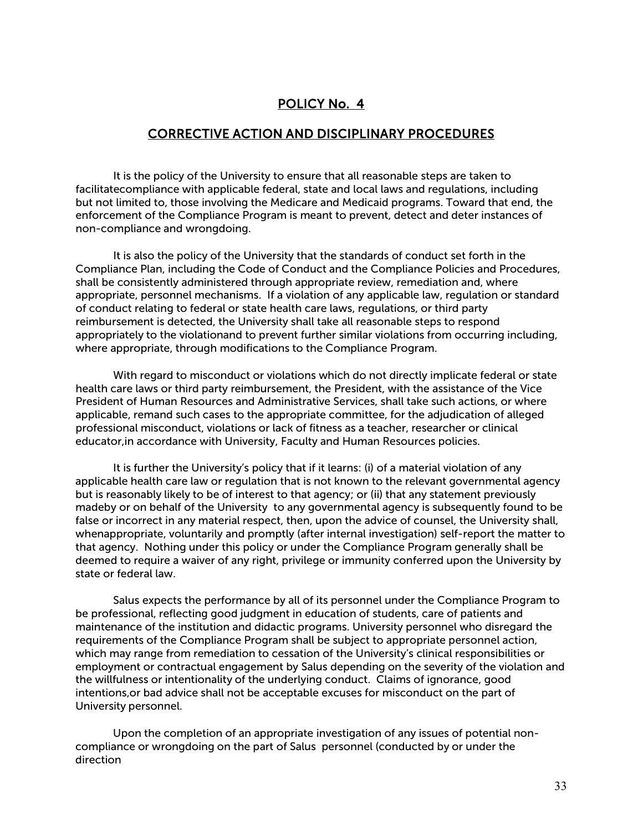#### CORRECTIVE ACTION AND DISCIPLINARY PROCEDURES

It is the policy of the University to ensure that all reasonable steps are taken to facilitatecompliance with applicable federal, state and local laws and regulations, including but not limited to, those involving the Medicare and Medicaid programs. Toward that end, the enforcement of the Compliance Program is meant to prevent, detect and deter instances of non-compliance and wrongdoing.

It is also the policy of the University that the standards of conduct set forth in the Compliance Plan, including the Code of Conduct and the Compliance Policies and Procedures, shall be consistently administered through appropriate review, remediation and, where appropriate, personnel mechanisms. If a violation of any applicable law, regulation or standard of conduct relating to federal or state health care laws, regulations, or third party reimbursement is detected, the University shall take all reasonable steps to respond appropriately to the violationand to prevent further similar violations from occurring including, where appropriate, through modifications to the Compliance Program.

With regard to misconduct or violations which do not directly implicate federal or state health care laws or third party reimbursement, the President, with the assistance of the Vice President of Human Resources and Administrative Services, shall take such actions, or where applicable, remand such cases to the appropriate committee, for the adjudication of alleged professional misconduct, violations or lack of fitness as a teacher, researcher or clinical educator,in accordance with University, Faculty and Human Resources policies.

It is further the University's policy that if it learns: (i) of a material violation of any applicable health care law or regulation that is not known to the relevant governmental agency but is reasonably likely to be of interest to that agency; or (ii) that any statement previously madeby or on behalf of the University to any governmental agency is subsequently found to be false or incorrect in any material respect, then, upon the advice of counsel, the University shall, whenappropriate, voluntarily and promptly (after internal investigation) self-report the matter to that agency. Nothing under this policy or under the Compliance Program generally shall be deemed to require a waiver of any right, privilege or immunity conferred upon the University by state or federal law.

Salus expects the performance by all of its personnel under the Compliance Program to be professional, reflecting good judgment in education of students, care of patients and maintenance of the institution and didactic programs. University personnel who disregard the requirements of the Compliance Program shall be subject to appropriate personnel action, which may range from remediation to cessation of the University's clinical responsibilities or employment or contractual engagement by Salus depending on the severity of the violation and the willfulness or intentionality of the underlying conduct. Claims of ignorance, good intentions,or bad advice shall not be acceptable excuses for misconduct on the part of University personnel.

Upon the completion of an appropriate investigation of any issues of potential noncompliance or wrongdoing on the part of Salus personnel (conducted by or under the direction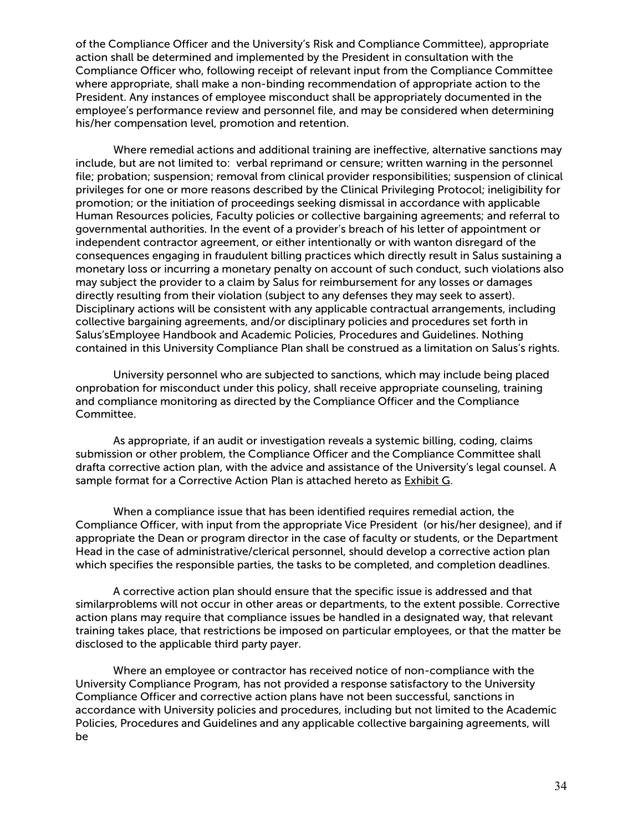of the Compliance Officer and the University's Risk and Compliance Committee), appropriate action shall be determined and implemented by the President in consultation with the Compliance Officer who, following receipt of relevant input from the Compliance Committee where appropriate, shall make a non-binding recommendation of appropriate action to the President. Any instances of employee misconduct shall be appropriately documented in the employee's performance review and personnel file, and may be considered when determining his/her compensation level, promotion and retention.

Where remedial actions and additional training are ineffective, alternative sanctions may include, but are not limited to: verbal reprimand or censure; written warning in the personnel file; probation; suspension; removal from clinical provider responsibilities; suspension of clinical privileges for one or more reasons described by the Clinical Privileging Protocol; ineligibility for promotion; or the initiation of proceedings seeking dismissal in accordance with applicable Human Resources policies, Faculty policies or collective bargaining agreements; and referral to governmental authorities. In the event of a provider's breach of his letter of appointment or independent contractor agreement, or either intentionally or with wanton disregard of the consequences engaging in fraudulent billing practices which directly result in Salus sustaining a monetary loss or incurring a monetary penalty on account of such conduct, such violations also may subject the provider to a claim by Salus for reimbursement for any losses or damages directly resulting from their violation (subject to any defenses they may seek to assert). Disciplinary actions will be consistent with any applicable contractual arrangements, including collective bargaining agreements, and/or disciplinary policies and procedures set forth in Salus'sEmployee Handbook and Academic Policies, Procedures and Guidelines. Nothing contained in this University Compliance Plan shall be construed as a limitation on Salus's rights.

University personnel who are subjected to sanctions, which may include being placed onprobation for misconduct under this policy, shall receive appropriate counseling, training and compliance monitoring as directed by the Compliance Officer and the Compliance Committee.

As appropriate, if an audit or investigation reveals a systemic billing, coding, claims submission or other problem, the Compliance Officer and the Compliance Committee shall drafta corrective action plan, with the advice and assistance of the University's legal counsel. A sample format for a Corrective Action Plan is attached hereto as **Exhibit G.** 

When a compliance issue that has been identified requires remedial action, the Compliance Officer, with input from the appropriate Vice President (or his/her designee), and if appropriate the Dean or program director in the case of faculty or students, or the Department Head in the case of administrative/clerical personnel, should develop a corrective action plan which specifies the responsible parties, the tasks to be completed, and completion deadlines.

A corrective action plan should ensure that the specific issue is addressed and that similarproblems will not occur in other areas or departments, to the extent possible. Corrective action plans may require that compliance issues be handled in a designated way, that relevant training takes place, that restrictions be imposed on particular employees, or that the matter be disclosed to the applicable third party payer.

Where an employee or contractor has received notice of non-compliance with the University Compliance Program, has not provided a response satisfactory to the University Compliance Officer and corrective action plans have not been successful, sanctions in accordance with University policies and procedures, including but not limited to the Academic Policies, Procedures and Guidelines and any applicable collective bargaining agreements, will be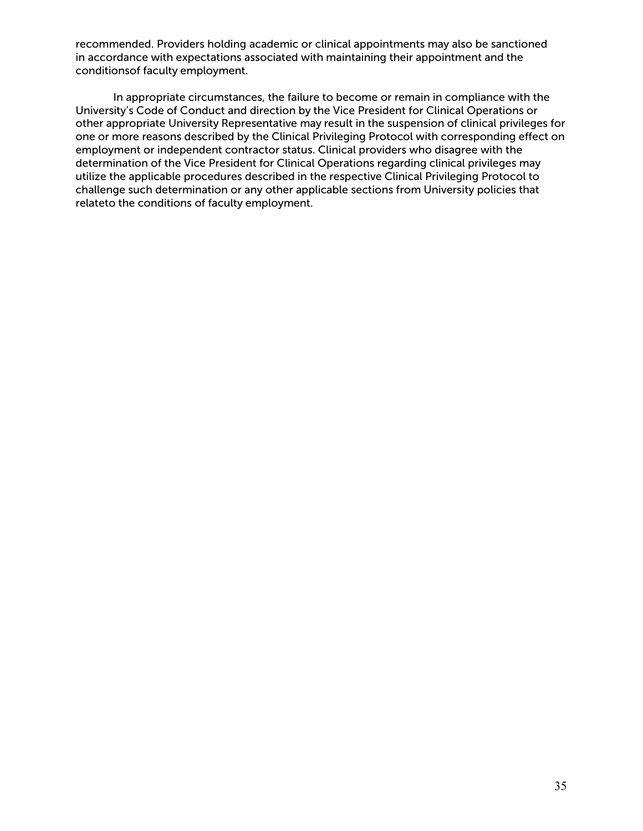recommended. Providers holding academic or clinical appointments may also be sanctioned in accordance with expectations associated with maintaining their appointment and the conditionsof faculty employment.

In appropriate circumstances, the failure to become or remain in compliance with the University's Code of Conduct and direction by the Vice President for Clinical Operations or other appropriate University Representative may result in the suspension of clinical privileges for one or more reasons described by the Clinical Privileging Protocol with corresponding effect on employment or independent contractor status. Clinical providers who disagree with the determination of the Vice President for Clinical Operations regarding clinical privileges may utilize the applicable procedures described in the respective Clinical Privileging Protocol to challenge such determination or any other applicable sections from University policies that relateto the conditions of faculty employment.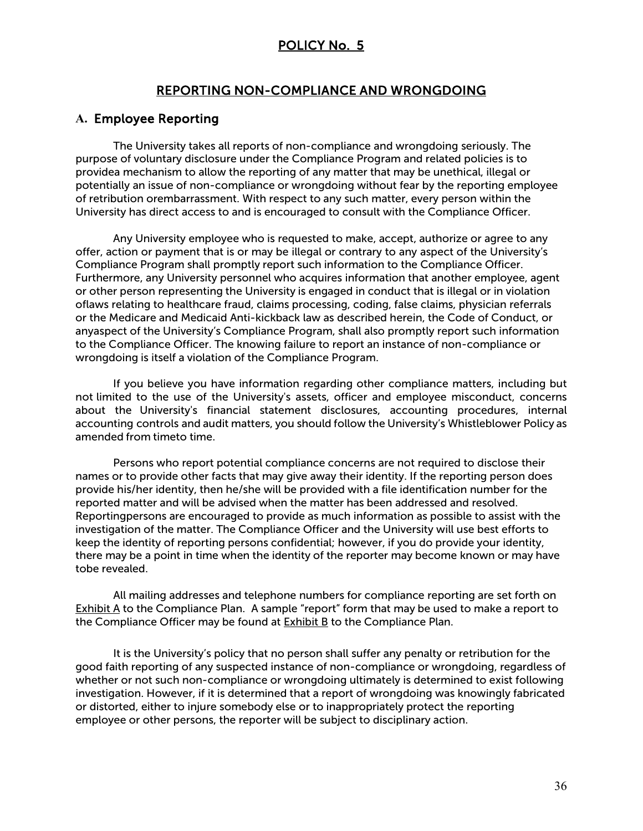#### REPORTING NON-COMPLIANCE AND WRONGDOING

#### **A.** Employee Reporting

The University takes all reports of non-compliance and wrongdoing seriously. The purpose of voluntary disclosure under the Compliance Program and related policies is to providea mechanism to allow the reporting of any matter that may be unethical, illegal or potentially an issue of non-compliance or wrongdoing without fear by the reporting employee of retribution orembarrassment. With respect to any such matter, every person within the University has direct access to and is encouraged to consult with the Compliance Officer.

Any University employee who is requested to make, accept, authorize or agree to any offer, action or payment that is or may be illegal or contrary to any aspect of the University's Compliance Program shall promptly report such information to the Compliance Officer. Furthermore, any University personnel who acquires information that another employee, agent or other person representing the University is engaged in conduct that is illegal or in violation oflaws relating to healthcare fraud, claims processing, coding, false claims, physician referrals or the Medicare and Medicaid Anti-kickback law as described herein, the Code of Conduct, or anyaspect of the University's Compliance Program, shall also promptly report such information to the Compliance Officer. The knowing failure to report an instance of non-compliance or wrongdoing is itself a violation of the Compliance Program.

If you believe you have information regarding other compliance matters, including but not limited to the use of the University's assets, officer and employee misconduct, concerns about the University's financial statement disclosures, accounting procedures, internal accounting controls and audit matters, you should follow the University's Whistleblower Policy as amended from timeto time.

Persons who report potential compliance concerns are not required to disclose their names or to provide other facts that may give away their identity. If the reporting person does provide his/her identity, then he/she will be provided with a file identification number for the reported matter and will be advised when the matter has been addressed and resolved. Reportingpersons are encouraged to provide as much information as possible to assist with the investigation of the matter. The Compliance Officer and the University will use best efforts to keep the identity of reporting persons confidential; however, if you do provide your identity, there may be a point in time when the identity of the reporter may become known or may have tobe revealed.

All mailing addresses and telephone numbers for compliance reporting are set forth on Exhibit A to the Compliance Plan. A sample "report" form that may be used to make a report to the Compliance Officer may be found at  $Exhibit B$  to the Compliance Plan.

It is the University's policy that no person shall suffer any penalty or retribution for the good faith reporting of any suspected instance of non-compliance or wrongdoing, regardless of whether or not such non-compliance or wrongdoing ultimately is determined to exist following investigation. However, if it is determined that a report of wrongdoing was knowingly fabricated or distorted, either to injure somebody else or to inappropriately protect the reporting employee or other persons, the reporter will be subject to disciplinary action.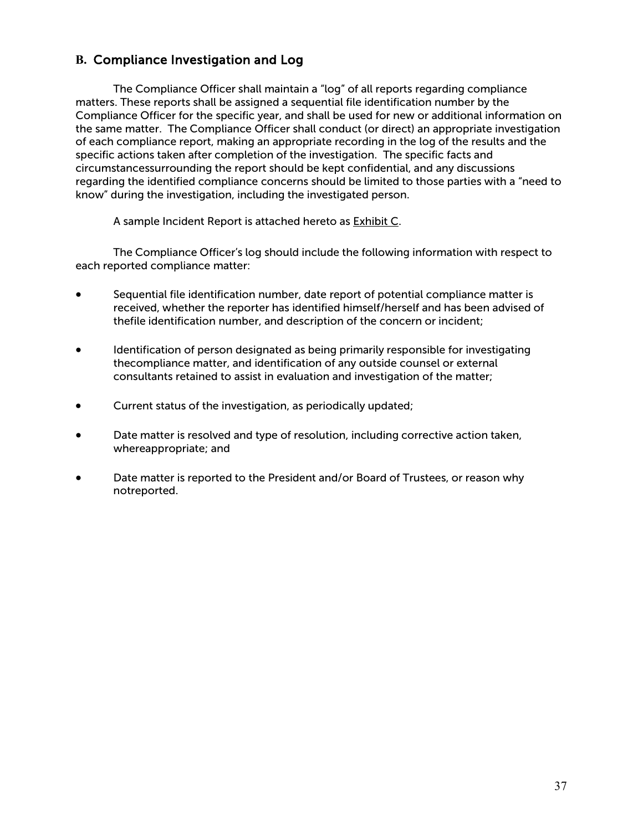# **B.** Compliance Investigation and Log

The Compliance Officer shall maintain a "log" of all reports regarding compliance matters. These reports shall be assigned a sequential file identification number by the Compliance Officer for the specific year, and shall be used for new or additional information on the same matter. The Compliance Officer shall conduct (or direct) an appropriate investigation of each compliance report, making an appropriate recording in the log of the results and the specific actions taken after completion of the investigation. The specific facts and circumstancessurrounding the report should be kept confidential, and any discussions regarding the identified compliance concerns should be limited to those parties with a "need to know" during the investigation, including the investigated person.

A sample Incident Report is attached hereto as Exhibit C.

The Compliance Officer's log should include the following information with respect to each reported compliance matter:

- Sequential file identification number, date report of potential compliance matter is received, whether the reporter has identified himself/herself and has been advised of thefile identification number, and description of the concern or incident;
- Identification of person designated as being primarily responsible for investigating thecompliance matter, and identification of any outside counsel or external consultants retained to assist in evaluation and investigation of the matter;
- Current status of the investigation, as periodically updated;
- Date matter is resolved and type of resolution, including corrective action taken, whereappropriate; and
- Date matter is reported to the President and/or Board of Trustees, or reason why notreported.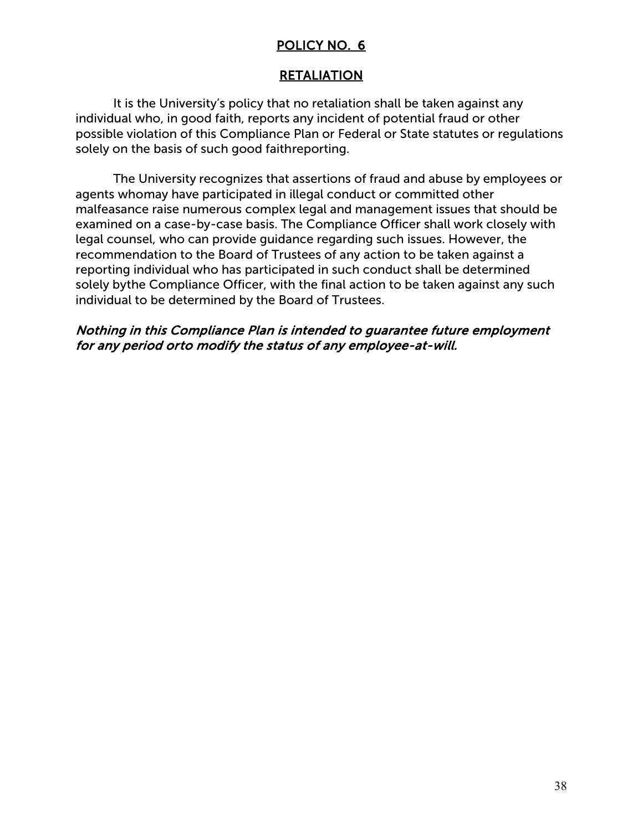## RETALIATION

It is the University's policy that no retaliation shall be taken against any individual who, in good faith, reports any incident of potential fraud or other possible violation of this Compliance Plan or Federal or State statutes or regulations solely on the basis of such good faithreporting.

The University recognizes that assertions of fraud and abuse by employees or agents whomay have participated in illegal conduct or committed other malfeasance raise numerous complex legal and management issues that should be examined on a case-by-case basis. The Compliance Officer shall work closely with legal counsel, who can provide guidance regarding such issues. However, the recommendation to the Board of Trustees of any action to be taken against a reporting individual who has participated in such conduct shall be determined solely bythe Compliance Officer, with the final action to be taken against any such individual to be determined by the Board of Trustees.

### Nothing in this Compliance Plan is intended to guarantee future employment for any period orto modify the status of any employee-at-will.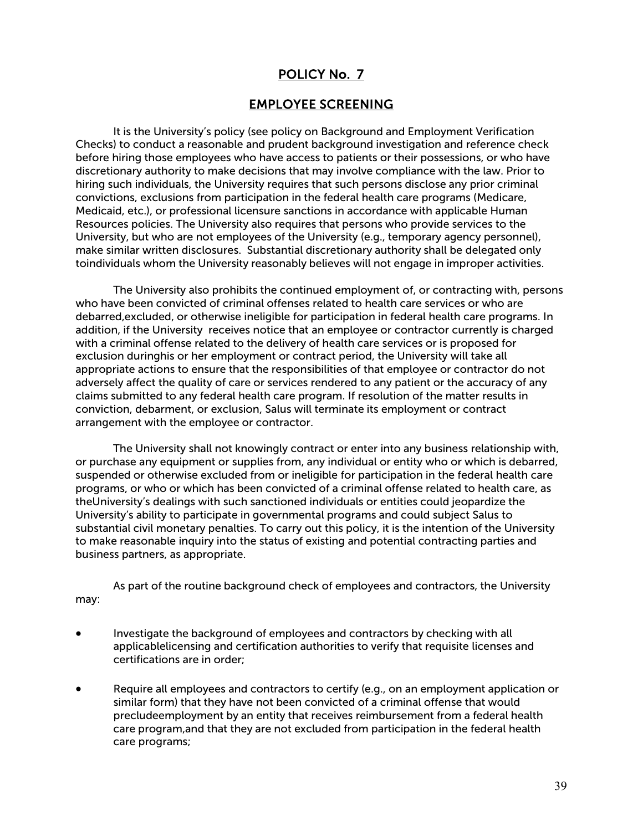#### EMPLOYEE SCREENING

It is the University's policy (see policy on Background and Employment Verification Checks) to conduct a reasonable and prudent background investigation and reference check before hiring those employees who have access to patients or their possessions, or who have discretionary authority to make decisions that may involve compliance with the law. Prior to hiring such individuals, the University requires that such persons disclose any prior criminal convictions, exclusions from participation in the federal health care programs (Medicare, Medicaid, etc.), or professional licensure sanctions in accordance with applicable Human Resources policies. The University also requires that persons who provide services to the University, but who are not employees of the University (e.g., temporary agency personnel), make similar written disclosures. Substantial discretionary authority shall be delegated only toindividuals whom the University reasonably believes will not engage in improper activities.

The University also prohibits the continued employment of, or contracting with, persons who have been convicted of criminal offenses related to health care services or who are debarred,excluded, or otherwise ineligible for participation in federal health care programs. In addition, if the University receives notice that an employee or contractor currently is charged with a criminal offense related to the delivery of health care services or is proposed for exclusion duringhis or her employment or contract period, the University will take all appropriate actions to ensure that the responsibilities of that employee or contractor do not adversely affect the quality of care or services rendered to any patient or the accuracy of any claims submitted to any federal health care program. If resolution of the matter results in conviction, debarment, or exclusion, Salus will terminate its employment or contract arrangement with the employee or contractor.

The University shall not knowingly contract or enter into any business relationship with, or purchase any equipment or supplies from, any individual or entity who or which is debarred, suspended or otherwise excluded from or ineligible for participation in the federal health care programs, or who or which has been convicted of a criminal offense related to health care, as theUniversity's dealings with such sanctioned individuals or entities could jeopardize the University's ability to participate in governmental programs and could subject Salus to substantial civil monetary penalties. To carry out this policy, it is the intention of the University to make reasonable inquiry into the status of existing and potential contracting parties and business partners, as appropriate.

As part of the routine background check of employees and contractors, the University may:

- Investigate the background of employees and contractors by checking with all applicablelicensing and certification authorities to verify that requisite licenses and certifications are in order;
- Require all employees and contractors to certify (e.g., on an employment application or similar form) that they have not been convicted of a criminal offense that would precludeemployment by an entity that receives reimbursement from a federal health care program,and that they are not excluded from participation in the federal health care programs;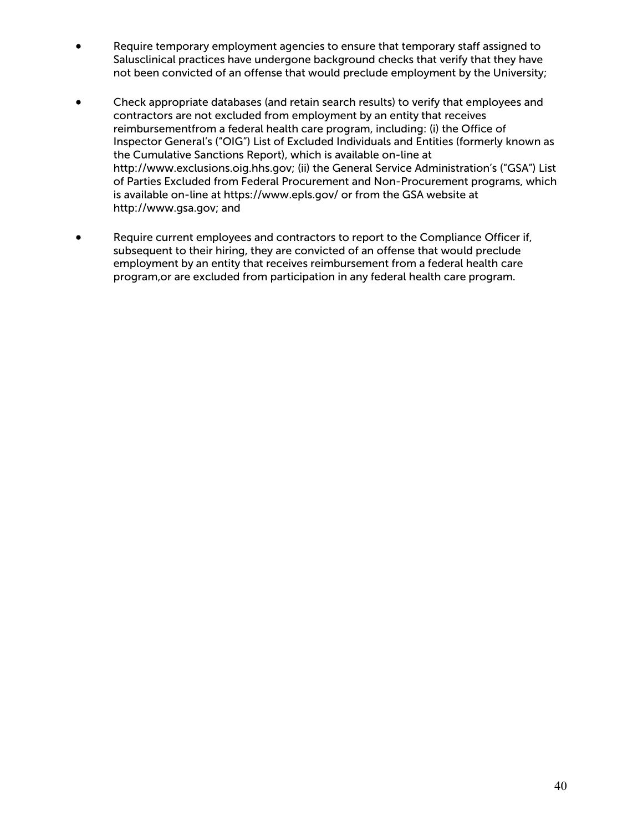- Require temporary employment agencies to ensure that temporary staff assigned to Salusclinical practices have undergone background checks that verify that they have not been convicted of an offense that would preclude employment by the University;
- Check appropriate databases (and retain search results) to verify that employees and contractors are not excluded from employment by an entity that receives reimbursementfrom a federal health care program, including: (i) the Office of Inspector General's ("OIG") List of Excluded Individuals and Entities (formerly known as the Cumulative Sanctions Report), which is available on-line at http://www.exclusions.oig.hhs.gov; (ii) the General Service Administration's ("GSA") List of Parties Excluded from Federal Procurement and Non-Procurement programs, which is available on-line at https:[//www.epls.gov/](http://www.epls.gov/) or from the GSA website at http://www.gsa.gov; and
- Require current employees and contractors to report to the Compliance Officer if, subsequent to their hiring, they are convicted of an offense that would preclude employment by an entity that receives reimbursement from a federal health care program,or are excluded from participation in any federal health care program.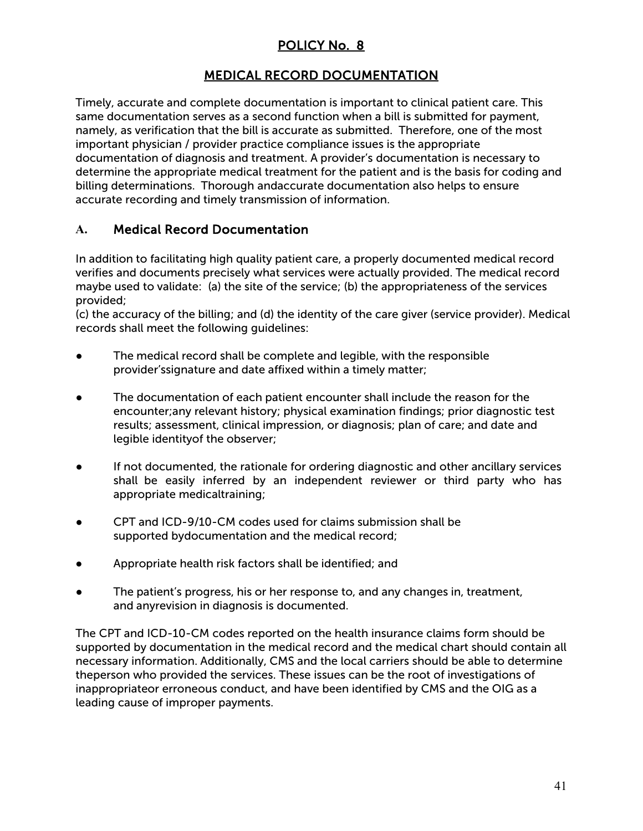# MEDICAL RECORD DOCUMENTATION

Timely, accurate and complete documentation is important to clinical patient care. This same documentation serves as a second function when a bill is submitted for payment, namely, as verification that the bill is accurate as submitted. Therefore, one of the most important physician / provider practice compliance issues is the appropriate documentation of diagnosis and treatment. A provider's documentation is necessary to determine the appropriate medical treatment for the patient and is the basis for coding and billing determinations. Thorough andaccurate documentation also helps to ensure accurate recording and timely transmission of information.

# **A.** Medical Record Documentation

In addition to facilitating high quality patient care, a properly documented medical record verifies and documents precisely what services were actually provided. The medical record maybe used to validate: (a) the site of the service; (b) the appropriateness of the services provided;

(c) the accuracy of the billing; and (d) the identity of the care giver (service provider). Medical records shall meet the following guidelines:

- The medical record shall be complete and legible, with the responsible provider'ssignature and date affixed within a timely matter;
- The documentation of each patient encounter shall include the reason for the encounter;any relevant history; physical examination findings; prior diagnostic test results; assessment, clinical impression, or diagnosis; plan of care; and date and legible identityof the observer;
- If not documented, the rationale for ordering diagnostic and other ancillary services shall be easily inferred by an independent reviewer or third party who has appropriate medicaltraining;
- CPT and ICD-9/10-CM codes used for claims submission shall be supported bydocumentation and the medical record;
- Appropriate health risk factors shall be identified; and
- The patient's progress, his or her response to, and any changes in, treatment, and anyrevision in diagnosis is documented.

The CPT and ICD-10-CM codes reported on the health insurance claims form should be supported by documentation in the medical record and the medical chart should contain all necessary information. Additionally, CMS and the local carriers should be able to determine theperson who provided the services. These issues can be the root of investigations of inappropriateor erroneous conduct, and have been identified by CMS and the OIG as a leading cause of improper payments.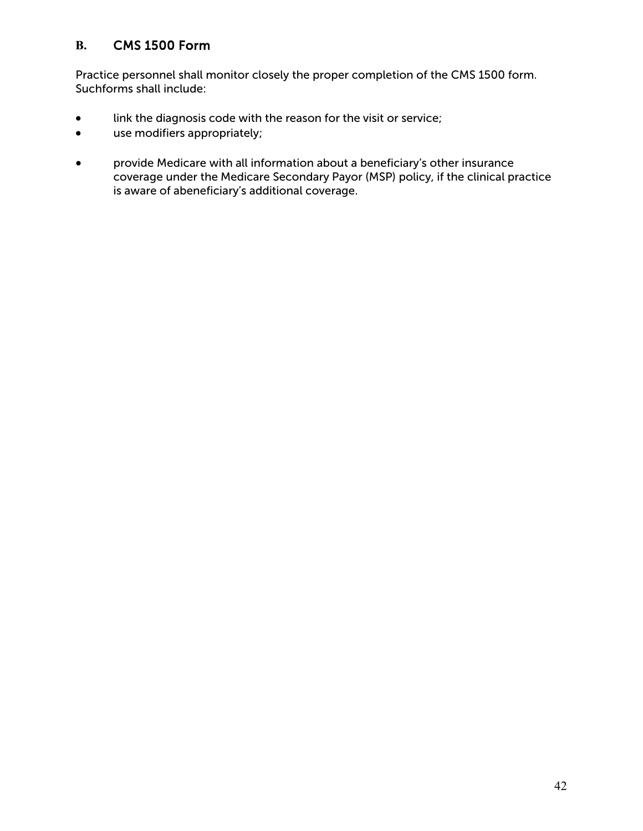# **B.** CMS 1500 Form

Practice personnel shall monitor closely the proper completion of the CMS 1500 form. Suchforms shall include:

- link the diagnosis code with the reason for the visit or service;
- use modifiers appropriately;
- provide Medicare with all information about a beneficiary's other insurance coverage under the Medicare Secondary Payor (MSP) policy, if the clinical practice is aware of abeneficiary's additional coverage.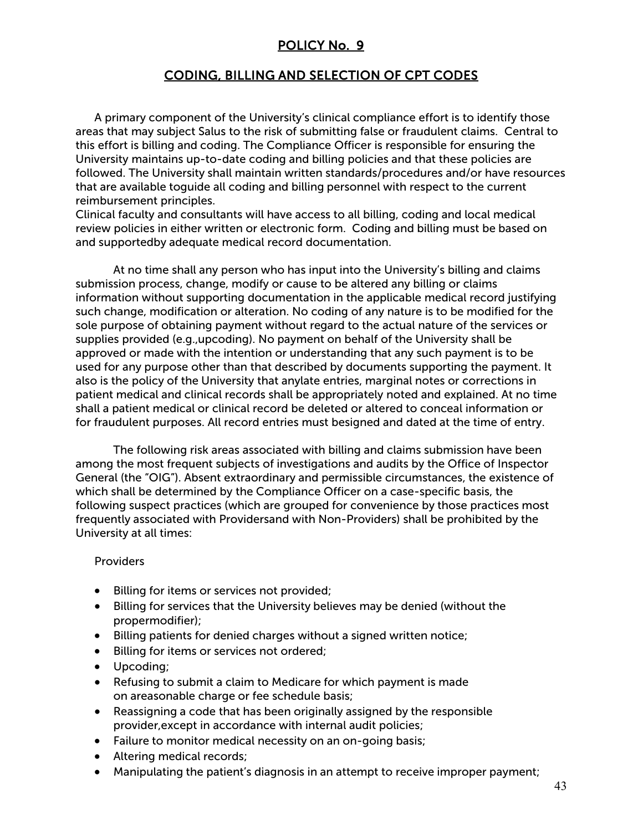# CODING, BILLING AND SELECTION OF CPT CODES

A primary component of the University's clinical compliance effort is to identify those areas that may subject Salus to the risk of submitting false or fraudulent claims. Central to this effort is billing and coding. The Compliance Officer is responsible for ensuring the University maintains up-to-date coding and billing policies and that these policies are followed. The University shall maintain written standards/procedures and/or have resources that are available toguide all coding and billing personnel with respect to the current reimbursement principles.

Clinical faculty and consultants will have access to all billing, coding and local medical review policies in either written or electronic form. Coding and billing must be based on and supportedby adequate medical record documentation.

At no time shall any person who has input into the University's billing and claims submission process, change, modify or cause to be altered any billing or claims information without supporting documentation in the applicable medical record justifying such change, modification or alteration. No coding of any nature is to be modified for the sole purpose of obtaining payment without regard to the actual nature of the services or supplies provided (e.g.,upcoding). No payment on behalf of the University shall be approved or made with the intention or understanding that any such payment is to be used for any purpose other than that described by documents supporting the payment. It also is the policy of the University that anylate entries, marginal notes or corrections in patient medical and clinical records shall be appropriately noted and explained. At no time shall a patient medical or clinical record be deleted or altered to conceal information or for fraudulent purposes. All record entries must besigned and dated at the time of entry.

The following risk areas associated with billing and claims submission have been among the most frequent subjects of investigations and audits by the Office of Inspector General (the "OIG"). Absent extraordinary and permissible circumstances, the existence of which shall be determined by the Compliance Officer on a case-specific basis, the following suspect practices (which are grouped for convenience by those practices most frequently associated with Providersand with Non-Providers) shall be prohibited by the University at all times:

#### **Providers**

- Billing for items or services not provided;
- Billing for services that the University believes may be denied (without the propermodifier);
- Billing patients for denied charges without a signed written notice;
- Billing for items or services not ordered;
- Upcoding;
- Refusing to submit a claim to Medicare for which payment is made on areasonable charge or fee schedule basis;
- Reassigning a code that has been originally assigned by the responsible provider,except in accordance with internal audit policies;
- Failure to monitor medical necessity on an on-going basis;
- Altering medical records;
- Manipulating the patient's diagnosis in an attempt to receive improper payment;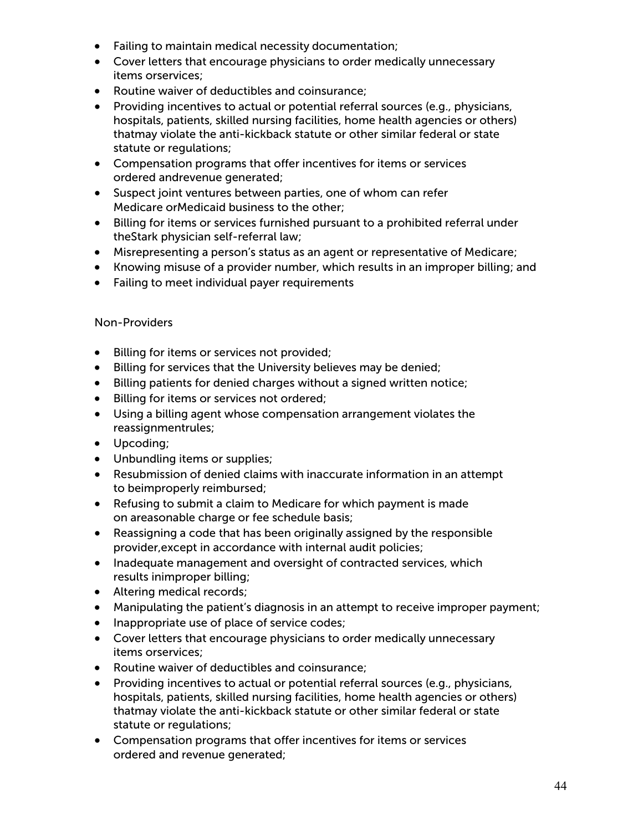- Failing to maintain medical necessity documentation;
- Cover letters that encourage physicians to order medically unnecessary items orservices;
- Routine waiver of deductibles and coinsurance;
- Providing incentives to actual or potential referral sources (e.g., physicians, hospitals, patients, skilled nursing facilities, home health agencies or others) thatmay violate the anti-kickback statute or other similar federal or state statute or regulations;
- Compensation programs that offer incentives for items or services ordered andrevenue generated;
- Suspect joint ventures between parties, one of whom can refer Medicare orMedicaid business to the other;
- Billing for items or services furnished pursuant to a prohibited referral under theStark physician self-referral law;
- Misrepresenting a person's status as an agent or representative of Medicare;
- Knowing misuse of a provider number, which results in an improper billing; and
- Failing to meet individual payer requirements

#### Non-Providers

- Billing for items or services not provided;
- Billing for services that the University believes may be denied;
- Billing patients for denied charges without a signed written notice;
- Billing for items or services not ordered;
- Using a billing agent whose compensation arrangement violates the reassignmentrules;
- Upcoding;
- Unbundling items or supplies;
- Resubmission of denied claims with inaccurate information in an attempt to beimproperly reimbursed;
- Refusing to submit a claim to Medicare for which payment is made on areasonable charge or fee schedule basis;
- Reassigning a code that has been originally assigned by the responsible provider,except in accordance with internal audit policies;
- Inadequate management and oversight of contracted services, which results inimproper billing;
- Altering medical records;
- Manipulating the patient's diagnosis in an attempt to receive improper payment;
- Inappropriate use of place of service codes;
- Cover letters that encourage physicians to order medically unnecessary items orservices;
- Routine waiver of deductibles and coinsurance;
- Providing incentives to actual or potential referral sources (e.g., physicians, hospitals, patients, skilled nursing facilities, home health agencies or others) thatmay violate the anti-kickback statute or other similar federal or state statute or regulations;
- Compensation programs that offer incentives for items or services ordered and revenue generated;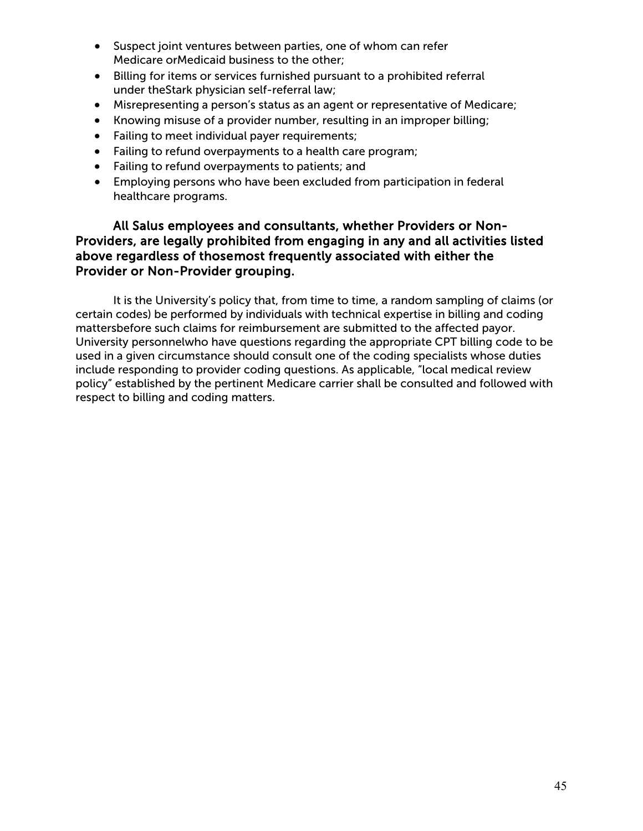- Suspect joint ventures between parties, one of whom can refer Medicare orMedicaid business to the other;
- Billing for items or services furnished pursuant to a prohibited referral under theStark physician self-referral law;
- Misrepresenting a person's status as an agent or representative of Medicare;
- Knowing misuse of a provider number, resulting in an improper billing;
- Failing to meet individual payer requirements;
- Failing to refund overpayments to a health care program;
- Failing to refund overpayments to patients; and
- Employing persons who have been excluded from participation in federal healthcare programs.

#### All Salus employees and consultants, whether Providers or Non-Providers, are legally prohibited from engaging in any and all activities listed above regardless of thosemost frequently associated with either the Provider or Non-Provider grouping.

It is the University's policy that, from time to time, a random sampling of claims (or certain codes) be performed by individuals with technical expertise in billing and coding mattersbefore such claims for reimbursement are submitted to the affected payor. University personnelwho have questions regarding the appropriate CPT billing code to be used in a given circumstance should consult one of the coding specialists whose duties include responding to provider coding questions. As applicable, "local medical review policy" established by the pertinent Medicare carrier shall be consulted and followed with respect to billing and coding matters.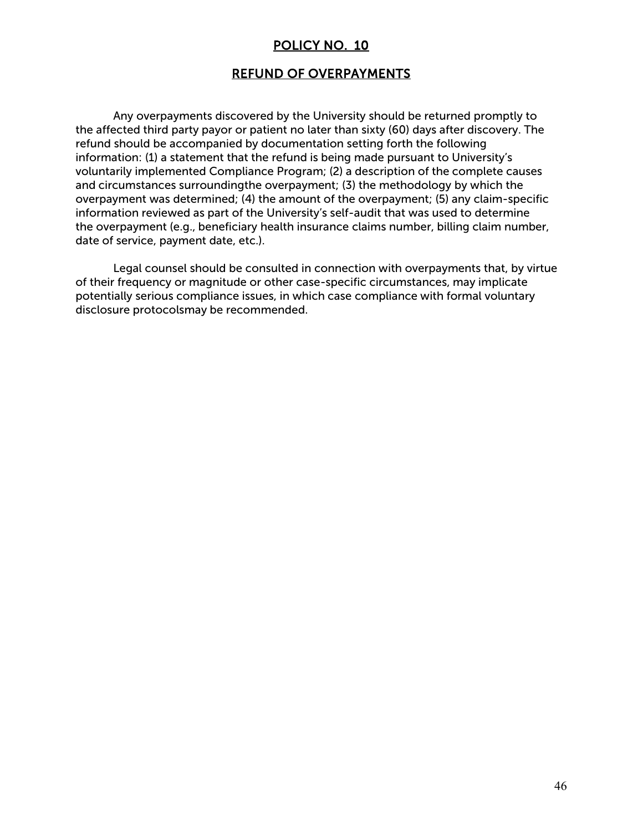#### REFUND OF OVERPAYMENTS

Any overpayments discovered by the University should be returned promptly to the affected third party payor or patient no later than sixty (60) days after discovery. The refund should be accompanied by documentation setting forth the following information: (1) a statement that the refund is being made pursuant to University's voluntarily implemented Compliance Program; (2) a description of the complete causes and circumstances surroundingthe overpayment; (3) the methodology by which the overpayment was determined; (4) the amount of the overpayment; (5) any claim-specific information reviewed as part of the University's self-audit that was used to determine the overpayment (e.g., beneficiary health insurance claims number, billing claim number, date of service, payment date, etc.).

Legal counsel should be consulted in connection with overpayments that, by virtue of their frequency or magnitude or other case-specific circumstances, may implicate potentially serious compliance issues, in which case compliance with formal voluntary disclosure protocolsmay be recommended.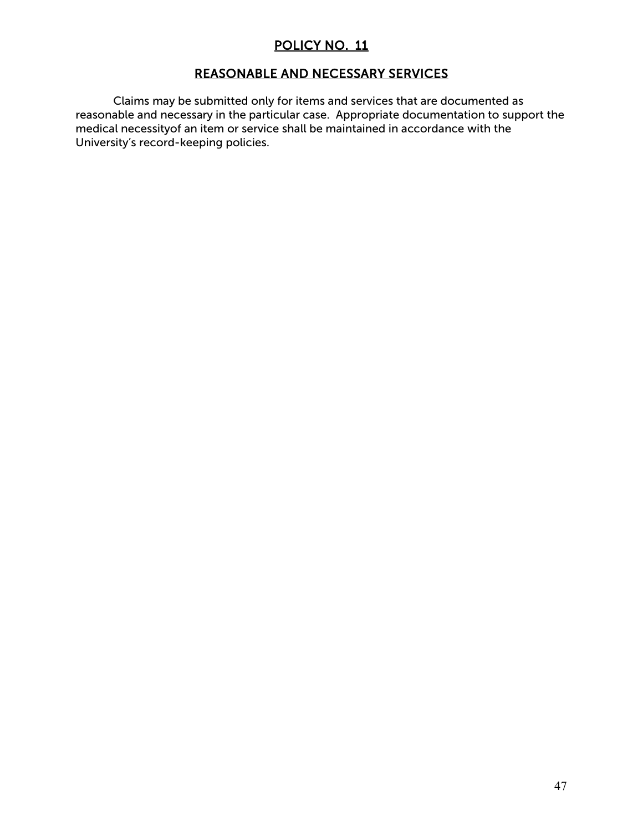## REASONABLE AND NECESSARY SERVICES

Claims may be submitted only for items and services that are documented as reasonable and necessary in the particular case. Appropriate documentation to support the medical necessityof an item or service shall be maintained in accordance with the University's record-keeping policies.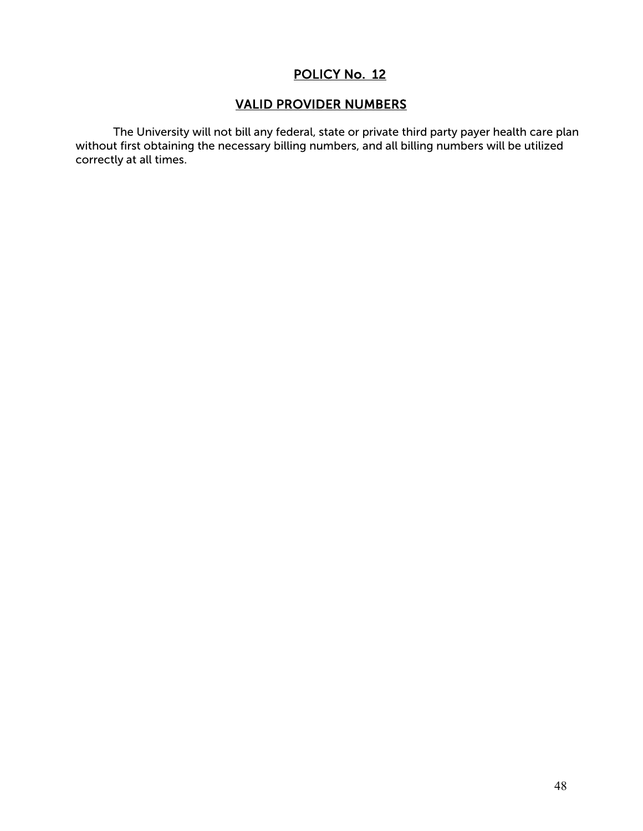## VALID PROVIDER NUMBERS

The University will not bill any federal, state or private third party payer health care plan without first obtaining the necessary billing numbers, and all billing numbers will be utilized correctly at all times.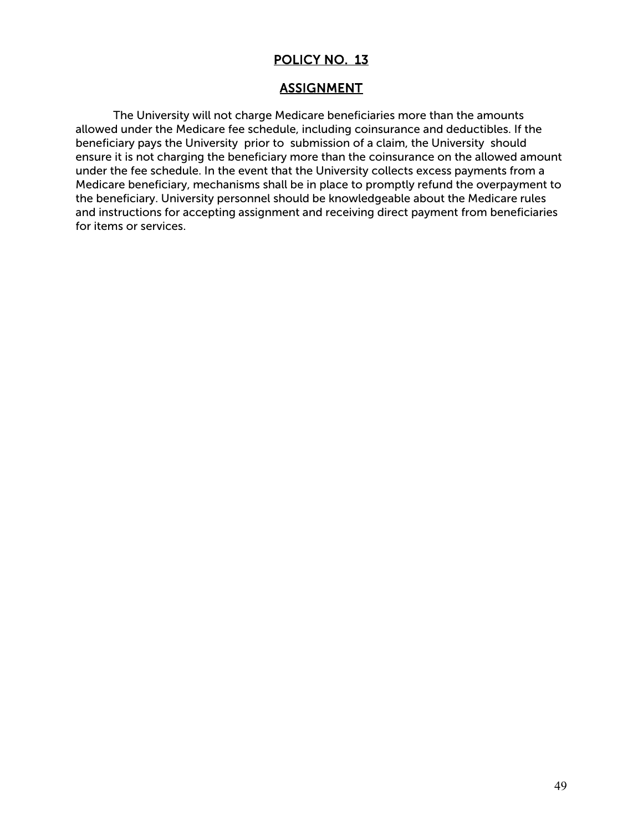# **ASSIGNMENT**

The University will not charge Medicare beneficiaries more than the amounts allowed under the Medicare fee schedule, including coinsurance and deductibles. If the beneficiary pays the University prior to submission of a claim, the University should ensure it is not charging the beneficiary more than the coinsurance on the allowed amount under the fee schedule. In the event that the University collects excess payments from a Medicare beneficiary, mechanisms shall be in place to promptly refund the overpayment to the beneficiary. University personnel should be knowledgeable about the Medicare rules and instructions for accepting assignment and receiving direct payment from beneficiaries for items or services.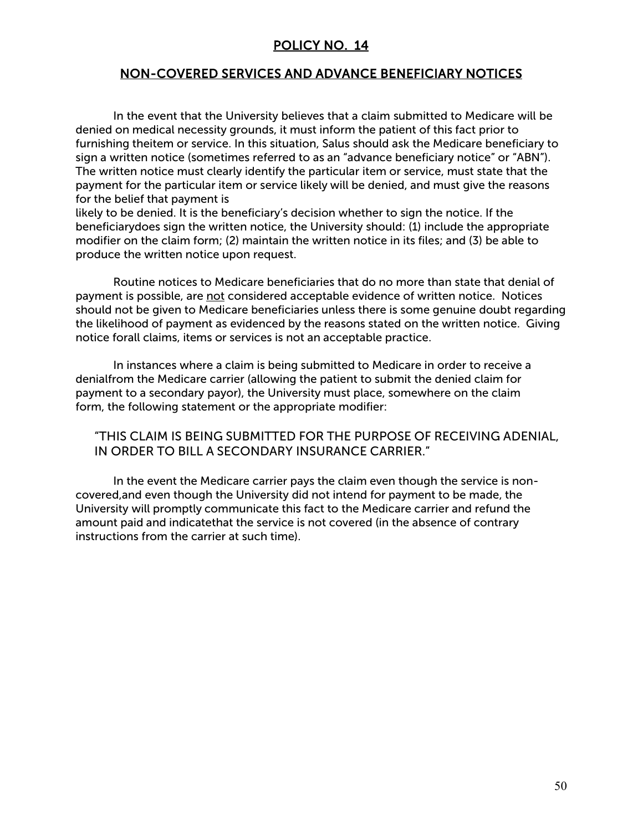#### NON-COVERED SERVICES AND ADVANCE BENEFICIARY NOTICES

In the event that the University believes that a claim submitted to Medicare will be denied on medical necessity grounds, it must inform the patient of this fact prior to furnishing theitem or service. In this situation, Salus should ask the Medicare beneficiary to sign a written notice (sometimes referred to as an "advance beneficiary notice" or "ABN"). The written notice must clearly identify the particular item or service, must state that the payment for the particular item or service likely will be denied, and must give the reasons for the belief that payment is

likely to be denied. It is the beneficiary's decision whether to sign the notice. If the beneficiarydoes sign the written notice, the University should: (1) include the appropriate modifier on the claim form; (2) maintain the written notice in its files; and (3) be able to produce the written notice upon request.

Routine notices to Medicare beneficiaries that do no more than state that denial of payment is possible, are not considered acceptable evidence of written notice. Notices should not be given to Medicare beneficiaries unless there is some genuine doubt regarding the likelihood of payment as evidenced by the reasons stated on the written notice. Giving notice forall claims, items or services is not an acceptable practice.

In instances where a claim is being submitted to Medicare in order to receive a denialfrom the Medicare carrier (allowing the patient to submit the denied claim for payment to a secondary payor), the University must place, somewhere on the claim form, the following statement or the appropriate modifier:

#### "THIS CLAIM IS BEING SUBMITTED FOR THE PURPOSE OF RECEIVING ADENIAL, IN ORDER TO BILL A SECONDARY INSURANCE CARRIER."

In the event the Medicare carrier pays the claim even though the service is noncovered,and even though the University did not intend for payment to be made, the University will promptly communicate this fact to the Medicare carrier and refund the amount paid and indicatethat the service is not covered (in the absence of contrary instructions from the carrier at such time).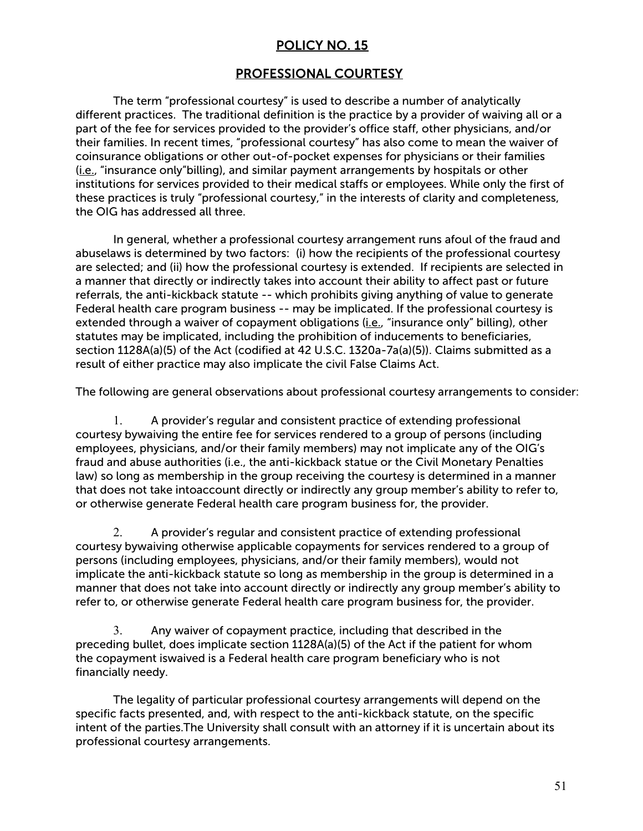## PROFESSIONAL COURTESY

The term "professional courtesy" is used to describe a number of analytically different practices. The traditional definition is the practice by a provider of waiving all or a part of the fee for services provided to the provider's office staff, other physicians, and/or their families. In recent times, "professional courtesy" has also come to mean the waiver of coinsurance obligations or other out-of-pocket expenses for physicians or their families (i.e., "insurance only"billing), and similar payment arrangements by hospitals or other institutions for services provided to their medical staffs or employees. While only the first of these practices is truly "professional courtesy," in the interests of clarity and completeness, the OIG has addressed all three.

In general, whether a professional courtesy arrangement runs afoul of the fraud and abuselaws is determined by two factors: (i) how the recipients of the professional courtesy are selected; and (ii) how the professional courtesy is extended. If recipients are selected in a manner that directly or indirectly takes into account their ability to affect past or future referrals, the anti-kickback statute -- which prohibits giving anything of value to generate Federal health care program business -- may be implicated. If the professional courtesy is extended through a waiver of copayment obligations (*i.e.*, "insurance only" billing), other statutes may be implicated, including the prohibition of inducements to beneficiaries, section 1128A(a)(5) of the Act (codified at 42 U.S.C. 1320a-7a(a)(5)). Claims submitted as a result of either practice may also implicate the civil False Claims Act.

The following are general observations about professional courtesy arrangements to consider:

1. A provider's regular and consistent practice of extending professional courtesy bywaiving the entire fee for services rendered to a group of persons (including employees, physicians, and/or their family members) may not implicate any of the OIG's fraud and abuse authorities (i.e., the anti-kickback statue or the Civil Monetary Penalties law) so long as membership in the group receiving the courtesy is determined in a manner that does not take intoaccount directly or indirectly any group member's ability to refer to, or otherwise generate Federal health care program business for, the provider.

2. A provider's regular and consistent practice of extending professional courtesy bywaiving otherwise applicable copayments for services rendered to a group of persons (including employees, physicians, and/or their family members), would not implicate the anti-kickback statute so long as membership in the group is determined in a manner that does not take into account directly or indirectly any group member's ability to refer to, or otherwise generate Federal health care program business for, the provider.

3. Any waiver of copayment practice, including that described in the preceding bullet, does implicate section 1128A(a)(5) of the Act if the patient for whom the copayment iswaived is a Federal health care program beneficiary who is not financially needy.

The legality of particular professional courtesy arrangements will depend on the specific facts presented, and, with respect to the anti-kickback statute, on the specific intent of the parties.The University shall consult with an attorney if it is uncertain about its professional courtesy arrangements.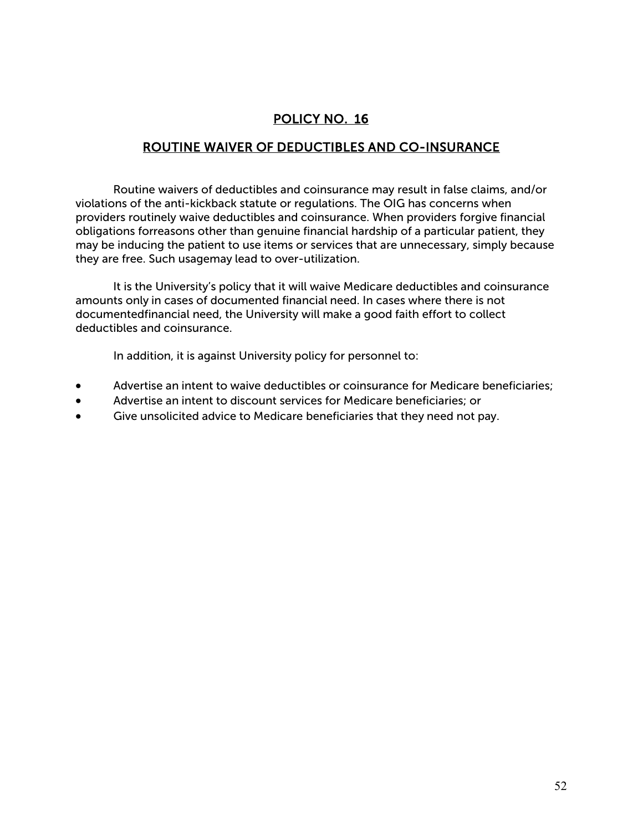## ROUTINE WAIVER OF DEDUCTIBLES AND CO-INSURANCE

Routine waivers of deductibles and coinsurance may result in false claims, and/or violations of the anti-kickback statute or regulations. The OIG has concerns when providers routinely waive deductibles and coinsurance. When providers forgive financial obligations forreasons other than genuine financial hardship of a particular patient, they may be inducing the patient to use items or services that are unnecessary, simply because they are free. Such usagemay lead to over-utilization.

It is the University's policy that it will waive Medicare deductibles and coinsurance amounts only in cases of documented financial need. In cases where there is not documentedfinancial need, the University will make a good faith effort to collect deductibles and coinsurance.

In addition, it is against University policy for personnel to:

- Advertise an intent to waive deductibles or coinsurance for Medicare beneficiaries;
- Advertise an intent to discount services for Medicare beneficiaries; or
- Give unsolicited advice to Medicare beneficiaries that they need not pay.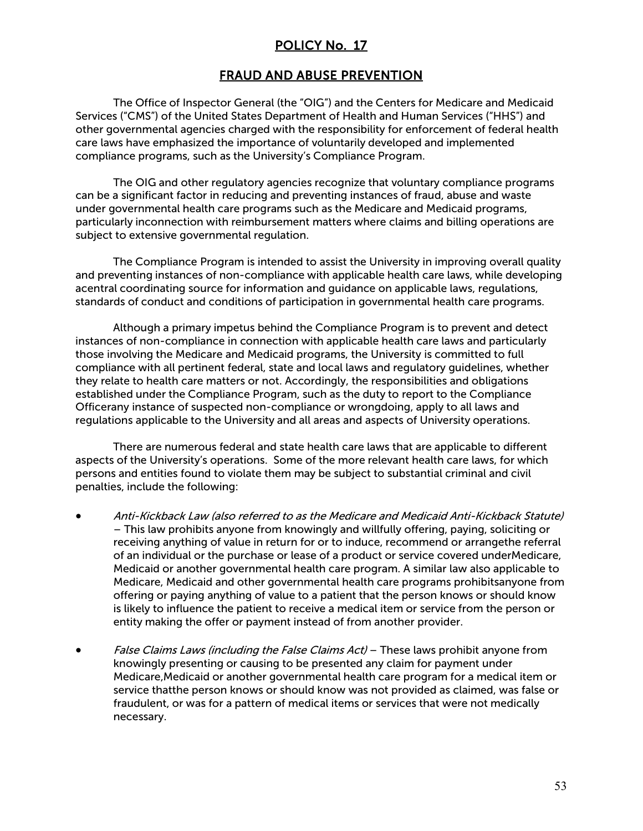#### FRAUD AND ABUSE PREVENTION

The Office of Inspector General (the "OIG") and the Centers for Medicare and Medicaid Services ("CMS") of the United States Department of Health and Human Services ("HHS") and other governmental agencies charged with the responsibility for enforcement of federal health care laws have emphasized the importance of voluntarily developed and implemented compliance programs, such as the University's Compliance Program.

The OIG and other regulatory agencies recognize that voluntary compliance programs can be a significant factor in reducing and preventing instances of fraud, abuse and waste under governmental health care programs such as the Medicare and Medicaid programs, particularly inconnection with reimbursement matters where claims and billing operations are subject to extensive governmental regulation.

The Compliance Program is intended to assist the University in improving overall quality and preventing instances of non-compliance with applicable health care laws, while developing acentral coordinating source for information and guidance on applicable laws, regulations, standards of conduct and conditions of participation in governmental health care programs.

Although a primary impetus behind the Compliance Program is to prevent and detect instances of non-compliance in connection with applicable health care laws and particularly those involving the Medicare and Medicaid programs, the University is committed to full compliance with all pertinent federal, state and local laws and regulatory guidelines, whether they relate to health care matters or not. Accordingly, the responsibilities and obligations established under the Compliance Program, such as the duty to report to the Compliance Officerany instance of suspected non-compliance or wrongdoing, apply to all laws and regulations applicable to the University and all areas and aspects of University operations.

There are numerous federal and state health care laws that are applicable to different aspects of the University's operations. Some of the more relevant health care laws, for which persons and entities found to violate them may be subject to substantial criminal and civil penalties, include the following:

- Anti-Kickback Law (also referred to as the Medicare and Medicaid Anti-Kickback Statute) – This law prohibits anyone from knowingly and willfully offering, paying, soliciting or receiving anything of value in return for or to induce, recommend or arrangethe referral of an individual or the purchase or lease of a product or service covered underMedicare, Medicaid or another governmental health care program. A similar law also applicable to Medicare, Medicaid and other governmental health care programs prohibitsanyone from offering or paying anything of value to a patient that the person knows or should know is likely to influence the patient to receive a medical item or service from the person or entity making the offer or payment instead of from another provider.
- False Claims Laws (including the False Claims Act) These laws prohibit anyone from knowingly presenting or causing to be presented any claim for payment under Medicare,Medicaid or another governmental health care program for a medical item or service thatthe person knows or should know was not provided as claimed, was false or fraudulent, or was for a pattern of medical items or services that were not medically necessary.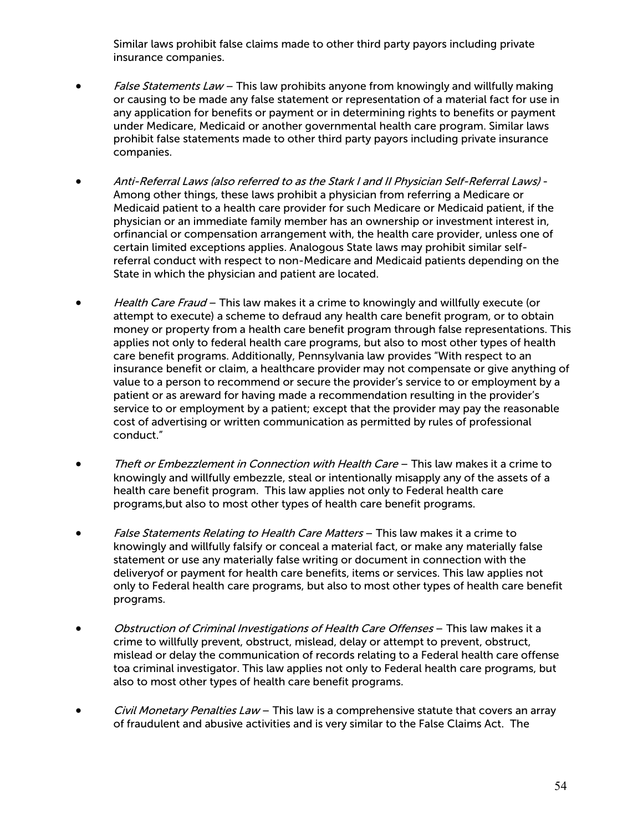Similar laws prohibit false claims made to other third party payors including private insurance companies.

- False Statements Law This law prohibits anyone from knowingly and willfully making or causing to be made any false statement or representation of a material fact for use in any application for benefits or payment or in determining rights to benefits or payment under Medicare, Medicaid or another governmental health care program. Similar laws prohibit false statements made to other third party payors including private insurance companies.
- Anti-Referral Laws (also referred to as the Stark I and II Physician Self-Referral Laws) Among other things, these laws prohibit a physician from referring a Medicare or Medicaid patient to a health care provider for such Medicare or Medicaid patient, if the physician or an immediate family member has an ownership or investment interest in, orfinancial or compensation arrangement with, the health care provider, unless one of certain limited exceptions applies. Analogous State laws may prohibit similar selfreferral conduct with respect to non-Medicare and Medicaid patients depending on the State in which the physician and patient are located.
- Health Care Fraud This law makes it a crime to knowingly and willfully execute (or attempt to execute) a scheme to defraud any health care benefit program, or to obtain money or property from a health care benefit program through false representations. This applies not only to federal health care programs, but also to most other types of health care benefit programs. Additionally, Pennsylvania law provides "With respect to an insurance benefit or claim, a healthcare provider may not compensate or give anything of value to a person to recommend or secure the provider's service to or employment by a patient or as areward for having made a recommendation resulting in the provider's service to or employment by a patient; except that the provider may pay the reasonable cost of advertising or written communication as permitted by rules of professional conduct."
- Theft or Embezzlement in Connection with Health Care This law makes it a crime to knowingly and willfully embezzle, steal or intentionally misapply any of the assets of a health care benefit program. This law applies not only to Federal health care programs,but also to most other types of health care benefit programs.
- False Statements Relating to Health Care Matters This law makes it a crime to knowingly and willfully falsify or conceal a material fact, or make any materially false statement or use any materially false writing or document in connection with the deliveryof or payment for health care benefits, items or services. This law applies not only to Federal health care programs, but also to most other types of health care benefit programs.
- Obstruction of Criminal Investigations of Health Care Offenses This law makes it a crime to willfully prevent, obstruct, mislead, delay or attempt to prevent, obstruct, mislead or delay the communication of records relating to a Federal health care offense toa criminal investigator. This law applies not only to Federal health care programs, but also to most other types of health care benefit programs.
- Civil Monetary Penalties Law This law is a comprehensive statute that covers an array of fraudulent and abusive activities and is very similar to the False Claims Act. The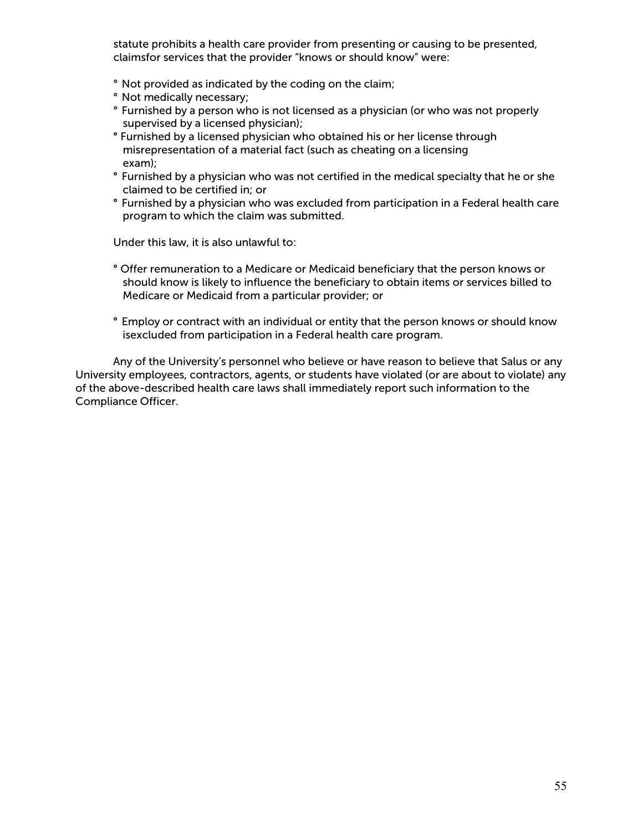statute prohibits a health care provider from presenting or causing to be presented, claimsfor services that the provider "knows or should know" were:

- ° Not provided as indicated by the coding on the claim;
- ° Not medically necessary;
- ° Furnished by a person who is not licensed as a physician (or who was not properly supervised by a licensed physician);
- ° Furnished by a licensed physician who obtained his or her license through misrepresentation of a material fact (such as cheating on a licensing exam);
- ° Furnished by a physician who was not certified in the medical specialty that he or she claimed to be certified in; or
- ° Furnished by a physician who was excluded from participation in a Federal health care program to which the claim was submitted.

Under this law, it is also unlawful to:

- ° Offer remuneration to a Medicare or Medicaid beneficiary that the person knows or should know is likely to influence the beneficiary to obtain items or services billed to Medicare or Medicaid from a particular provider; or
- ° Employ or contract with an individual or entity that the person knows or should know isexcluded from participation in a Federal health care program.

Any of the University's personnel who believe or have reason to believe that Salus or any University employees, contractors, agents, or students have violated (or are about to violate) any of the above-described health care laws shall immediately report such information to the Compliance Officer.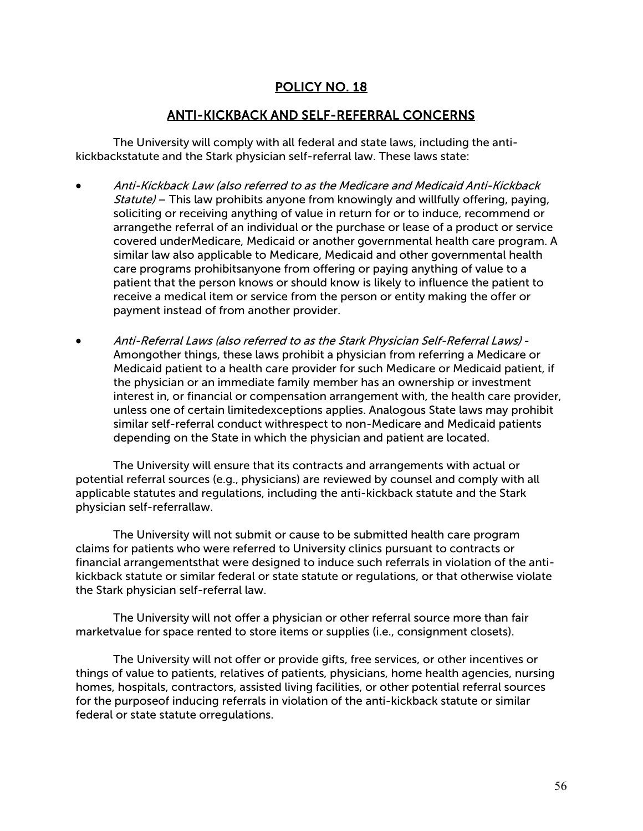#### ANTI-KICKBACK AND SELF-REFERRAL CONCERNS

The University will comply with all federal and state laws, including the antikickbackstatute and the Stark physician self-referral law. These laws state:

- Anti-Kickback Law (also referred to as the Medicare and Medicaid Anti-Kickback Statute) – This law prohibits anyone from knowingly and willfully offering, paying, soliciting or receiving anything of value in return for or to induce, recommend or arrangethe referral of an individual or the purchase or lease of a product or service covered underMedicare, Medicaid or another governmental health care program. A similar law also applicable to Medicare, Medicaid and other governmental health care programs prohibitsanyone from offering or paying anything of value to a patient that the person knows or should know is likely to influence the patient to receive a medical item or service from the person or entity making the offer or payment instead of from another provider.
- Anti-Referral Laws (also referred to as the Stark Physician Self-Referral Laws) Amongother things, these laws prohibit a physician from referring a Medicare or Medicaid patient to a health care provider for such Medicare or Medicaid patient, if the physician or an immediate family member has an ownership or investment interest in, or financial or compensation arrangement with, the health care provider, unless one of certain limitedexceptions applies. Analogous State laws may prohibit similar self-referral conduct withrespect to non-Medicare and Medicaid patients depending on the State in which the physician and patient are located.

The University will ensure that its contracts and arrangements with actual or potential referral sources (e.g., physicians) are reviewed by counsel and comply with all applicable statutes and regulations, including the anti-kickback statute and the Stark physician self-referrallaw.

The University will not submit or cause to be submitted health care program claims for patients who were referred to University clinics pursuant to contracts or financial arrangementsthat were designed to induce such referrals in violation of the antikickback statute or similar federal or state statute or regulations, or that otherwise violate the Stark physician self-referral law.

The University will not offer a physician or other referral source more than fair marketvalue for space rented to store items or supplies (i.e., consignment closets).

The University will not offer or provide gifts, free services, or other incentives or things of value to patients, relatives of patients, physicians, home health agencies, nursing homes, hospitals, contractors, assisted living facilities, or other potential referral sources for the purposeof inducing referrals in violation of the anti-kickback statute or similar federal or state statute orregulations.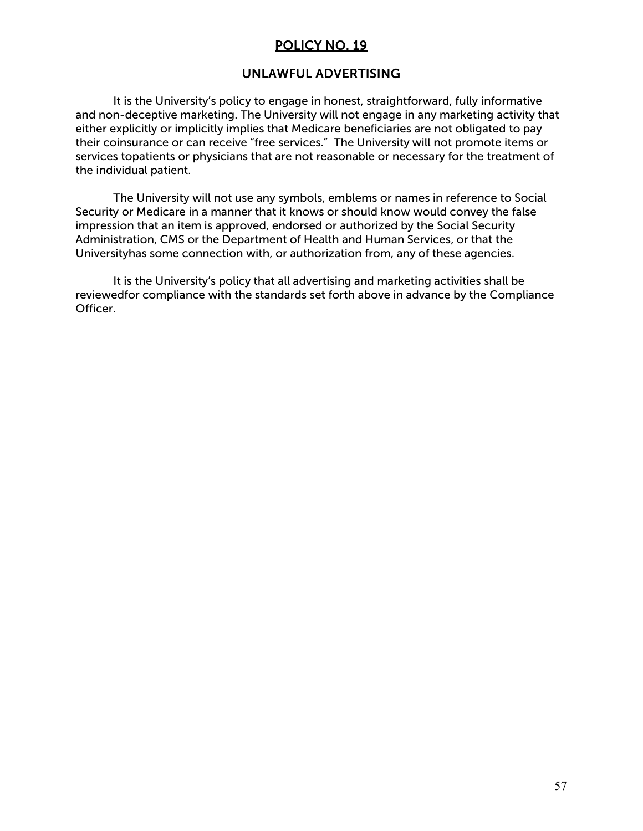### UNLAWFUL ADVERTISING

It is the University's policy to engage in honest, straightforward, fully informative and non-deceptive marketing. The University will not engage in any marketing activity that either explicitly or implicitly implies that Medicare beneficiaries are not obligated to pay their coinsurance or can receive "free services." The University will not promote items or services topatients or physicians that are not reasonable or necessary for the treatment of the individual patient.

The University will not use any symbols, emblems or names in reference to Social Security or Medicare in a manner that it knows or should know would convey the false impression that an item is approved, endorsed or authorized by the Social Security Administration, CMS or the Department of Health and Human Services, or that the Universityhas some connection with, or authorization from, any of these agencies.

It is the University's policy that all advertising and marketing activities shall be reviewedfor compliance with the standards set forth above in advance by the Compliance Officer.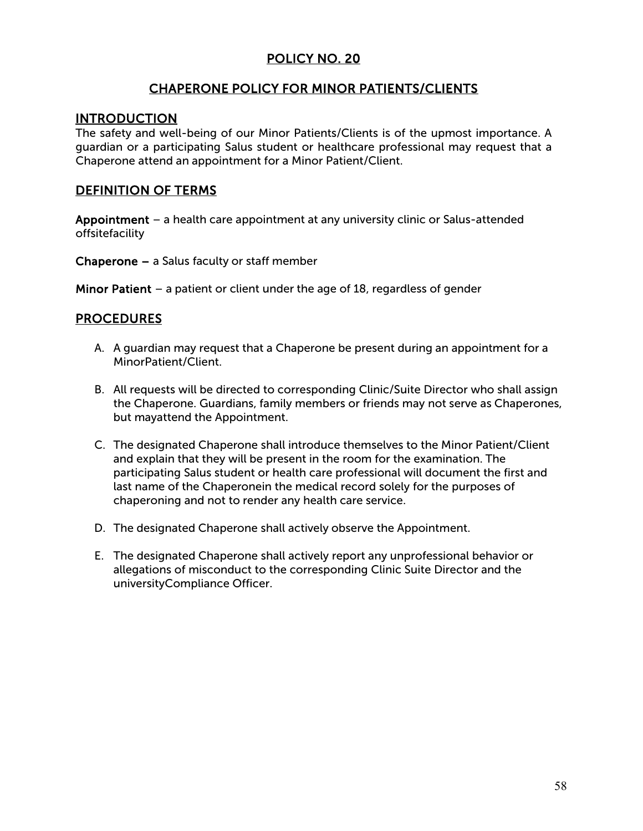# CHAPERONE POLICY FOR MINOR PATIENTS/CLIENTS

#### **INTRODUCTION**

The safety and well-being of our Minor Patients/Clients is of the upmost importance. A guardian or a participating Salus student or healthcare professional may request that a Chaperone attend an appointment for a Minor Patient/Client.

## DEFINITION OF TERMS

Appointment – a health care appointment at any university clinic or Salus-attended offsitefacility

Chaperone – a Salus faculty or staff member

Minor Patient – a patient or client under the age of 18, regardless of gender

#### PROCEDURES

- A. A guardian may request that a Chaperone be present during an appointment for a MinorPatient/Client.
- B. All requests will be directed to corresponding Clinic/Suite Director who shall assign the Chaperone. Guardians, family members or friends may not serve as Chaperones, but mayattend the Appointment.
- C. The designated Chaperone shall introduce themselves to the Minor Patient/Client and explain that they will be present in the room for the examination. The participating Salus student or health care professional will document the first and last name of the Chaperonein the medical record solely for the purposes of chaperoning and not to render any health care service.
- D. The designated Chaperone shall actively observe the Appointment.
- E. The designated Chaperone shall actively report any unprofessional behavior or allegations of misconduct to the corresponding Clinic Suite Director and the universityCompliance Officer.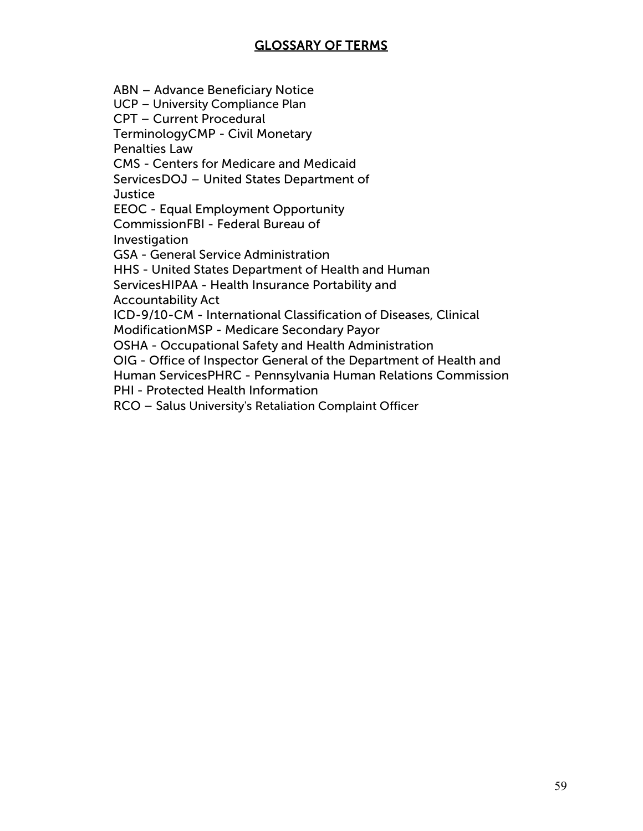# GLOSSARY OF TERMS

ABN – Advance Beneficiary Notice

UCP – University Compliance Plan

CPT – Current Procedural

TerminologyCMP - Civil Monetary

Penalties Law

CMS - Centers for Medicare and Medicaid

ServicesDOJ – United States Department of

**Justice** 

EEOC - Equal Employment Opportunity

CommissionFBI - Federal Bureau of **Investigation** 

GSA - General Service Administration

HHS - United States Department of Health and Human

ServicesHIPAA - Health Insurance Portability and

Accountability Act

ICD-9/10-CM - International Classification of Diseases, Clinical

ModificationMSP - Medicare Secondary Payor

OSHA - Occupational Safety and Health Administration

OIG - Office of Inspector General of the Department of Health and

Human ServicesPHRC - Pennsylvania Human Relations Commission

PHI - Protected Health Information

RCO – Salus University's Retaliation Complaint Officer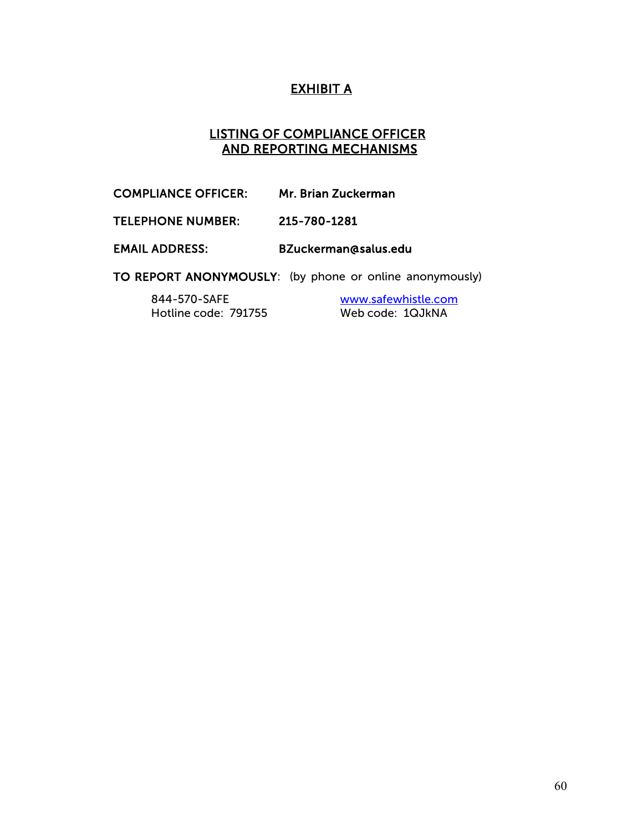# EXHIBIT A

## LISTING OF COMPLIANCE OFFICER AND REPORTING MECHANISMS

COMPLIANCE OFFICER: Mr. Brian Zuckerman

TELEPHONE NUMBER: 215-780-1281

EMAIL ADDRESS: [BZuckerman@salus.edu](mailto:BZuckerman@salus.edu) 

TO REPORT ANONYMOUSLY: (by phone or online anonymously)

844-570-SAFE [www.safewhistle.com](http://www.safewhistle.com/) Hotline code: 791755 Web code: 1QJkNA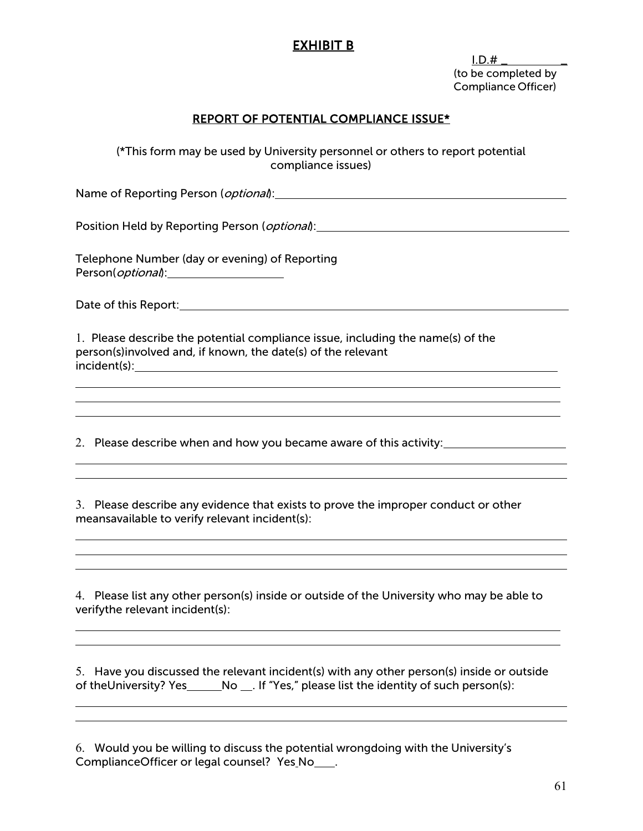# EXHIBIT B<br>I.D.#

(to be completed by Compliance Officer)

#### REPORT OF POTENTIAL COMPLIANCE ISSUE\*

(\*This form may be used by University personnel or others to report potential compliance issues)

Name of Reporting Person (*optional*): Mame of Reporting Person (*optional*):

Position Held by Reporting Person (*optional*):

Telephone Number (day or evening) of Reporting Person(*optional*):

Date of this Report: <u>contract and the set of the set of the set of the set of the set of the set of the set of the set of the set of the set of the set of the set of the set of the set of the set of the set of the set of </u>

1. Please describe the potential compliance issue, including the name(s) of the person(s)involved and, if known, the date(s) of the relevant incident(s):

2. Please describe when and how you became aware of this activity:

3. Please describe any evidence that exists to prove the improper conduct or other meansavailable to verify relevant incident(s):

4. Please list any other person(s) inside or outside of the University who may be able to verifythe relevant incident(s):

<u> 1989 - Johann Stoff, amerikansk politiker (d. 1989)</u>

5. Have you discussed the relevant incident(s) with any other person(s) inside or outside of theUniversity? Yes \_\_\_\_\_\_\_No \_\_\_. If "Yes," please list the identity of such person(s):

6. Would you be willing to discuss the potential wrongdoing with the University's ComplianceOfficer or legal counsel? Yes\_No\_\_\_\_.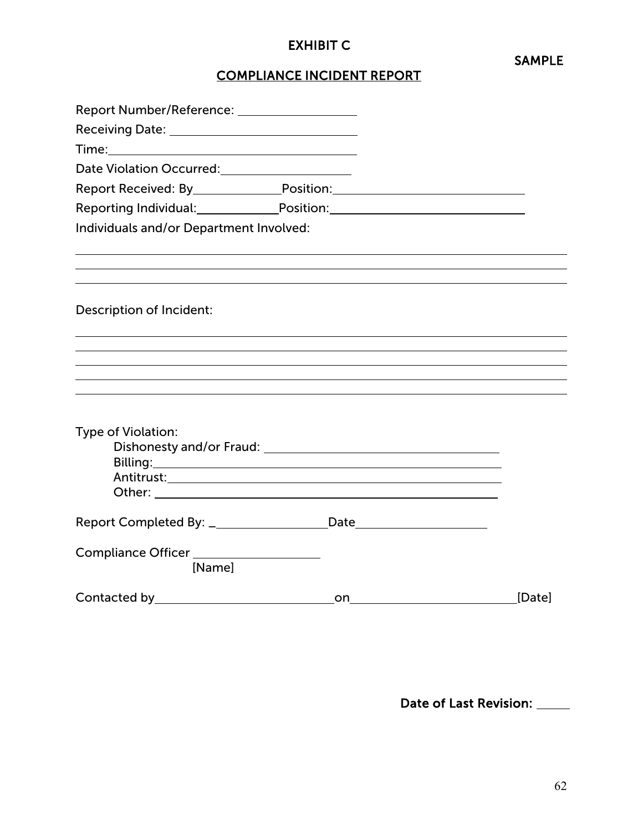# EXHIBIT C

SAMPLE

# COMPLIANCE INCIDENT REPORT

| Date Violation Occurred:<br><u>Date Violation Occurred:</u> |                                                                                                                                                                                                                                                                                                                                                                                                                                                                  |        |
|-------------------------------------------------------------|------------------------------------------------------------------------------------------------------------------------------------------------------------------------------------------------------------------------------------------------------------------------------------------------------------------------------------------------------------------------------------------------------------------------------------------------------------------|--------|
|                                                             | Report Received: By_________________Position:___________________________________                                                                                                                                                                                                                                                                                                                                                                                 |        |
|                                                             | Reporting Individual:_________________Position:_________________________________                                                                                                                                                                                                                                                                                                                                                                                 |        |
| Individuals and/or Department Involved:                     |                                                                                                                                                                                                                                                                                                                                                                                                                                                                  |        |
|                                                             |                                                                                                                                                                                                                                                                                                                                                                                                                                                                  |        |
| Description of Incident:                                    |                                                                                                                                                                                                                                                                                                                                                                                                                                                                  |        |
|                                                             |                                                                                                                                                                                                                                                                                                                                                                                                                                                                  |        |
| Type of Violation:                                          |                                                                                                                                                                                                                                                                                                                                                                                                                                                                  |        |
|                                                             | Billing: and the contract of the contract of the contract of the contract of the contract of the contract of the contract of the contract of the contract of the contract of the contract of the contract of the contract of t<br>Other: New York State State State State State State State State State State State State State State State State State State State State State State State State State State State State State State State State State State St |        |
|                                                             |                                                                                                                                                                                                                                                                                                                                                                                                                                                                  |        |
| [Name]                                                      |                                                                                                                                                                                                                                                                                                                                                                                                                                                                  |        |
|                                                             | on                                                                                                                                                                                                                                                                                                                                                                                                                                                               | [Date] |

Date of Last Revision: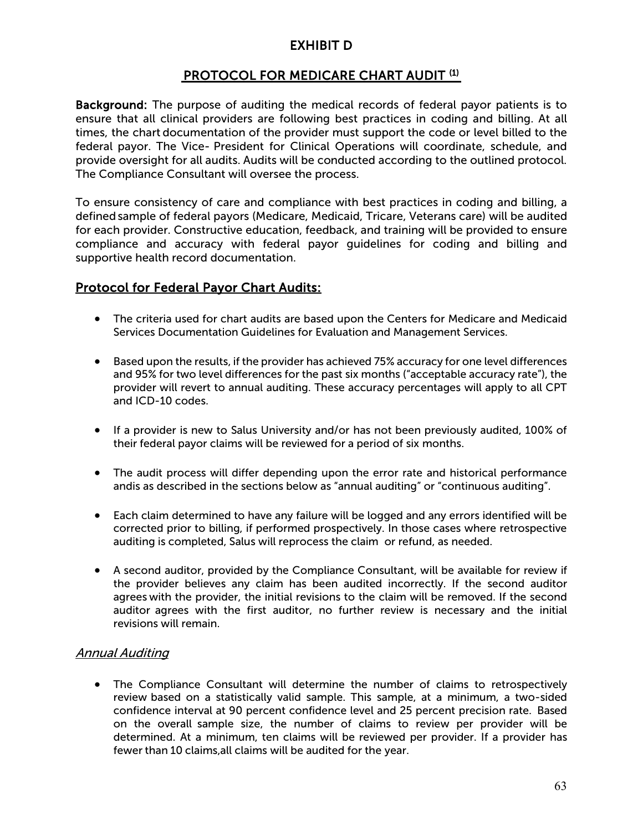# EXHIBIT D

# **PROTOCOL FOR MEDICARE CHART AUDIT (1)**

Background: The purpose of auditing the medical records of federal payor patients is to ensure that all clinical providers are following best practices in coding and billing. At all times, the chart documentation of the provider must support the code or level billed to the federal payor. The Vice- President for Clinical Operations will coordinate, schedule, and provide oversight for all audits. Audits will be conducted according to the outlined protocol. The Compliance Consultant will oversee the process.

To ensure consistency of care and compliance with best practices in coding and billing, a defined sample of federal payors (Medicare, Medicaid, Tricare, Veterans care) will be audited for each provider. Constructive education, feedback, and training will be provided to ensure compliance and accuracy with federal payor guidelines for coding and billing and supportive health record documentation.

## Protocol for Federal Payor Chart Audits:

- The criteria used for chart audits are based upon the Centers for Medicare and Medicaid Services Documentation Guidelines for Evaluation and Management Services.
- Based upon the results, if the provider has achieved 75% accuracy for one level differences and 95% for two level differences for the past six months ("acceptable accuracy rate"), the provider will revert to annual auditing. These accuracy percentages will apply to all CPT and ICD-10 codes.
- If a provider is new to Salus University and/or has not been previously audited, 100% of their federal payor claims will be reviewed for a period of six months.
- The audit process will differ depending upon the error rate and historical performance andis as described in the sections below as "annual auditing" or "continuous auditing".
- Each claim determined to have any failure will be logged and any errors identified will be corrected prior to billing, if performed prospectively. In those cases where retrospective auditing is completed, Salus will reprocess the claim or refund, as needed.
- A second auditor, provided by the Compliance Consultant, will be available for review if the provider believes any claim has been audited incorrectly. If the second auditor agrees with the provider, the initial revisions to the claim will be removed. If the second auditor agrees with the first auditor, no further review is necessary and the initial revisions will remain.

#### Annual Auditing

• The Compliance Consultant will determine the number of claims to retrospectively review based on a statistically valid sample. This sample, at a minimum, a two-sided confidence interval at 90 percent confidence level and 25 percent precision rate. Based on the overall sample size, the number of claims to review per provider will be determined. At a minimum, ten claims will be reviewed per provider. If a provider has fewer than 10 claims,all claims will be audited for the year.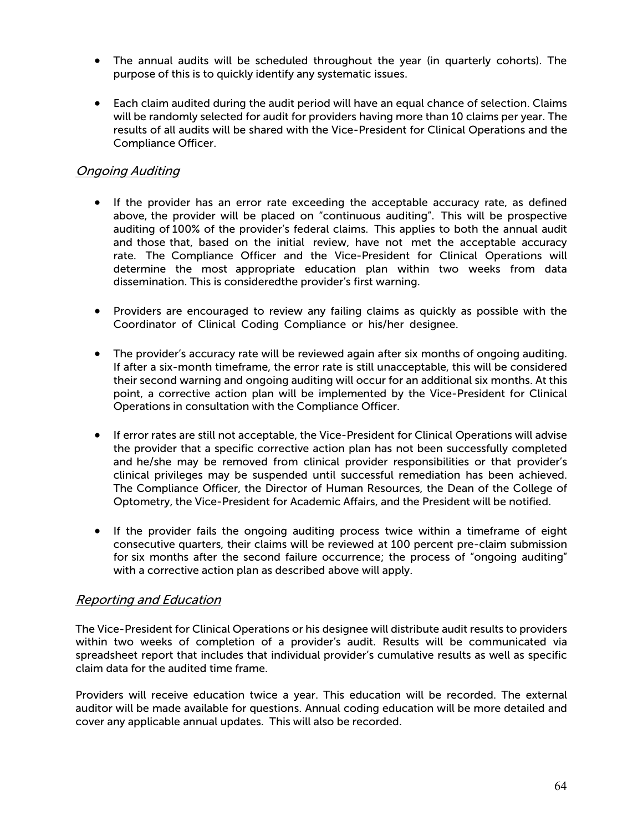- The annual audits will be scheduled throughout the year (in quarterly cohorts). The purpose of this is to quickly identify any systematic issues.
- Each claim audited during the audit period will have an equal chance of selection. Claims will be randomly selected for audit for providers having more than 10 claims per year. The results of all audits will be shared with the Vice-President for Clinical Operations and the Compliance Officer.

#### Ongoing Auditing

- If the provider has an error rate exceeding the acceptable accuracy rate, as defined above, the provider will be placed on "continuous auditing". This will be prospective auditing of 100% of the provider's federal claims. This applies to both the annual audit and those that, based on the initial review, have not met the acceptable accuracy rate. The Compliance Officer and the Vice-President for Clinical Operations will determine the most appropriate education plan within two weeks from data dissemination. This is consideredthe provider's first warning.
- Providers are encouraged to review any failing claims as quickly as possible with the Coordinator of Clinical Coding Compliance or his/her designee.
- The provider's accuracy rate will be reviewed again after six months of ongoing auditing. If after a six-month timeframe, the error rate is still unacceptable, this will be considered their second warning and ongoing auditing will occur for an additional six months. At this point, a corrective action plan will be implemented by the Vice-President for Clinical Operations in consultation with the Compliance Officer.
- If error rates are still not acceptable, the Vice-President for Clinical Operations will advise the provider that a specific corrective action plan has not been successfully completed and he/she may be removed from clinical provider responsibilities or that provider's clinical privileges may be suspended until successful remediation has been achieved. The Compliance Officer, the Director of Human Resources, the Dean of the College of Optometry, the Vice-President for Academic Affairs, and the President will be notified.
- If the provider fails the ongoing auditing process twice within a timeframe of eight consecutive quarters, their claims will be reviewed at 100 percent pre-claim submission for six months after the second failure occurrence; the process of "ongoing auditing" with a corrective action plan as described above will apply.

#### Reporting and Education

The Vice-President for Clinical Operations or his designee will distribute audit results to providers within two weeks of completion of a provider's audit. Results will be communicated via spreadsheet report that includes that individual provider's cumulative results as well as specific claim data for the audited time frame.

Providers will receive education twice a year. This education will be recorded. The external auditor will be made available for questions. Annual coding education will be more detailed and cover any applicable annual updates. This will also be recorded.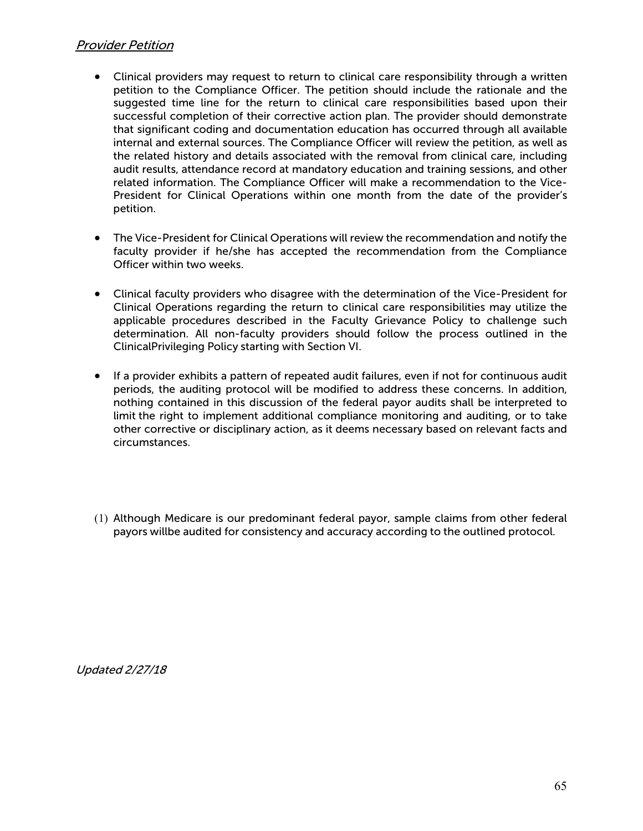#### Provider Petition

- Clinical providers may request to return to clinical care responsibility through a written petition to the Compliance Officer. The petition should include the rationale and the suggested time line for the return to clinical care responsibilities based upon their successful completion of their corrective action plan. The provider should demonstrate that significant coding and documentation education has occurred through all available internal and external sources. The Compliance Officer will review the petition, as well as the related history and details associated with the removal from clinical care, including audit results, attendance record at mandatory education and training sessions, and other related information. The Compliance Officer will make a recommendation to the Vice-President for Clinical Operations within one month from the date of the provider's petition.
- The Vice-President for Clinical Operations will review the recommendation and notify the faculty provider if he/she has accepted the recommendation from the Compliance Officer within two weeks.
- Clinical faculty providers who disagree with the determination of the Vice-President for Clinical Operations regarding the return to clinical care responsibilities may utilize the applicable procedures described in the Faculty Grievance Policy to challenge such determination. All non-faculty providers should follow the process outlined in the ClinicalPrivileging Policy starting with Section VI.
- If a provider exhibits a pattern of repeated audit failures, even if not for continuous audit periods, the auditing protocol will be modified to address these concerns. In addition, nothing contained in this discussion of the federal payor audits shall be interpreted to limit the right to implement additional compliance monitoring and auditing, or to take other corrective or disciplinary action, as it deems necessary based on relevant facts and circumstances.
- (1) Although Medicare is our predominant federal payor, sample claims from other federal payors willbe audited for consistency and accuracy according to the outlined protocol.

Updated 2/27/18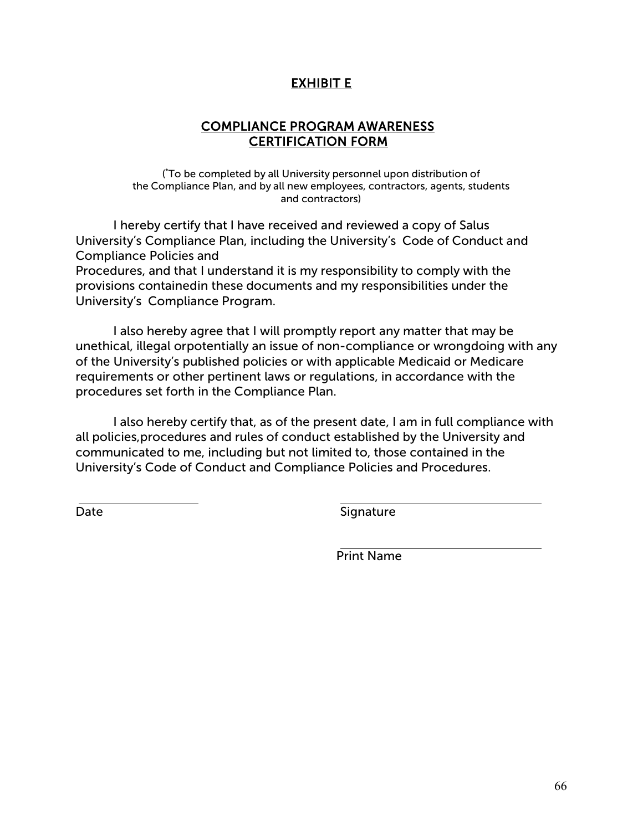# EXHIBIT E

# COMPLIANCE PROGRAM AWARENESS CERTIFICATION FORM

( \* To be completed by all University personnel upon distribution of the Compliance Plan, and by all new employees, contractors, agents, students and contractors)

I hereby certify that I have received and reviewed a copy of Salus University's Compliance Plan, including the University's Code of Conduct and Compliance Policies and

Procedures, and that I understand it is my responsibility to comply with the provisions containedin these documents and my responsibilities under the University's Compliance Program.

I also hereby agree that I will promptly report any matter that may be unethical, illegal orpotentially an issue of non-compliance or wrongdoing with any of the University's published policies or with applicable Medicaid or Medicare requirements or other pertinent laws or regulations, in accordance with the procedures set forth in the Compliance Plan.

I also hereby certify that, as of the present date, I am in full compliance with all policies,procedures and rules of conduct established by the University and communicated to me, including but not limited to, those contained in the University's Code of Conduct and Compliance Policies and Procedures.

Date Signature

Print Name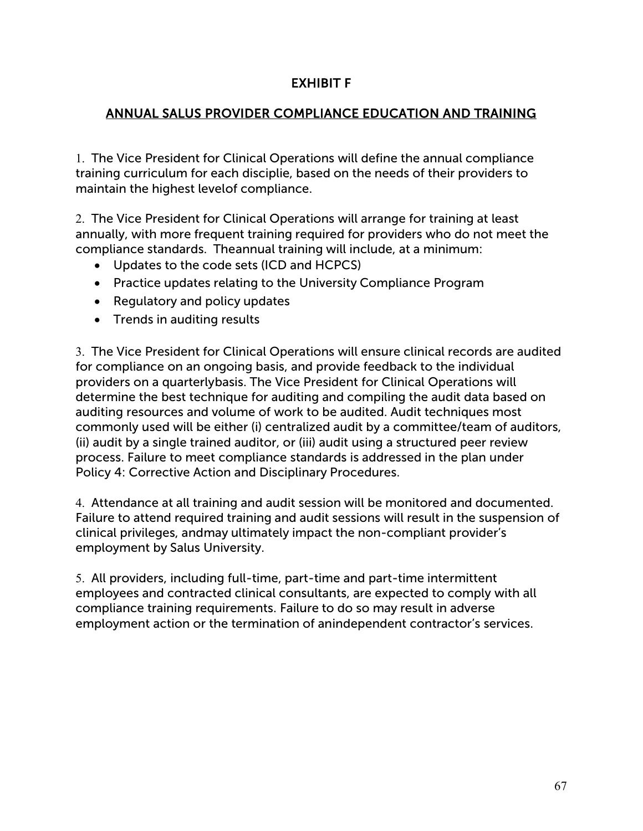# EXHIBIT F

# ANNUAL SALUS PROVIDER COMPLIANCE EDUCATION AND TRAINING

1. The Vice President for Clinical Operations will define the annual compliance training curriculum for each disciplie, based on the needs of their providers to maintain the highest levelof compliance.

2. The Vice President for Clinical Operations will arrange for training at least annually, with more frequent training required for providers who do not meet the compliance standards. Theannual training will include, at a minimum:

- Updates to the code sets (ICD and HCPCS)
- Practice updates relating to the University Compliance Program
- Regulatory and policy updates
- Trends in auditing results

3. The Vice President for Clinical Operations will ensure clinical records are audited for compliance on an ongoing basis, and provide feedback to the individual providers on a quarterlybasis. The Vice President for Clinical Operations will determine the best technique for auditing and compiling the audit data based on auditing resources and volume of work to be audited. Audit techniques most commonly used will be either (i) centralized audit by a committee/team of auditors, (ii) audit by a single trained auditor, or (iii) audit using a structured peer review process. Failure to meet compliance standards is addressed in the plan under Policy 4: Corrective Action and Disciplinary Procedures.

4. Attendance at all training and audit session will be monitored and documented. Failure to attend required training and audit sessions will result in the suspension of clinical privileges, andmay ultimately impact the non-compliant provider's employment by Salus University.

5. All providers, including full-time, part-time and part-time intermittent employees and contracted clinical consultants, are expected to comply with all compliance training requirements. Failure to do so may result in adverse employment action or the termination of anindependent contractor's services.